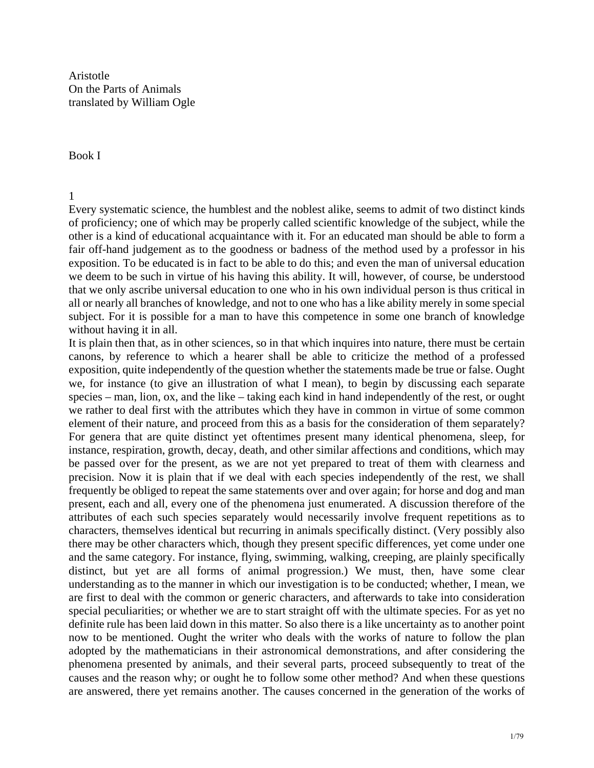Aristotle On the Parts of Animals translated by William Ogle

#### Book I

#### 1

Every systematic science, the humblest and the noblest alike, seems to admit of two distinct kinds of proficiency; one of which may be properly called scientific knowledge of the subject, while the other is a kind of educational acquaintance with it. For an educated man should be able to form a fair off-hand judgement as to the goodness or badness of the method used by a professor in his exposition. To be educated is in fact to be able to do this; and even the man of universal education we deem to be such in virtue of his having this ability. It will, however, of course, be understood that we only ascribe universal education to one who in his own individual person is thus critical in all or nearly all branches of knowledge, and not to one who has a like ability merely in some special subject. For it is possible for a man to have this competence in some one branch of knowledge without having it in all.

It is plain then that, as in other sciences, so in that which inquires into nature, there must be certain canons, by reference to which a hearer shall be able to criticize the method of a professed exposition, quite independently of the question whether the statements made be true or false. Ought we, for instance (to give an illustration of what I mean), to begin by discussing each separate species – man, lion, ox, and the like – taking each kind in hand independently of the rest, or ought we rather to deal first with the attributes which they have in common in virtue of some common element of their nature, and proceed from this as a basis for the consideration of them separately? For genera that are quite distinct yet oftentimes present many identical phenomena, sleep, for instance, respiration, growth, decay, death, and other similar affections and conditions, which may be passed over for the present, as we are not yet prepared to treat of them with clearness and precision. Now it is plain that if we deal with each species independently of the rest, we shall frequently be obliged to repeat the same statements over and over again; for horse and dog and man present, each and all, every one of the phenomena just enumerated. A discussion therefore of the attributes of each such species separately would necessarily involve frequent repetitions as to characters, themselves identical but recurring in animals specifically distinct. (Very possibly also there may be other characters which, though they present specific differences, yet come under one and the same category. For instance, flying, swimming, walking, creeping, are plainly specifically distinct, but yet are all forms of animal progression.) We must, then, have some clear understanding as to the manner in which our investigation is to be conducted; whether, I mean, we are first to deal with the common or generic characters, and afterwards to take into consideration special peculiarities; or whether we are to start straight off with the ultimate species. For as yet no definite rule has been laid down in this matter. So also there is a like uncertainty as to another point now to be mentioned. Ought the writer who deals with the works of nature to follow the plan adopted by the mathematicians in their astronomical demonstrations, and after considering the phenomena presented by animals, and their several parts, proceed subsequently to treat of the causes and the reason why; or ought he to follow some other method? And when these questions are answered, there yet remains another. The causes concerned in the generation of the works of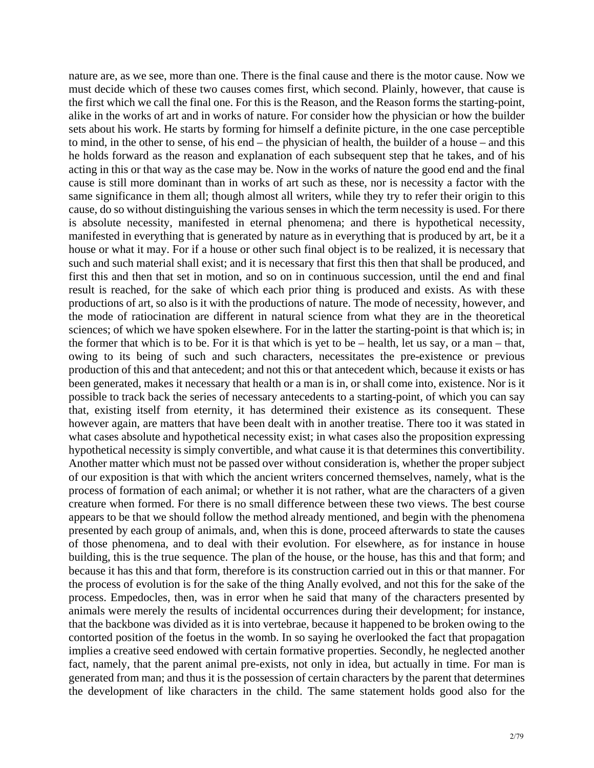nature are, as we see, more than one. There is the final cause and there is the motor cause. Now we must decide which of these two causes comes first, which second. Plainly, however, that cause is the first which we call the final one. For this is the Reason, and the Reason forms the starting-point, alike in the works of art and in works of nature. For consider how the physician or how the builder sets about his work. He starts by forming for himself a definite picture, in the one case perceptible to mind, in the other to sense, of his end – the physician of health, the builder of a house – and this he holds forward as the reason and explanation of each subsequent step that he takes, and of his acting in this or that way as the case may be. Now in the works of nature the good end and the final cause is still more dominant than in works of art such as these, nor is necessity a factor with the same significance in them all; though almost all writers, while they try to refer their origin to this cause, do so without distinguishing the various senses in which the term necessity is used. For there is absolute necessity, manifested in eternal phenomena; and there is hypothetical necessity, manifested in everything that is generated by nature as in everything that is produced by art, be it a house or what it may. For if a house or other such final object is to be realized, it is necessary that such and such material shall exist; and it is necessary that first this then that shall be produced, and first this and then that set in motion, and so on in continuous succession, until the end and final result is reached, for the sake of which each prior thing is produced and exists. As with these productions of art, so also is it with the productions of nature. The mode of necessity, however, and the mode of ratiocination are different in natural science from what they are in the theoretical sciences; of which we have spoken elsewhere. For in the latter the starting-point is that which is; in the former that which is to be. For it is that which is yet to be – health, let us say, or a man – that, owing to its being of such and such characters, necessitates the pre-existence or previous production of this and that antecedent; and not this or that antecedent which, because it exists or has been generated, makes it necessary that health or a man is in, or shall come into, existence. Nor is it possible to track back the series of necessary antecedents to a starting-point, of which you can say that, existing itself from eternity, it has determined their existence as its consequent. These however again, are matters that have been dealt with in another treatise. There too it was stated in what cases absolute and hypothetical necessity exist; in what cases also the proposition expressing hypothetical necessity is simply convertible, and what cause it is that determines this convertibility. Another matter which must not be passed over without consideration is, whether the proper subject of our exposition is that with which the ancient writers concerned themselves, namely, what is the process of formation of each animal; or whether it is not rather, what are the characters of a given creature when formed. For there is no small difference between these two views. The best course appears to be that we should follow the method already mentioned, and begin with the phenomena presented by each group of animals, and, when this is done, proceed afterwards to state the causes of those phenomena, and to deal with their evolution. For elsewhere, as for instance in house building, this is the true sequence. The plan of the house, or the house, has this and that form; and because it has this and that form, therefore is its construction carried out in this or that manner. For the process of evolution is for the sake of the thing Anally evolved, and not this for the sake of the process. Empedocles, then, was in error when he said that many of the characters presented by animals were merely the results of incidental occurrences during their development; for instance, that the backbone was divided as it is into vertebrae, because it happened to be broken owing to the contorted position of the foetus in the womb. In so saying he overlooked the fact that propagation implies a creative seed endowed with certain formative properties. Secondly, he neglected another fact, namely, that the parent animal pre-exists, not only in idea, but actually in time. For man is generated from man; and thus it is the possession of certain characters by the parent that determines the development of like characters in the child. The same statement holds good also for the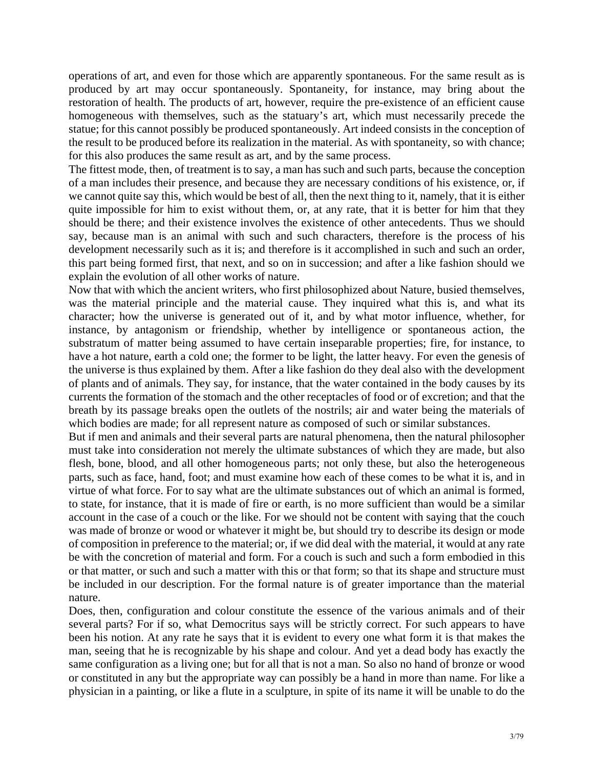operations of art, and even for those which are apparently spontaneous. For the same result as is produced by art may occur spontaneously. Spontaneity, for instance, may bring about the restoration of health. The products of art, however, require the pre-existence of an efficient cause homogeneous with themselves, such as the statuary's art, which must necessarily precede the statue; for this cannot possibly be produced spontaneously. Art indeed consists in the conception of the result to be produced before its realization in the material. As with spontaneity, so with chance; for this also produces the same result as art, and by the same process.

The fittest mode, then, of treatment is to say, a man has such and such parts, because the conception of a man includes their presence, and because they are necessary conditions of his existence, or, if we cannot quite say this, which would be best of all, then the next thing to it, namely, that it is either quite impossible for him to exist without them, or, at any rate, that it is better for him that they should be there; and their existence involves the existence of other antecedents. Thus we should say, because man is an animal with such and such characters, therefore is the process of his development necessarily such as it is; and therefore is it accomplished in such and such an order, this part being formed first, that next, and so on in succession; and after a like fashion should we explain the evolution of all other works of nature.

character; how the universe is generated out of it, and by what motor influence, whether, for Now that with which the ancient writers, who first philosophized about Nature, busied themselves, was the material principle and the material cause. They inquired what this is, and what its instance, by antagonism or friendship, whether by intelligence or spontaneous action, the substratum of matter being assumed to have certain inseparable properties; fire, for instance, to have a hot nature, earth a cold one; the former to be light, the latter heavy. For even the genesis of the universe is thus explained by them. After a like fashion do they deal also with the development of plants and of animals. They say, for instance, that the water contained in the body causes by its currents the formation of the stomach and the other receptacles of food or of excretion; and that the breath by its passage breaks open the outlets of the nostrils; air and water being the materials of which bodies are made; for all represent nature as composed of such or similar substances.

parts, such as face, hand, foot; and must examine how each of these comes to be what it is, and in But if men and animals and their several parts are natural phenomena, then the natural philosopher must take into consideration not merely the ultimate substances of which they are made, but also flesh, bone, blood, and all other homogeneous parts; not only these, but also the heterogeneous virtue of what force. For to say what are the ultimate substances out of which an animal is formed, to state, for instance, that it is made of fire or earth, is no more sufficient than would be a similar account in the case of a couch or the like. For we should not be content with saying that the couch was made of bronze or wood or whatever it might be, but should try to describe its design or mode of composition in preference to the material; or, if we did deal with the material, it would at any rate be with the concretion of material and form. For a couch is such and such a form embodied in this or that matter, or such and such a matter with this or that form; so that its shape and structure must be included in our description. For the formal nature is of greater importance than the material nature.

man, seeing that he is recognizable by his shape and colour. And yet a dead body has exactly the Does, then, configuration and colour constitute the essence of the various animals and of their several parts? For if so, what Democritus says will be strictly correct. For such appears to have been his notion. At any rate he says that it is evident to every one what form it is that makes the same configuration as a living one; but for all that is not a man. So also no hand of bronze or wood or constituted in any but the appropriate way can possibly be a hand in more than name. For like a physician in a painting, or like a flute in a sculpture, in spite of its name it will be unable to do the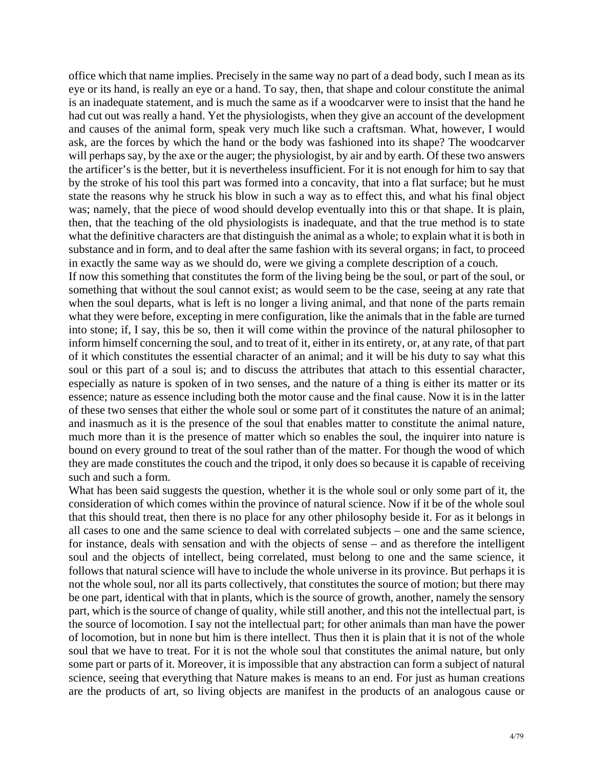office which that name implies. Precisely in the same way no part of a dead body, such I mean as its eye or its hand, is really an eye or a hand. To say, then, that shape and colour constitute the animal is an inadequate statement, and is much the same as if a woodcarver were to insist that the hand he had cut out was really a hand. Yet the physiologists, when they give an account of the development and causes of the animal form, speak very much like such a craftsman. What, however, I would ask, are the forces by which the hand or the body was fashioned into its shape? The woodcarver will perhaps say, by the axe or the auger; the physiologist, by air and by earth. Of these two answers the artificer's is the better, but it is nevertheless insufficient. For it is not enough for him to say that by the stroke of his tool this part was formed into a concavity, that into a flat surface; but he must state the reasons why he struck his blow in such a way as to effect this, and what his final object was; namely, that the piece of wood should develop eventually into this or that shape. It is plain, then, that the teaching of the old physiologists is inadequate, and that the true method is to state what the definitive characters are that distinguish the animal as a whole; to explain what it is both in substance and in form, and to deal after the same fashion with its several organs; in fact, to proceed in exactly the same way as we should do, were we giving a complete description of a couch.

If now this something that constitutes the form of the living being be the soul, or part of the soul, or something that without the soul cannot exist; as would seem to be the case, seeing at any rate that when the soul departs, what is left is no longer a living animal, and that none of the parts remain what they were before, excepting in mere configuration, like the animals that in the fable are turned into stone; if, I say, this be so, then it will come within the province of the natural philosopher to inform himself concerning the soul, and to treat of it, either in its entirety, or, at any rate, of that part of it which constitutes the essential character of an animal; and it will be his duty to say what this soul or this part of a soul is; and to discuss the attributes that attach to this essential character, especially as nature is spoken of in two senses, and the nature of a thing is either its matter or its essence; nature as essence including both the motor cause and the final cause. Now it is in the latter of these two senses that either the whole soul or some part of it constitutes the nature of an animal; and inasmuch as it is the presence of the soul that enables matter to constitute the animal nature, much more than it is the presence of matter which so enables the soul, the inquirer into nature is bound on every ground to treat of the soul rather than of the matter. For though the wood of which they are made constitutes the couch and the tripod, it only does so because it is capable of receiving such and such a form.

for instance, deals with sensation and with the objects of sense – and as therefore the intelligent What has been said suggests the question, whether it is the whole soul or only some part of it, the consideration of which comes within the province of natural science. Now if it be of the whole soul that this should treat, then there is no place for any other philosophy beside it. For as it belongs in all cases to one and the same science to deal with correlated subjects – one and the same science, soul and the objects of intellect, being correlated, must belong to one and the same science, it follows that natural science will have to include the whole universe in its province. But perhaps it is not the whole soul, nor all its parts collectively, that constitutes the source of motion; but there may be one part, identical with that in plants, which is the source of growth, another, namely the sensory part, which is the source of change of quality, while still another, and this not the intellectual part, is the source of locomotion. I say not the intellectual part; for other animals than man have the power of locomotion, but in none but him is there intellect. Thus then it is plain that it is not of the whole soul that we have to treat. For it is not the whole soul that constitutes the animal nature, but only some part or parts of it. Moreover, it is impossible that any abstraction can form a subject of natural science, seeing that everything that Nature makes is means to an end. For just as human creations are the products of art, so living objects are manifest in the products of an analogous cause or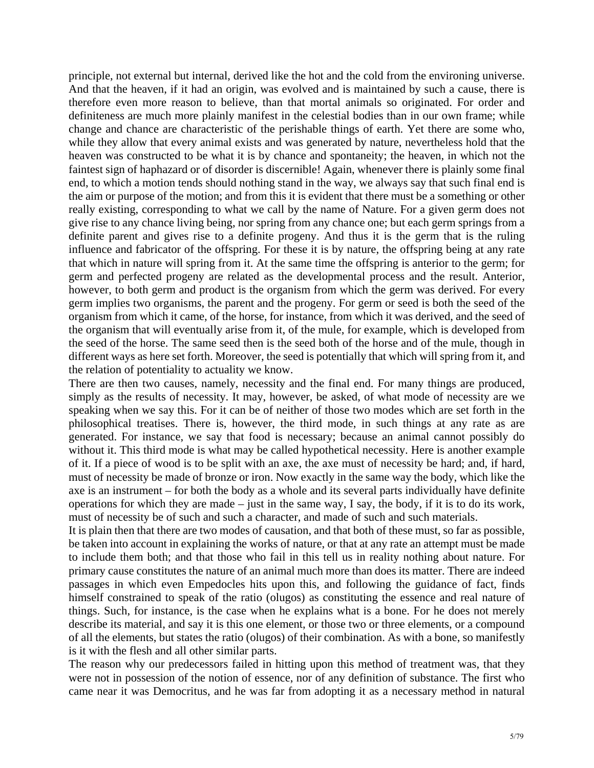principle, not external but internal, derived like the hot and the cold from the environing universe. And that the heaven, if it had an origin, was evolved and is maintained by such a cause, there is therefore even more reason to believe, than that mortal animals so originated. For order and definiteness are much more plainly manifest in the celestial bodies than in our own frame; while change and chance are characteristic of the perishable things of earth. Yet there are some who, while they allow that every animal exists and was generated by nature, nevertheless hold that the heaven was constructed to be what it is by chance and spontaneity; the heaven, in which not the faintest sign of haphazard or of disorder is discernible! Again, whenever there is plainly some final end, to which a motion tends should nothing stand in the way, we always say that such final end is the aim or purpose of the motion; and from this it is evident that there must be a something or other really existing, corresponding to what we call by the name of Nature. For a given germ does not give rise to any chance living being, nor spring from any chance one; but each germ springs from a definite parent and gives rise to a definite progeny. And thus it is the germ that is the ruling influence and fabricator of the offspring. For these it is by nature, the offspring being at any rate that which in nature will spring from it. At the same time the offspring is anterior to the germ; for germ and perfected progeny are related as the developmental process and the result. Anterior, however, to both germ and product is the organism from which the germ was derived. For every germ implies two organisms, the parent and the progeny. For germ or seed is both the seed of the organism from which it came, of the horse, for instance, from which it was derived, and the seed of the organism that will eventually arise from it, of the mule, for example, which is developed from the seed of the horse. The same seed then is the seed both of the horse and of the mule, though in different ways as here set forth. Moreover, the seed is potentially that which will spring from it, and the relation of potentiality to actuality we know.

There are then two causes, namely, necessity and the final end. For many things are produced, simply as the results of necessity. It may, however, be asked, of what mode of necessity are we speaking when we say this. For it can be of neither of those two modes which are set forth in the philosophical treatises. There is, however, the third mode, in such things at any rate as are generated. For instance, we say that food is necessary; because an animal cannot possibly do without it. This third mode is what may be called hypothetical necessity. Here is another example of it. If a piece of wood is to be split with an axe, the axe must of necessity be hard; and, if hard, must of necessity be made of bronze or iron. Now exactly in the same way the body, which like the axe is an instrument – for both the body as a whole and its several parts individually have definite operations for which they are made – just in the same way, I say, the body, if it is to do its work, must of necessity be of such and such a character, and made of such and such materials.

It is plain then that there are two modes of causation, and that both of these must, so far as possible, be taken into account in explaining the works of nature, or that at any rate an attempt must be made to include them both; and that those who fail in this tell us in reality nothing about nature. For primary cause constitutes the nature of an animal much more than does its matter. There are indeed passages in which even Empedocles hits upon this, and following the guidance of fact, finds himself constrained to speak of the ratio (olugos) as constituting the essence and real nature of things. Such, for instance, is the case when he explains what is a bone. For he does not merely describe its material, and say it is this one element, or those two or three elements, or a compound of all the elements, but states the ratio (olugos) of their combination. As with a bone, so manifestly is it with the flesh and all other similar parts.

The reason why our predecessors failed in hitting upon this method of treatment was, that they were not in possession of the notion of essence, nor of any definition of substance. The first who came near it was Democritus, and he was far from adopting it as a necessary method in natural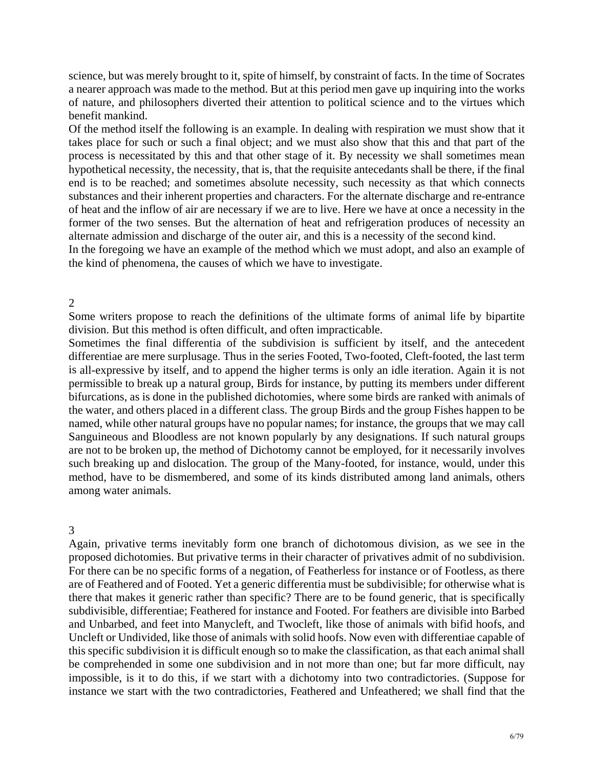science, but was merely brought to it, spite of himself, by constraint of facts. In the time of Socrates a nearer approach was made to the method. But at this period men gave up inquiring into the works of nature, and philosophers diverted their attention to political science and to the virtues which benefit mankind.

substances and their inherent properties and characters. For the alternate discharge and re-entrance Of the method itself the following is an example. In dealing with respiration we must show that it takes place for such or such a final object; and we must also show that this and that part of the process is necessitated by this and that other stage of it. By necessity we shall sometimes mean hypothetical necessity, the necessity, that is, that the requisite antecedants shall be there, if the final end is to be reached; and sometimes absolute necessity, such necessity as that which connects of heat and the inflow of air are necessary if we are to live. Here we have at once a necessity in the former of the two senses. But the alternation of heat and refrigeration produces of necessity an alternate admission and discharge of the outer air, and this is a necessity of the second kind.

In the foregoing we have an example of the method which we must adopt, and also an example of the kind of phenomena, the causes of which we have to investigate.

### 2

division. But this method is often difficult, and often impracticable. Some writers propose to reach the definitions of the ultimate forms of animal life by bipartite

differentiae are mere surplusage. Thus in the series Footed, Two-footed, Cleft-footed, the last term is all-expressive by itself, and to append the higher terms is only an idle iteration. Again it is not permissible to break up a natural group, Birds for instance, by putting its members under different bifurcations, as is done in the published dichotomies, where some birds are ranked with animals of named, while other natural groups have no popular names; for instance, the groups that we may call Sometimes the final differentia of the subdivision is sufficient by itself, and the antecedent the water, and others placed in a different class. The group Birds and the group Fishes happen to be Sanguineous and Bloodless are not known popularly by any designations. If such natural groups are not to be broken up, the method of Dichotomy cannot be employed, for it necessarily involves such breaking up and dislocation. The group of the Many-footed, for instance, would, under this method, have to be dismembered, and some of its kinds distributed among land animals, others among water animals.

#### 3

are of Feathered and of Footed. Yet a generic differentia must be subdivisible; for otherwise what is there that makes it generic rather than specific? There are to be found generic, that is specifically subdivisible, differentiae; Feathered for instance and Footed. For feathers are divisible into Barbed and Unbarbed, and feet into Manycleft, and Twocleft, like those of animals with bifid hoofs, and Again, privative terms inevitably form one branch of dichotomous division, as we see in the proposed dichotomies. But privative terms in their character of privatives admit of no subdivision. For there can be no specific forms of a negation, of Featherless for instance or of Footless, as there Uncleft or Undivided, like those of animals with solid hoofs. Now even with differentiae capable of this specific subdivision it is difficult enough so to make the classification, as that each animal shall be comprehended in some one subdivision and in not more than one; but far more difficult, nay impossible, is it to do this, if we start with a dichotomy into two contradictories. (Suppose for instance we start with the two contradictories, Feathered and Unfeathered; we shall find that the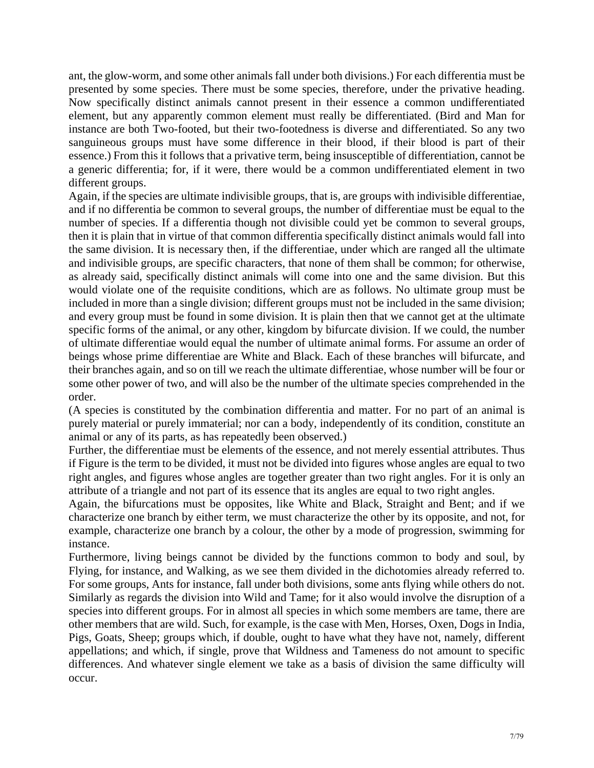ant, the glow-worm, and some other animals fall under both divisions.) For each differentia must be presented by some species. There must be some species, therefore, under the privative heading. Now specifically distinct animals cannot present in their essence a common undifferentiated element, but any apparently common element must really be differentiated. (Bird and Man for instance are both Two-footed, but their two-footedness is diverse and differentiated. So any two sanguineous groups must have some difference in their blood, if their blood is part of their essence.) From this it follows that a privative term, being insusceptible of differentiation, cannot be a generic differentia; for, if it were, there would be a common undifferentiated element in two different groups.

Again, if the species are ultimate indivisible groups, that is, are groups with indivisible differentiae, and if no differentia be common to several groups, the number of differentiae must be equal to the number of species. If a differentia though not divisible could yet be common to several groups, then it is plain that in virtue of that common differentia specifically distinct animals would fall into the same division. It is necessary then, if the differentiae, under which are ranged all the ultimate and indivisible groups, are specific characters, that none of them shall be common; for otherwise, as already said, specifically distinct animals will come into one and the same division. But this would violate one of the requisite conditions, which are as follows. No ultimate group must be included in more than a single division; different groups must not be included in the same division; and every group must be found in some division. It is plain then that we cannot get at the ultimate specific forms of the animal, or any other, kingdom by bifurcate division. If we could, the number of ultimate differentiae would equal the number of ultimate animal forms. For assume an order of beings whose prime differentiae are White and Black. Each of these branches will bifurcate, and their branches again, and so on till we reach the ultimate differentiae, whose number will be four or some other power of two, and will also be the number of the ultimate species comprehended in the order.

(A species is constituted by the combination differentia and matter. For no part of an animal is purely material or purely immaterial; nor can a body, independently of its condition, constitute an animal or any of its parts, as has repeatedly been observed.)

attribute of a triangle and not part of its essence that its angles are equal to two right angles. Further, the differentiae must be elements of the essence, and not merely essential attributes. Thus if Figure is the term to be divided, it must not be divided into figures whose angles are equal to two right angles, and figures whose angles are together greater than two right angles. For it is only an

example, characterize one branch by a colour, the other by a mode of progression, swimming for Again, the bifurcations must be opposites, like White and Black, Straight and Bent; and if we characterize one branch by either term, we must characterize the other by its opposite, and not, for instance.

Similarly as regards the division into Wild and Tame; for it also would involve the disruption of a appellations; and which, if single, prove that Wildness and Tameness do not amount to specific Furthermore, living beings cannot be divided by the functions common to body and soul, by Flying, for instance, and Walking, as we see them divided in the dichotomies already referred to. For some groups, Ants for instance, fall under both divisions, some ants flying while others do not. species into different groups. For in almost all species in which some members are tame, there are other members that are wild. Such, for example, is the case with Men, Horses, Oxen, Dogs in India, Pigs, Goats, Sheep; groups which, if double, ought to have what they have not, namely, different differences. And whatever single element we take as a basis of division the same difficulty will occur.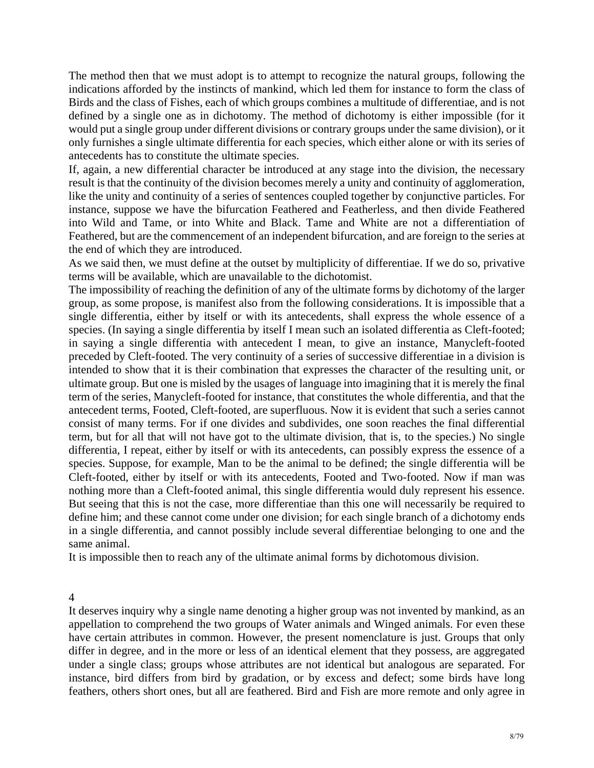The method then that we must adopt is to attempt to recognize the natural groups, following the indications afforded by the instincts of mankind, which led them for instance to form the class of Birds and the class of Fishes, each of which groups combines a multitude of differentiae, and is not defined by a single one as in dichotomy. The method of dichotomy is either impossible (for it would put a single group under different divisions or contrary groups under the same division), or it only furnishes a single ultimate differentia for each species, which either alone or with its series of antecedents has to constitute the ultimate species.

If, again, a new differential character be introduced at any stage into the division, the necessary result is that the continuity of the division becomes merely a unity and continuity of agglomeration, like the unity and continuity of a series of sentences coupled together by conjunctive particles. For instance, suppose we have the bifurcation Feathered and Featherless, and then divide Feathered into Wild and Tame, or into White and Black. Tame and White are not a differentiation of Feathered, but are the commencement of an independent bifurcation, and are foreign to the series at the end of which they are introduced.

As we said then, we must define at the outset by multiplicity of differentiae. If we do so, privative terms will be available, which are unavailable to the dichotomist.

in saying a single differentia with antecedent I mean, to give an instance, Manycleft-footed intended to show that it is their combination that expresses the character of the resulting unit, or The impossibility of reaching the definition of any of the ultimate forms by dichotomy of the larger group, as some propose, is manifest also from the following considerations. It is impossible that a single differentia, either by itself or with its antecedents, shall express the whole essence of a species. (In saying a single differentia by itself I mean such an isolated differentia as Cleft-footed; preceded by Cleft-footed. The very continuity of a series of successive differentiae in a division is ultimate group. But one is misled by the usages of language into imagining that it is merely the final term of the series, Manycleft-footed for instance, that constitutes the whole differentia, and that the antecedent terms, Footed, Cleft-footed, are superfluous. Now it is evident that such a series cannot consist of many terms. For if one divides and subdivides, one soon reaches the final differential term, but for all that will not have got to the ultimate division, that is, to the species.) No single differentia, I repeat, either by itself or with its antecedents, can possibly express the essence of a species. Suppose, for example, Man to be the animal to be defined; the single differentia will be Cleft-footed, either by itself or with its antecedents, Footed and Two-footed. Now if man was nothing more than a Cleft-footed animal, this single differentia would duly represent his essence. But seeing that this is not the case, more differentiae than this one will necessarily be required to define him; and these cannot come under one division; for each single branch of a dichotomy ends in a single differentia, and cannot possibly include several differentiae belonging to one and the same animal.

It is impossible then to reach any of the ultimate animal forms by dichotomous division.

4

have certain attributes in common. However, the present nomenclature is just. Groups that only differ in degree, and in the more or less of an identical element that they possess, are aggregated under a single class; groups whose attributes are not identical but analogous are separated. For instance, bird differs from bird by gradation, or by excess and defect; some birds have long feathers, others short ones, but all are feathered. Bird and Fish are more remote and only agree in It deserves inquiry why a single name denoting a higher group was not invented by mankind, as an appellation to comprehend the two groups of Water animals and Winged animals. For even these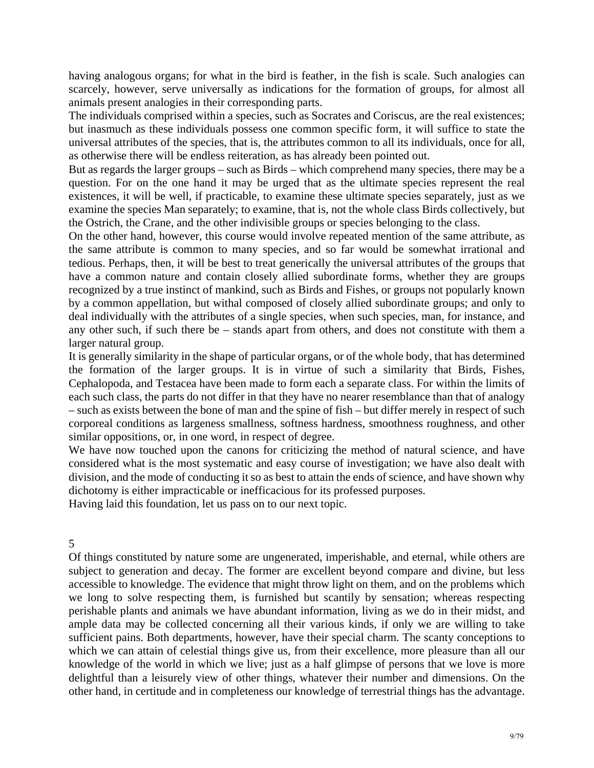having analogous organs; for what in the bird is feather, in the fish is scale. Such analogies can scarcely, however, serve universally as indications for the formation of groups, for almost all animals present analogies in their corresponding parts.

The individuals comprised within a species, such as Socrates and Coriscus, are the real existences; but inasmuch as these individuals possess one common specific form, it will suffice to state the universal attributes of the species, that is, the attributes common to all its individuals, once for all, as otherwise there will be endless reiteration, as has already been pointed out.

examine the species Man separately; to examine, that is, not the whole class Birds collectively, but But as regards the larger groups – such as Birds – which comprehend many species, there may be a question. For on the one hand it may be urged that as the ultimate species represent the real existences, it will be well, if practicable, to examine these ultimate species separately, just as we the Ostrich, the Crane, and the other indivisible groups or species belonging to the class.

tedious. Perhaps, then, it will be best to treat generically the universal attributes of the groups that any other such, if such there be – stands apart from others, and does not constitute with them a On the other hand, however, this course would involve repeated mention of the same attribute, as the same attribute is common to many species, and so far would be somewhat irrational and have a common nature and contain closely allied subordinate forms, whether they are groups recognized by a true instinct of mankind, such as Birds and Fishes, or groups not popularly known by a common appellation, but withal composed of closely allied subordinate groups; and only to deal individually with the attributes of a single species, when such species, man, for instance, and larger natural group.

It is generally similarity in the shape of particular organs, or of the whole body, that has determined the formation of the larger groups. It is in virtue of such a similarity that Birds, Fishes, Cephalopoda, and Testacea have been made to form each a separate class. For within the limits of each such class, the parts do not differ in that they have no nearer resemblance than that of analogy – such as exists between the bone of man and the spine of fish – but differ merely in respect of such corporeal conditions as largeness smallness, softness hardness, smoothness roughness, and other similar oppositions, or, in one word, in respect of degree.

We have now touched upon the canons for criticizing the method of natural science, and have considered what is the most systematic and easy course of investigation; we have also dealt with division, and the mode of conducting it so as best to attain the ends of science, and have shown why dichotomy is either impracticable or inefficacious for its professed purposes.

Having laid this foundation, let us pass on to our next topic.

5

we long to solve respecting them, is furnished but scantily by sensation; whereas respecting perishable plants and animals we have abundant information, living as we do in their midst, and mple data may be collected concerning all their various kinds, if only we are willing to take a sufficient pains. Both departments, however, have their special charm. The scanty conceptions to which we can attain of celestial things give us, from their excellence, more pleasure than all our Of things constituted by nature some are ungenerated, imperishable, and eternal, while others are subject to generation and decay. The former are excellent beyond compare and divine, but less accessible to knowledge. The evidence that might throw light on them, and on the problems which knowledge of the world in which we live; just as a half glimpse of persons that we love is more delightful than a leisurely view of other things, whatever their number and dimensions. On the other hand, in certitude and in completeness our knowledge of terrestrial things has the advantage.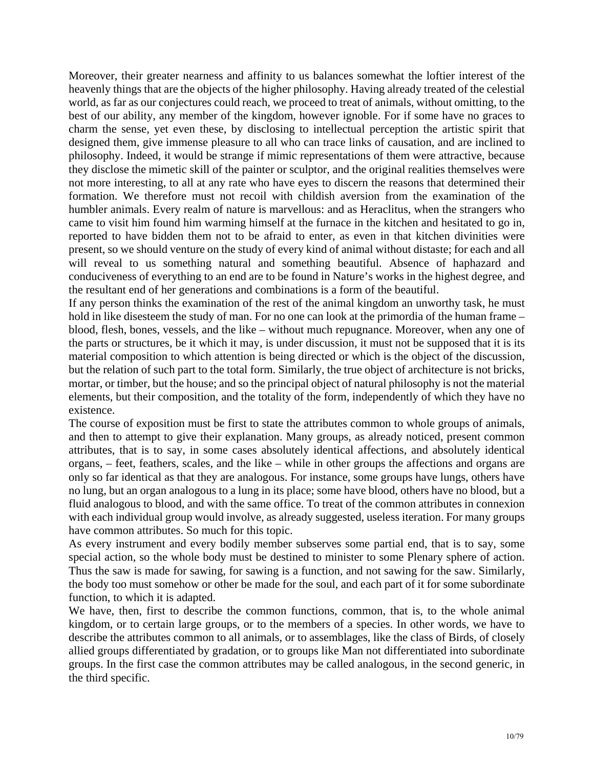Moreover, their greater nearness and affinity to us balances somewhat the loftier interest of the heavenly things that are the objects of the higher philosophy. Having already treated of the celestial world, as far as our conjectures could reach, we proceed to treat of animals, without omitting, to the best of our ability, any member of the kingdom, however ignoble. For if some have no graces to charm the sense, yet even these, by disclosing to intellectual perception the artistic spirit that designed them, give immense pleasure to all who can trace links of causation, and are inclined to philosophy. Indeed, it would be strange if mimic representations of them were attractive, because they disclose the mimetic skill of the painter or sculptor, and the original realities themselves were not more interesting, to all at any rate who have eyes to discern the reasons that determined their formation. We therefore must not recoil with childish aversion from the examination of the humbler animals. Every realm of nature is marvellous: and as Heraclitus, when the strangers who came to visit him found him warming himself at the furnace in the kitchen and hesitated to go in, reported to have bidden them not to be afraid to enter, as even in that kitchen divinities were present, so we should venture on the study of every kind of animal without distaste; for each and all will reveal to us something natural and something beautiful. Absence of haphazard and conduciveness of everything to an end are to be found in Nature's works in the highest degree, and the resultant end of her generations and combinations is a form of the beautiful.

If any person thinks the examination of the rest of the animal kingdom an unworthy task, he must hold in like disesteem the study of man. For no one can look at the primordia of the human frame – blood, flesh, bones, vessels, and the like – without much repugnance. Moreover, when any one of the parts or structures, be it which it may, is under discussion, it must not be supposed that it is its material composition to which attention is being directed or which is the object of the discussion, but the relation of such part to the total form. Similarly, the true object of architecture is not bricks, mortar, or timber, but the house; and so the principal object of natural philosophy is not the material elements, but their composition, and the totality of the form, independently of which they have no existence.

The course of exposition must be first to state the attributes common to whole groups of animals, and then to attempt to give their explanation. Many groups, as already noticed, present common attributes, that is to say, in some cases absolutely identical affections, and absolutely identical organs, – feet, feathers, scales, and the like – while in other groups the affections and organs are only so far identical as that they are analogous. For instance, some groups have lungs, others have no lung, but an organ analogous to a lung in its place; some have blood, others have no blood, but a fluid analogous to blood, and with the same office. To treat of the common attributes in connexion with each individual group would involve, as already suggested, useless iteration. For many groups have common attributes. So much for this topic.

As every instrument and every bodily member subserves some partial end, that is to say, some special action, so the whole body must be destined to minister to some Plenary sphere of action. Thus the saw is made for sawing, for sawing is a function, and not sawing for the saw. Similarly, the body too must somehow or other be made for the soul, and each part of it for some subordinate function, to which it is adapted.

allied groups differentiated by gradation, or to groups like Man not differentiated into subordinate We have, then, first to describe the common functions, common, that is, to the whole animal kingdom, or to certain large groups, or to the members of a species. In other words, we have to describe the attributes common to all animals, or to assemblages, like the class of Birds, of closely groups. In the first case the common attributes may be called analogous, in the second generic, in the third specific.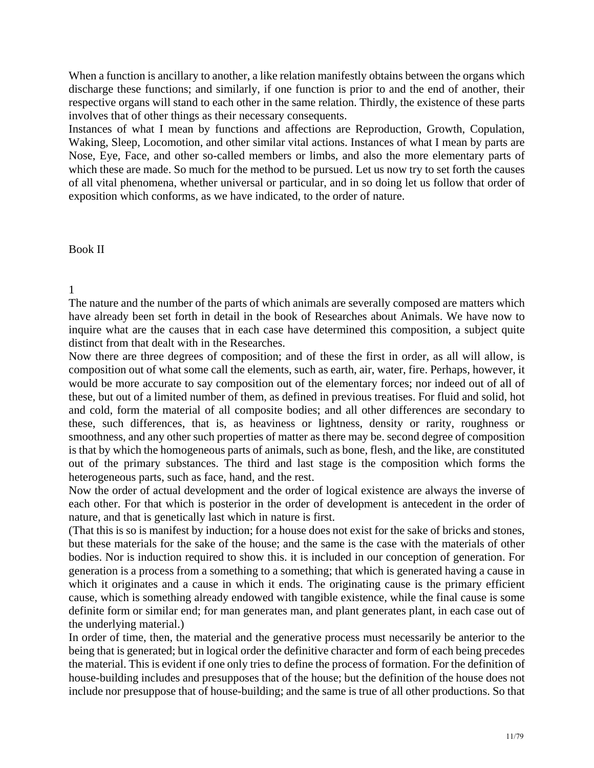When a function is ancillary to another, a like relation manifestly obtains between the organs which discharge these functions; and similarly, if one function is prior to and the end of another, their respective organs will stand to each other in the same relation. Thirdly, the existence of these parts involves that of other things as their necessary consequents.

which these are made. So much for the method to be pursued. Let us now try to set forth the causes Instances of what I mean by functions and affections are Reproduction, Growth, Copulation, Waking, Sleep, Locomotion, and other similar vital actions. Instances of what I mean by parts are Nose, Eye, Face, and other so-called members or limbs, and also the more elementary parts of of all vital phenomena, whether universal or particular, and in so doing let us follow that order of exposition which conforms, as we have indicated, to the order of nature.

### Book II

1

The nature and the number of the parts of which animals are severally composed are matters which have already been set forth in detail in the book of Researches about Animals. We have now to inquire what are the causes that in each case have determined this composition, a subject quite distinct from that dealt with in the Researches.

Now there are three degrees of composition; and of these the first in order, as all will allow, is composition out of what some call the elements, such as earth, air, water, fire. Perhaps, however, it would be more accurate to say composition out of the elementary forces; nor indeed out of all of these, but out of a limited number of them, as defined in previous treatises. For fluid and solid, hot is that by which the homogeneous parts of animals, such as bone, flesh, and the like, are constituted and cold, form the material of all composite bodies; and all other differences are secondary to these, such differences, that is, as heaviness or lightness, density or rarity, roughness or smoothness, and any other such properties of matter as there may be. second degree of composition out of the primary substances. The third and last stage is the composition which forms the heterogeneous parts, such as face, hand, and the rest.

Now the order of actual development and the order of logical existence are always the inverse of each other. For that which is posterior in the order of development is antecedent in the order of nature, and that is genetically last which in nature is first.

which it originates and a cause in which it ends. The originating cause is the primary efficient (That this is so is manifest by induction; for a house does not exist for the sake of bricks and stones, but these materials for the sake of the house; and the same is the case with the materials of other bodies. Nor is induction required to show this. it is included in our conception of generation. For generation is a process from a something to a something; that which is generated having a cause in cause, which is something already endowed with tangible existence, while the final cause is some definite form or similar end; for man generates man, and plant generates plant, in each case out of the underlying material.)

In order of time, then, the material and the generative process must necessarily be anterior to the being that is generated; but in logical order the definitive character and form of each being precedes the material. This is evident if one only tries to define the process of formation. For the definition of house-building includes and presupposes that of the house; but the definition of the house does not include nor presuppose that of house-building; and the same is true of all other productions. So that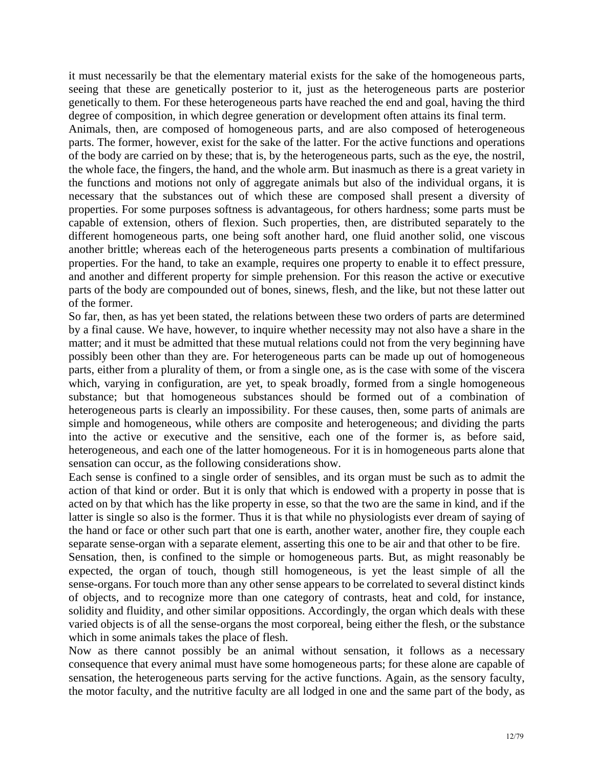it must necessarily be that the elementary material exists for the sake of the homogeneous parts, seeing that these are genetically posterior to it, just as the heterogeneous parts are posterior genetically to them. For these heterogeneous parts have reached the end and goal, having the third degree of composition, in which degree generation or development often attains its final term.

different homogeneous parts, one being soft another hard, one fluid another solid, one viscous Animals, then, are composed of homogeneous parts, and are also composed of heterogeneous parts. The former, however, exist for the sake of the latter. For the active functions and operations of the body are carried on by these; that is, by the heterogeneous parts, such as the eye, the nostril, the whole face, the fingers, the hand, and the whole arm. But inasmuch as there is a great variety in the functions and motions not only of aggregate animals but also of the individual organs, it is necessary that the substances out of which these are composed shall present a diversity of properties. For some purposes softness is advantageous, for others hardness; some parts must be capable of extension, others of flexion. Such properties, then, are distributed separately to the another brittle; whereas each of the heterogeneous parts presents a combination of multifarious properties. For the hand, to take an example, requires one property to enable it to effect pressure, and another and different property for simple prehension. For this reason the active or executive parts of the body are compounded out of bones, sinews, flesh, and the like, but not these latter out of the former.

simple and homogeneous, while others are composite and heterogeneous; and dividing the parts So far, then, as has yet been stated, the relations between these two orders of parts are determined by a final cause. We have, however, to inquire whether necessity may not also have a share in the matter; and it must be admitted that these mutual relations could not from the very beginning have possibly been other than they are. For heterogeneous parts can be made up out of homogeneous parts, either from a plurality of them, or from a single one, as is the case with some of the viscera which, varying in configuration, are yet, to speak broadly, formed from a single homogeneous substance; but that homogeneous substances should be formed out of a combination of heterogeneous parts is clearly an impossibility. For these causes, then, some parts of animals are into the active or executive and the sensitive, each one of the former is, as before said, heterogeneous, and each one of the latter homogeneous. For it is in homogeneous parts alone that sensation can occur, as the following considerations show.

Each sense is confined to a single order of sensibles, and its organ must be such as to admit the action of that kind or order. But it is only that which is endowed with a property in posse that is acted on by that which has the like property in esse, so that the two are the same in kind, and if the latter is single so also is the former. Thus it is that while no physiologists ever dream of saying of the hand or face or other such part that one is earth, another water, another fire, they couple each separate sense-organ with a separate element, asserting this one to be air and that other to be fire.

sense-organs. For touch more than any other sense appears to be correlated to several distinct kinds Sensation, then, is confined to the simple or homogeneous parts. But, as might reasonably be expected, the organ of touch, though still homogeneous, is yet the least simple of all the of objects, and to recognize more than one category of contrasts, heat and cold, for instance, solidity and fluidity, and other similar oppositions. Accordingly, the organ which deals with these varied objects is of all the sense-organs the most corporeal, being either the flesh, or the substance which in some animals takes the place of flesh.

sensation, the heterogeneous parts serving for the active functions. Again, as the sensory faculty, the motor faculty, and the nutritive faculty are all lodged in one and the same part of the body, as Now as there cannot possibly be an animal without sensation, it follows as a necessary consequence that every animal must have some homogeneous parts; for these alone are capable of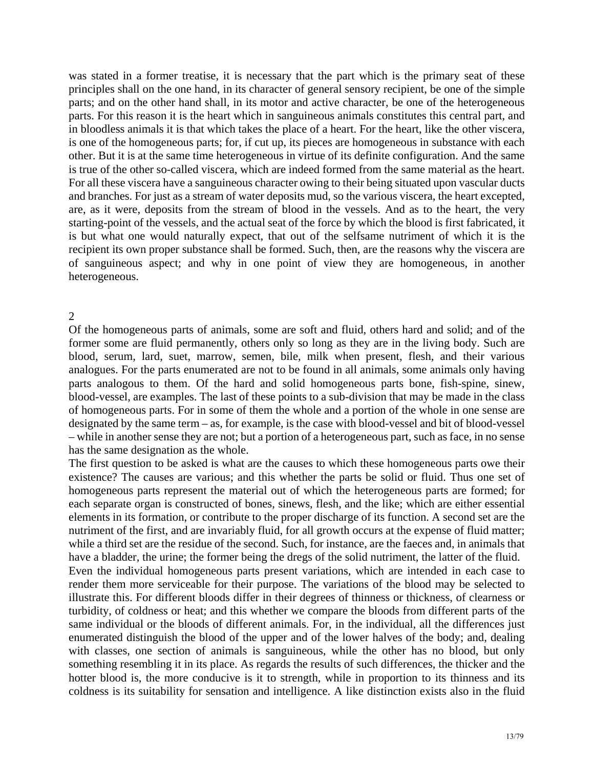was stated in a former treatise, it is necessary that the part which is the primary seat of these principles shall on the one hand, in its character of general sensory recipient, be one of the simple parts; and on the other hand shall, in its motor and active character, be one of the heterogeneous parts. For this reason it is the heart which in sanguineous animals constitutes this central part, and in bloodless animals it is that which takes the place of a heart. For the heart, like the other viscera, is one of the homogeneous parts; for, if cut up, its pieces are homogeneous in substance with each other. But it is at the same time heterogeneous in virtue of its definite configuration. And the same is true of the other so-called viscera, which are indeed formed from the same material as the heart. For all these viscera have a sanguineous character owing to their being situated upon vascular ducts and branches. For just as a stream of water deposits mud, so the various viscera, the heart excepted, are, as it were, deposits from the stream of blood in the vessels. And as to the heart, the very starting-point of the vessels, and the actual seat of the force by which the blood is first fabricated, it is but what one would naturally expect, that out of the selfsame nutriment of which it is the recipient its own proper substance shall be formed. Such, then, are the reasons why the viscera are of sanguineous aspect; and why in one point of view they are homogeneous, in another heterogeneous.

### $\mathcal{L}$

designated by the same term – as, for example, is the case with blood-vessel and bit of blood-vessel while in another sense they are not; but a portion of a heterogeneous part, such as face, in no sense – has the same designation as the whole. Of the homogeneous parts of animals, some are soft and fluid, others hard and solid; and of the former some are fluid permanently, others only so long as they are in the living body. Such are blood, serum, lard, suet, marrow, semen, bile, milk when present, flesh, and their various analogues. For the parts enumerated are not to be found in all animals, some animals only having parts analogous to them. Of the hard and solid homogeneous parts bone, fish-spine, sinew, blood-vessel, are examples. The last of these points to a sub-division that may be made in the class of homogeneous parts. For in some of them the whole and a portion of the whole in one sense are

The first question to be asked is what are the causes to which these homogeneous parts owe their illustrate this. For different bloods differ in their degrees of thinness or thickness, of clearness or existence? The causes are various; and this whether the parts be solid or fluid. Thus one set of homogeneous parts represent the material out of which the heterogeneous parts are formed; for each separate organ is constructed of bones, sinews, flesh, and the like; which are either essential elements in its formation, or contribute to the proper discharge of its function. A second set are the nutriment of the first, and are invariably fluid, for all growth occurs at the expense of fluid matter; while a third set are the residue of the second. Such, for instance, are the faeces and, in animals that have a bladder, the urine; the former being the dregs of the solid nutriment, the latter of the fluid. Even the individual homogeneous parts present variations, which are intended in each case to render them more serviceable for their purpose. The variations of the blood may be selected to turbidity, of coldness or heat; and this whether we compare the bloods from different parts of the same individual or the bloods of different animals. For, in the individual, all the differences just enumerated distinguish the blood of the upper and of the lower halves of the body; and, dealing with classes, one section of animals is sanguineous, while the other has no blood, but only something resembling it in its place. As regards the results of such differences, the thicker and the hotter blood is, the more conducive is it to strength, while in proportion to its thinness and its coldness is its suitability for sensation and intelligence. A like distinction exists also in the fluid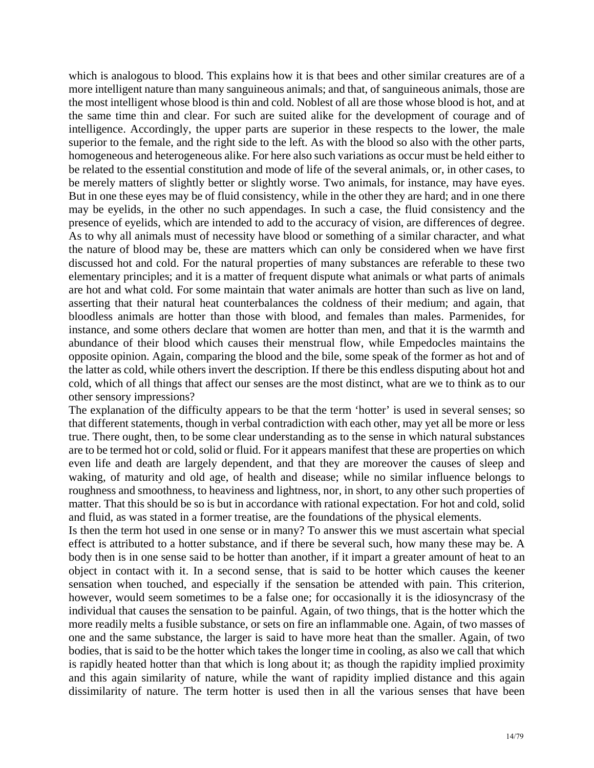which is analogous to blood. This explains how it is that bees and other similar creatures are of a more intelligent nature than many sanguineous animals; and that, of sanguineous animals, those are the most intelligent whose blood is thin and cold. Noblest of all are those whose blood is hot, and at the same time thin and clear. For such are suited alike for the development of courage and of intelligence. Accordingly, the upper parts are superior in these respects to the lower, the male superior to the female, and the right side to the left. As with the blood so also with the other parts, homogeneous and heterogeneous alike. For here also such variations as occur must be held either to be related to the essential constitution and mode of life of the several animals, or, in other cases, to be merely matters of slightly better or slightly worse. Two animals, for instance, may have eyes. But in one these eyes may be of fluid consistency, while in the other they are hard; and in one there may be eyelids, in the other no such appendages. In such a case, the fluid consistency and the presence of eyelids, which are intended to add to the accuracy of vision, are differences of degree. As to why all animals must of necessity have blood or something of a similar character, and what the nature of blood may be, these are matters which can only be considered when we have first discussed hot and cold. For the natural properties of many substances are referable to these two elementary principles; and it is a matter of frequent dispute what animals or what parts of animals are hot and what cold. For some maintain that water animals are hotter than such as live on land, asserting that their natural heat counterbalances the coldness of their medium; and again, that bloodless animals are hotter than those with blood, and females than males. Parmenides, for instance, and some others declare that women are hotter than men, and that it is the warmth and abundance of their blood which causes their menstrual flow, while Empedocles maintains the opposite opinion. Again, comparing the blood and the bile, some speak of the former as hot and of the latter as cold, while others invert the description. If there be this endless disputing about hot and cold, which of all things that affect our senses are the most distinct, what are we to think as to our other sensory impressions?

The explanation of the difficulty appears to be that the term 'hotter' is used in several senses; so that different statements, though in verbal contradiction with each other, may yet all be more or less true. There ought, then, to be some clear understanding as to the sense in which natural substances are to be termed hot or cold, solid or fluid. For it appears manifest that these are properties on which even life and death are largely dependent, and that they are moreover the causes of sleep and waking, of maturity and old age, of health and disease; while no similar influence belongs to roughness and smoothness, to heaviness and lightness, nor, in short, to any other such properties of matter. That this should be so is but in accordance with rational expectation. For hot and cold, solid and fluid, as was stated in a former treatise, are the foundations of the physical elements.

body then is in one sense said to be hotter than another, if it impart a greater amount of heat to an dissimilarity of nature. The term hotter is used then in all the various senses that have been Is then the term hot used in one sense or in many? To answer this we must ascertain what special effect is attributed to a hotter substance, and if there be several such, how many these may be. A object in contact with it. In a second sense, that is said to be hotter which causes the keener sensation when touched, and especially if the sensation be attended with pain. This criterion, however, would seem sometimes to be a false one; for occasionally it is the idiosyncrasy of the individual that causes the sensation to be painful. Again, of two things, that is the hotter which the more readily melts a fusible substance, or sets on fire an inflammable one. Again, of two masses of one and the same substance, the larger is said to have more heat than the smaller. Again, of two bodies, that is said to be the hotter which takes the longer time in cooling, as also we call that which is rapidly heated hotter than that which is long about it; as though the rapidity implied proximity and this again similarity of nature, while the want of rapidity implied distance and this again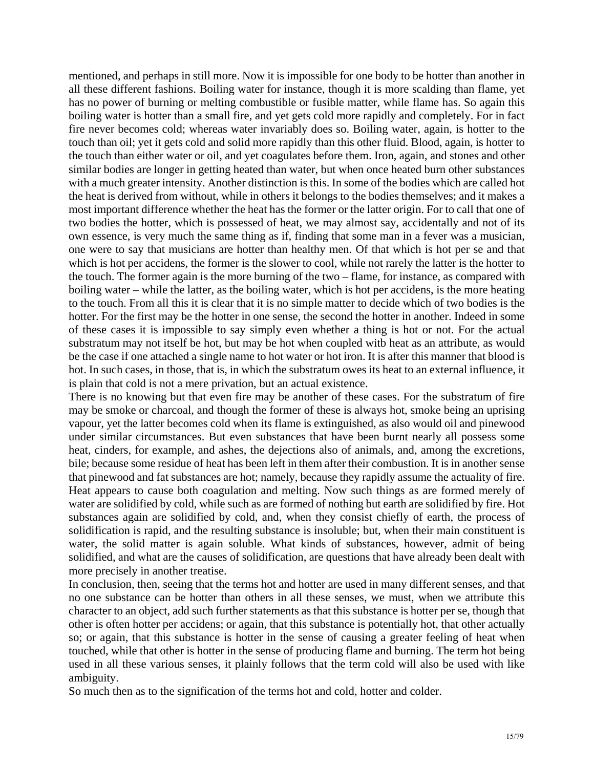mentioned, and perhaps in still more. Now it is impossible for one body to be hotter than another in all these different fashions. Boiling water for instance, though it is more scalding than flame, yet has no power of burning or melting combustible or fusible matter, while flame has. So again this boiling water is hotter than a small fire, and yet gets cold more rapidly and completely. For in fact fire never becomes cold; whereas water invariably does so. Boiling water, again, is hotter to the touch than oil; yet it gets cold and solid more rapidly than this other fluid. Blood, again, is hotter to the touch than either water or oil, and yet coagulates before them. Iron, again, and stones and other similar bodies are longer in getting heated than water, but when once heated burn other substances with a much greater intensity. Another distinction is this. In some of the bodies which are called hot the heat is derived from without, while in others it belongs to the bodies themselves; and it makes a most important difference whether the heat has the former or the latter origin. For to call that one of two bodies the hotter, which is possessed of heat, we may almost say, accidentally and not of its own essence, is very much the same thing as if, finding that some man in a fever was a musician, one were to say that musicians are hotter than healthy men. Of that which is hot per se and that which is hot per accidens, the former is the slower to cool, while not rarely the latter is the hotter to the touch. The former again is the more burning of the two – flame, for instance, as compared with boiling water – while the latter, as the boiling water, which is hot per accidens, is the more heating to the touch. From all this it is clear that it is no simple matter to decide which of two bodies is the hotter. For the first may be the hotter in one sense, the second the hotter in another. Indeed in some of these cases it is impossible to say simply even whether a thing is hot or not. For the actual substratum may not itself be hot, but may be hot when coupled witb heat as an attribute, as would be the case if one attached a single name to hot water or hot iron. It is after this manner that blood is hot. In such cases, in those, that is, in which the substratum owes its heat to an external influence, it is plain that cold is not a mere privation, but an actual existence.

There is no knowing but that even fire may be another of these cases. For the substratum of fire may be smoke or charcoal, and though the former of these is always hot, smoke being an uprising vapour, yet the latter becomes cold when its flame is extinguished, as also would oil and pinewood under similar circumstances. But even substances that have been burnt nearly all possess some heat, cinders, for example, and ashes, the dejections also of animals, and, among the excretions, bile; because some residue of heat has been left in them after their combustion. It is in another sense that pinewood and fat substances are hot; namely, because they rapidly assume the actuality of fire. Heat appears to cause both coagulation and melting. Now such things as are formed merely of water are solidified by cold, while such as are formed of nothing but earth are solidified by fire. Hot substances again are solidified by cold, and, when they consist chiefly of earth, the process of solidification is rapid, and the resulting substance is insoluble; but, when their main constituent is water, the solid matter is again soluble. What kinds of substances, however, admit of being solidified, and what are the causes of solidification, are questions that have already been dealt with more precisely in another treatise.

In conclusion, then, seeing that the terms hot and hotter are used in many different senses, and that no one substance can be hotter than others in all these senses, we must, when we attribute this character to an object, add such further statements as that this substance is hotter per se, though that other is often hotter per accidens; or again, that this substance is potentially hot, that other actually so; or again, that this substance is hotter in the sense of causing a greater feeling of heat when touched, while that other is hotter in the sense of producing flame and burning. The term hot being used in all these various senses, it plainly follows that the term cold will also be used with like ambiguity.

So much then as to the signification of the terms hot and cold, hotter and colder.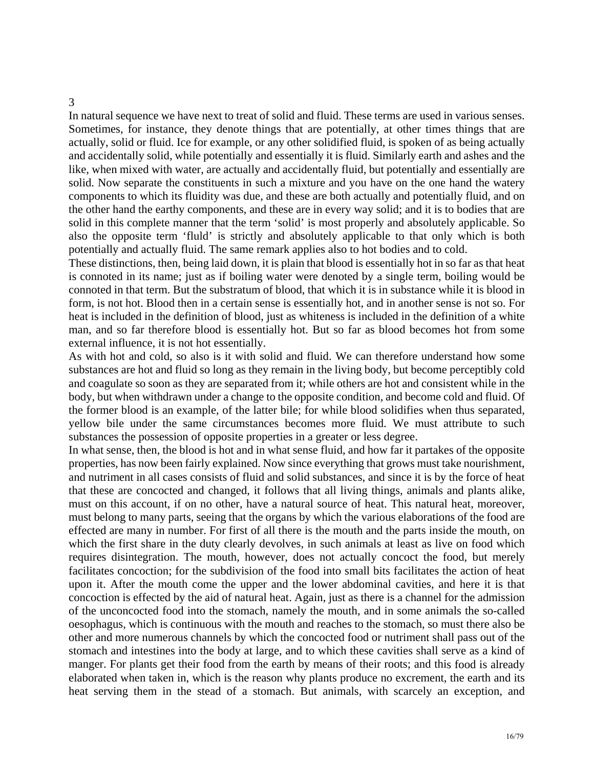#### 3

In natural sequence we have next to treat of solid and fluid. These terms are used in various senses. Sometimes, for instance, they denote things that are potentially, at other times things that are actually, solid or fluid. Ice for example, or any other solidified fluid, is spoken of as being actually and accidentally solid, while potentially and essentially it is fluid. Similarly earth and ashes and the like, when mixed with water, are actually and accidentally fluid, but potentially and essentially are solid. Now separate the constituents in such a mixture and you have on the one hand the watery components to which its fluidity was due, and these are both actually and potentially fluid, and on the other hand the earthy components, and these are in every way solid; and it is to bodies that are solid in this complete manner that the term 'solid' is most properly and absolutely applicable. So also the opposite term 'fluld' is strictly and absolutely applicable to that only which is both potentially and actually fluid. The same remark applies also to hot bodies and to cold.

These distinctions, then, being laid down, it is plain that blood is essentially hot in so far as that heat is connoted in its name; just as if boiling water were denoted by a single term, boiling would be onnoted in that term. But the substratum of blood, that which it is in substance while it is blood in c form, is not hot. Blood then in a certain sense is essentially hot, and in another sense is not so. For heat is included in the definition of blood, just as whiteness is included in the definition of a white man, and so far therefore blood is essentially hot. But so far as blood becomes hot from some external influence, it is not hot essentially.

As with hot and cold, so also is it with solid and fluid. We can therefore understand how some substances are hot and fluid so long as they remain in the living body, but become perceptibly cold and coagulate so soon as they are separated from it; while others are hot and consistent while in the body, but when withdrawn under a change to the opposite condition, and become cold and fluid. Of the former blood is an example, of the latter bile; for while blood solidifies when thus separated, yellow bile under the same circumstances becomes more fluid. We must attribute to such substances the possession of opposite properties in a greater or less degree.

and nutriment in all cases consists of fluid and solid substances, and since it is by the force of heat facilitates concoction; for the subdivision of the food into small bits facilitates the action of heat manger. For plants get their food from the earth by means of their roots; and this food is already In what sense, then, the blood is hot and in what sense fluid, and how far it partakes of the opposite properties, has now been fairly explained. Now since everything that grows must take nourishment, that these are concocted and changed, it follows that all living things, animals and plants alike, must on this account, if on no other, have a natural source of heat. This natural heat, moreover, must belong to many parts, seeing that the organs by which the various elaborations of the food are effected are many in number. For first of all there is the mouth and the parts inside the mouth, on which the first share in the duty clearly devolves, in such animals at least as live on food which requires disintegration. The mouth, however, does not actually concoct the food, but merely upon it. After the mouth come the upper and the lower abdominal cavities, and here it is that concoction is effected by the aid of natural heat. Again, just as there is a channel for the admission of the unconcocted food into the stomach, namely the mouth, and in some animals the so-called oesophagus, which is continuous with the mouth and reaches to the stomach, so must there also be other and more numerous channels by which the concocted food or nutriment shall pass out of the stomach and intestines into the body at large, and to which these cavities shall serve as a kind of elaborated when taken in, which is the reason why plants produce no excrement, the earth and its heat serving them in the stead of a stomach. But animals, with scarcely an exception, and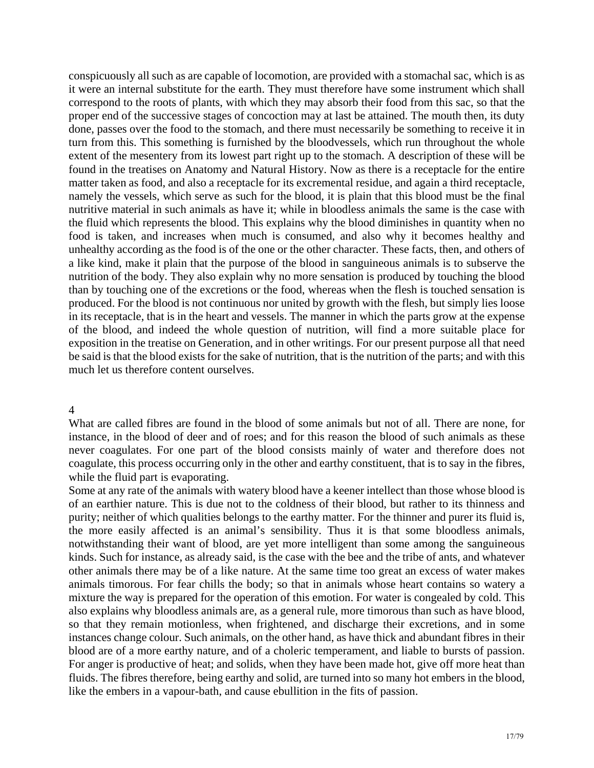conspicuously all such as are capable of locomotion, are provided with a stomachal sac, which is as it were an internal substitute for the earth. They must therefore have some instrument which shall correspond to the roots of plants, with which they may absorb their food from this sac, so that the proper end of the successive stages of concoction may at last be attained. The mouth then, its duty done, passes over the food to the stomach, and there must necessarily be something to receive it in turn from this. This something is furnished by the bloodvessels, which run throughout the whole extent of the mesentery from its lowest part right up to the stomach. A description of these will be found in the treatises on Anatomy and Natural History. Now as there is a receptacle for the entire matter taken as food, and also a receptacle for its excremental residue, and again a third receptacle, namely the vessels, which serve as such for the blood, it is plain that this blood must be the final nutritive material in such animals as have it; while in bloodless animals the same is the case with the fluid which represents the blood. This explains why the blood diminishes in quantity when no food is taken, and increases when much is consumed, and also why it becomes healthy and unhealthy according as the food is of the one or the other character. These facts, then, and others of a like kind, make it plain that the purpose of the blood in sanguineous animals is to subserve the nutrition of the body. They also explain why no more sensation is produced by touching the blood than by touching one of the excretions or the food, whereas when the flesh is touched sensation is produced. For the blood is not continuous nor united by growth with the flesh, but simply lies loose in its receptacle, that is in the heart and vessels. The manner in which the parts grow at the expense of the blood, and indeed the whole question of nutrition, will find a more suitable place for exposition in the treatise on Generation, and in other writings. For our present purpose all that need be said is that the blood exists for the sake of nutrition, that is the nutrition of the parts; and with this much let us therefore content ourselves.

#### 4

What are called fibres are found in the blood of some animals but not of all. There are none, for instance, in the blood of deer and of roes; and for this reason the blood of such animals as these never coagulates. For one part of the blood consists mainly of water and therefore does not coagulate, this process occurring only in the other and earthy constituent, that is to say in the fibres, while the fluid part is evaporating.

Some at any rate of the animals with watery blood have a keener intellect than those whose blood is of an earthier nature. This is due not to the coldness of their blood, but rather to its thinness and purity; neither of which qualities belongs to the earthy matter. For the thinner and purer its fluid is, the more easily affected is an animal's sensibility. Thus it is that some bloodless animals, notwithstanding their want of blood, are yet more intelligent than some among the sanguineous kinds. Such for instance, as already said, is the case with the bee and the tribe of ants, and whatever other animals there may be of a like nature. At the same time too great an excess of water makes animals timorous. For fear chills the body; so that in animals whose heart contains so watery a mixture the way is prepared for the operation of this emotion. For water is congealed by cold. This also explains why bloodless animals are, as a general rule, more timorous than such as have blood, so that they remain motionless, when frightened, and discharge their excretions, and in some instances change colour. Such animals, on the other hand, as have thick and abundant fibres in their blood are of a more earthy nature, and of a choleric temperament, and liable to bursts of passion. For anger is productive of heat; and solids, when they have been made hot, give off more heat than fluids. The fibres therefore, being earthy and solid, are turned into so many hot embers in the blood, like the embers in a vapour-bath, and cause ebullition in the fits of passion.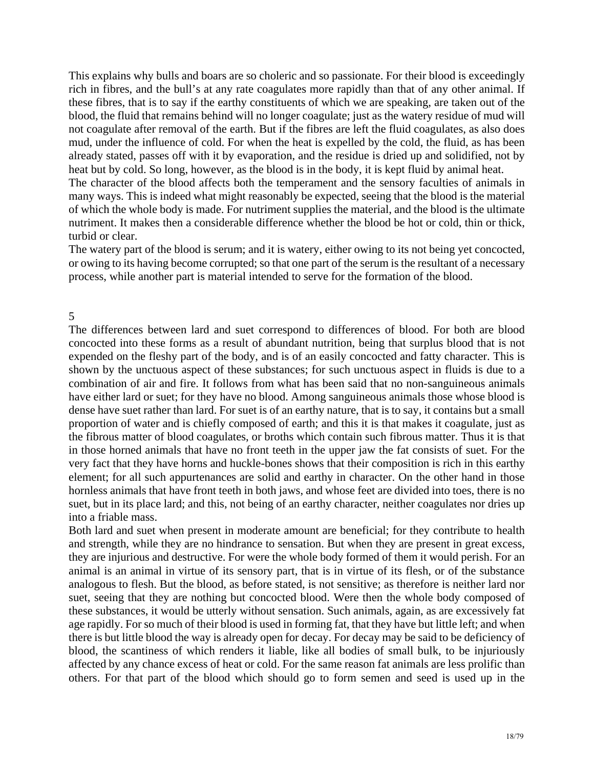This explains why bulls and boars are so choleric and so passionate. For their blood is exceedingly rich in fibres, and the bull's at any rate coagulates more rapidly than that of any other animal. If these fibres, that is to say if the earthy constituents of which we are speaking, are taken out of the blood, the fluid that remains behind will no longer coagulate; just as the watery residue of mud will not coagulate after removal of the earth. But if the fibres are left the fluid coagulates, as also does mud, under the influence of cold. For when the heat is expelled by the cold, the fluid, as has been already stated, passes off with it by evaporation, and the residue is dried up and solidified, not by heat but by cold. So long, however, as the blood is in the body, it is kept fluid by animal heat.

The character of the blood affects both the temperament and the sensory faculties of animals in many ways. This is indeed what might reasonably be expected, seeing that the blood is the material of which the whole body is made. For nutriment supplies the material, and the blood is the ultimate nutriment. It makes then a considerable difference whether the blood be hot or cold, thin or thick, turbid or clear.

The watery part of the blood is serum; and it is watery, either owing to its not being yet concocted, or owing to its having become corrupted; so that one part of the serum is the resultant of a necessary process, while another part is material intended to serve for the formation of the blood.

# 5

the fibrous matter of blood coagulates, or broths which contain such fibrous matter. Thus it is that suet, but in its place lard; and this, not being of an earthy character, neither coagulates nor dries up The differences between lard and suet correspond to differences of blood. For both are blood concocted into these forms as a result of abundant nutrition, being that surplus blood that is not expended on the fleshy part of the body, and is of an easily concocted and fatty character. This is shown by the unctuous aspect of these substances; for such unctuous aspect in fluids is due to a combination of air and fire. It follows from what has been said that no non-sanguineous animals have either lard or suet; for they have no blood. Among sanguineous animals those whose blood is dense have suet rather than lard. For suet is of an earthy nature, that is to say, it contains but a small proportion of water and is chiefly composed of earth; and this it is that makes it coagulate, just as in those horned animals that have no front teeth in the upper jaw the fat consists of suet. For the very fact that they have horns and huckle-bones shows that their composition is rich in this earthy element; for all such appurtenances are solid and earthy in character. On the other hand in those hornless animals that have front teeth in both jaws, and whose feet are divided into toes, there is no into a friable mass.

they are injurious and destructive. For were the whole body formed of them it would perish. For an nimal is an animal in virtue of its sensory part, that is in virtue of its flesh, or of the substance a nalogous to flesh. But the blood, as before stated, is not sensitive; as therefore is neither lard nor a suet, seeing that they are nothing but concocted blood. Were then the whole body composed of Both lard and suet when present in moderate amount are beneficial; for they contribute to health and strength, while they are no hindrance to sensation. But when they are present in great excess, these substances, it would be utterly without sensation. Such animals, again, as are excessively fat age rapidly. For so much of their blood is used in forming fat, that they have but little left; and when there is but little blood the way is already open for decay. For decay may be said to be deficiency of blood, the scantiness of which renders it liable, like all bodies of small bulk, to be injuriously affected by any chance excess of heat or cold. For the same reason fat animals are less prolific than others. For that part of the blood which should go to form semen and seed is used up in the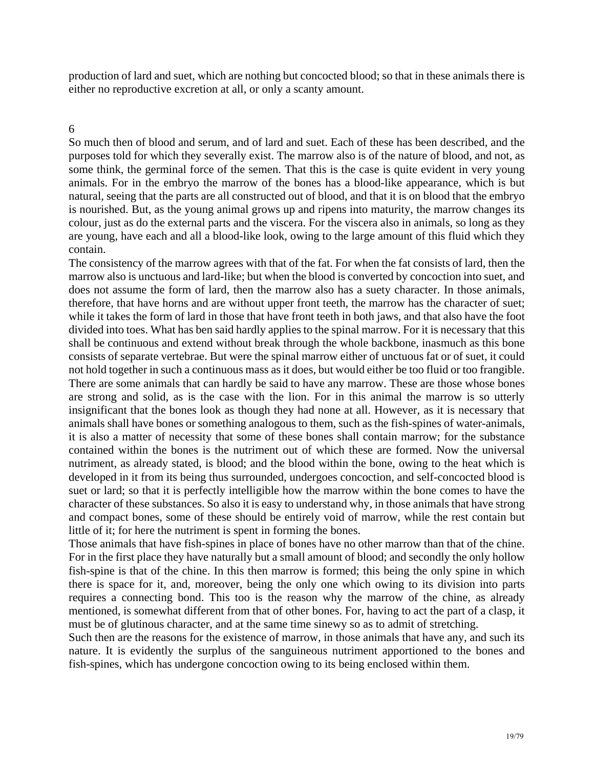production of lard and suet, which are nothing but concocted blood; so that in these animals there is either no reproductive excretion at all, or only a scanty amount.

### 6

So much then of blood and serum, and of lard and suet. Each of these has been described, and the purposes told for which they severally exist. The marrow also is of the nature of blood, and not, as some think, the germinal force of the semen. That this is the case is quite evident in very young animals. For in the embryo the marrow of the bones has a blood-like appearance, which is but natural, seeing that the parts are all constructed out of blood, and that it is on blood that the embryo is nourished. But, as the young animal grows up and ripens into maturity, the marrow changes its colour, just as do the external parts and the viscera. For the viscera also in animals, so long as they are young, have each and all a blood-like look, owing to the large amount of this fluid which they contain.

consists of separate vertebrae. But were the spinal marrow either of unctuous fat or of suet, it could not hold together in such a continuous mass as it does, but would either be too fluid or too frangible. There are some animals that can hardly be said to have any marrow. These are those whose bones are strong and solid, as is the case with the lion. For in this animal the marrow is so utterly and compact bones, some of these should be entirely void of marrow, while the rest contain but The consistency of the marrow agrees with that of the fat. For when the fat consists of lard, then the marrow also is unctuous and lard-like; but when the blood is converted by concoction into suet, and does not assume the form of lard, then the marrow also has a suety character. In those animals, therefore, that have horns and are without upper front teeth, the marrow has the character of suet; while it takes the form of lard in those that have front teeth in both jaws, and that also have the foot divided into toes. What has ben said hardly applies to the spinal marrow. For it is necessary that this shall be continuous and extend without break through the whole backbone, inasmuch as this bone insignificant that the bones look as though they had none at all. However, as it is necessary that animals shall have bones or something analogous to them, such as the fish-spines of water-animals, it is also a matter of necessity that some of these bones shall contain marrow; for the substance contained within the bones is the nutriment out of which these are formed. Now the universal nutriment, as already stated, is blood; and the blood within the bone, owing to the heat which is developed in it from its being thus surrounded, undergoes concoction, and self-concocted blood is suet or lard; so that it is perfectly intelligible how the marrow within the bone comes to have the character of these substances. So also it is easy to understand why, in those animals that have strong little of it; for here the nutriment is spent in forming the bones.

Those animals that have fish-spines in place of bones have no other marrow than that of the chine. For in the first place they have naturally but a small amount of blood; and secondly the only hollow fish-spine is that of the chine. In this then marrow is formed; this being the only spine in which there is space for it, and, moreover, being the only one which owing to its division into parts requires a connecting bond. This too is the reason why the marrow of the chine, as already mentioned, is somewhat different from that of other bones. For, having to act the part of a clasp, it must be of glutinous character, and at the same time sinewy so as to admit of stretching.

nature. It is evidently the surplus of the sanguineous nutriment apportioned to the bones and Such then are the reasons for the existence of marrow, in those animals that have any, and such its fish-spines, which has undergone concoction owing to its being enclosed within them.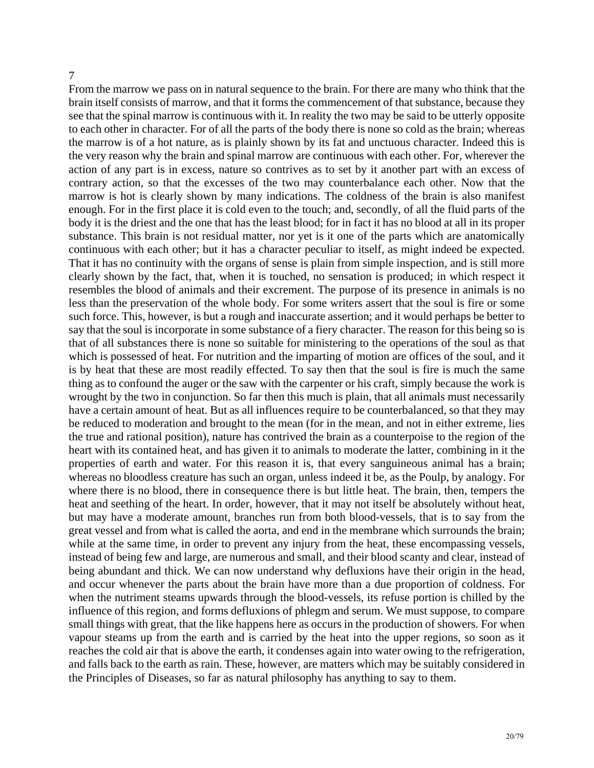#### 7

From the marrow we pass on in natural sequence to the brain. For there are many who think that the brain itself consists of marrow, and that it forms the commencement of that substance, because they see that the spinal marrow is continuous with it. In reality the two may be said to be utterly opposite to each other in character. For of all the parts of the body there is none so cold as the brain; whereas the marrow is of a hot nature, as is plainly shown by its fat and unctuous character. Indeed this is the very reason why the brain and spinal marrow are continuous with each other. For, wherever the action of any part is in excess, nature so contrives as to set by it another part with an excess of contrary action, so that the excesses of the two may counterbalance each other. Now that the such force. This, however, is but a rough and inaccurate assertion; and it would perhaps be better to say that the soul is incorporate in some substance of a fiery character. The reason for this being so is that of all substances there is none so suitable for ministering to the operations of the soul as that which is possessed of heat. For nutrition and the imparting of motion are offices of the soul, and it marrow is hot is clearly shown by many indications. The coldness of the brain is also manifest enough. For in the first place it is cold even to the touch; and, secondly, of all the fluid parts of the body it is the driest and the one that has the least blood; for in fact it has no blood at all in its proper substance. This brain is not residual matter, nor yet is it one of the parts which are anatomically continuous with each other; but it has a character peculiar to itself, as might indeed be expected. That it has no continuity with the organs of sense is plain from simple inspection, and is still more clearly shown by the fact, that, when it is touched, no sensation is produced; in which respect it resembles the blood of animals and their excrement. The purpose of its presence in animals is no less than the preservation of the whole body. For some writers assert that the soul is fire or some is by heat that these are most readily effected. To say then that the soul is fire is much the same thing as to confound the auger or the saw with the carpenter or his craft, simply because the work is wrought by the two in conjunction. So far then this much is plain, that all animals must necessarily have a certain amount of heat. But as all influences require to be counterbalanced, so that they may be reduced to moderation and brought to the mean (for in the mean, and not in either extreme, lies the true and rational position), nature has contrived the brain as a counterpoise to the region of the heart with its contained heat, and has given it to animals to moderate the latter, combining in it the properties of earth and water. For this reason it is, that every sanguineous animal has a brain; whereas no bloodless creature has such an organ, unless indeed it be, as the Poulp, by analogy. For where there is no blood, there in consequence there is but little heat. The brain, then, tempers the heat and seething of the heart. In order, however, that it may not itself be absolutely without heat, but may have a moderate amount, branches run from both blood-vessels, that is to say from the great vessel and from what is called the aorta, and end in the membrane which surrounds the brain; while at the same time, in order to prevent any injury from the heat, these encompassing vessels, instead of being few and large, are numerous and small, and their blood scanty and clear, instead of being abundant and thick. We can now understand why defluxions have their origin in the head, and occur whenever the parts about the brain have more than a due proportion of coldness. For when the nutriment steams upwards through the blood-vessels, its refuse portion is chilled by the influence of this region, and forms defluxions of phlegm and serum. We must suppose, to compare small things with great, that the like happens here as occurs in the production of showers. For when vapour steams up from the earth and is carried by the heat into the upper regions, so soon as it reaches the cold air that is above the earth, it condenses again into water owing to the refrigeration, and falls back to the earth as rain. These, however, are matters which may be suitably considered in the Principles of Diseases, so far as natural philosophy has anything to say to them.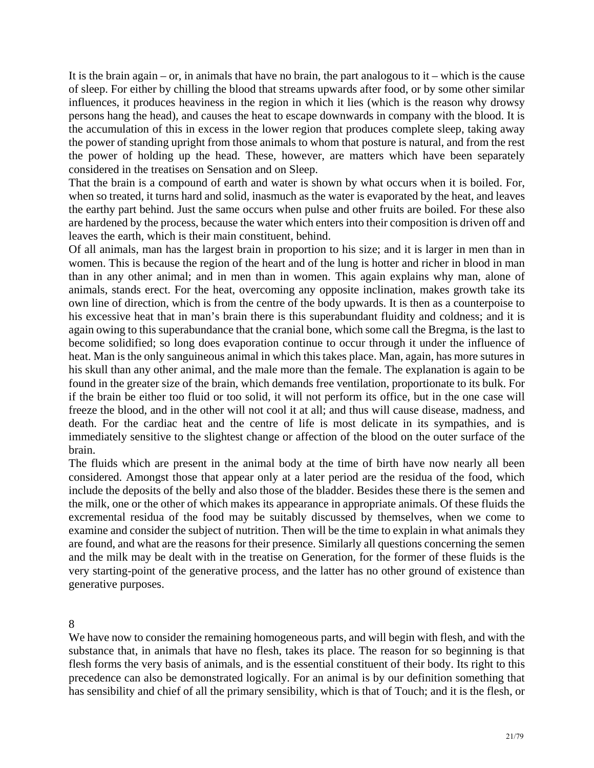It is the brain again – or, in animals that have no brain, the part analogous to  $it$  – which is the cause of sleep. For either by chilling the blood that streams upwards after food, or by some other similar influences, it produces heaviness in the region in which it lies (which is the reason why drowsy persons hang the head), and causes the heat to escape downwards in company with the blood. It is the accumulation of this in excess in the lower region that produces complete sleep, taking away the power of standing upright from those animals to whom that posture is natural, and from the rest the power of holding up the head. These, however, are matters which have been separately considered in the treatises on Sensation and on Sleep.

That the brain is a compound of earth and water is shown by what occurs when it is boiled. For, when so treated, it turns hard and solid, inasmuch as the water is evaporated by the heat, and leaves the earthy part behind. Just the same occurs when pulse and other fruits are boiled. For these also are hardened by the process, because the water which enters into their composition is driven off and leaves the earth, which is their main constituent, behind.

Of all animals, man has the largest brain in proportion to his size; and it is larger in men than in women. This is because the region of the heart and of the lung is hotter and richer in blood in man than in any other animal; and in men than in women. This again explains why man, alone of animals, stands erect. For the heat, overcoming any opposite inclination, makes growth take its own line of direction, which is from the centre of the body upwards. It is then as a counterpoise to his excessive heat that in man's brain there is this superabundant fluidity and coldness; and it is again owing to this superabundance that the cranial bone, which some call the Bregma, is the last to become solidified; so long does evaporation continue to occur through it under the influence of heat. Man is the only sanguineous animal in which this takes place. Man, again, has more sutures in his skull than any other animal, and the male more than the female. The explanation is again to be found in the greater size of the brain, which demands free ventilation, proportionate to its bulk. For if the brain be either too fluid or too solid, it will not perform its office, but in the one case will freeze the blood, and in the other will not cool it at all; and thus will cause disease, madness, and death. For the cardiac heat and the centre of life is most delicate in its sympathies, and is immediately sensitive to the slightest change or affection of the blood on the outer surface of the brain.

The fluids which are present in the animal body at the time of birth have now nearly all been examine and consider the subject of nutrition. Then will be the time to explain in what animals they considered. Amongst those that appear only at a later period are the residua of the food, which include the deposits of the belly and also those of the bladder. Besides these there is the semen and the milk, one or the other of which makes its appearance in appropriate animals. Of these fluids the excremental residua of the food may be suitably discussed by themselves, when we come to are found, and what are the reasons for their presence. Similarly all questions concerning the semen and the milk may be dealt with in the treatise on Generation, for the former of these fluids is the very starting-point of the generative process, and the latter has no other ground of existence than generative purposes.

8

We have now to consider the remaining homogeneous parts, and will begin with flesh, and with the substance that, in animals that have no flesh, takes its place. The reason for so beginning is that flesh forms the very basis of animals, and is the essential constituent of their body. Its right to this precedence can also be demonstrated logically. For an animal is by our definition something that has sensibility and chief of all the primary sensibility, which is that of Touch; and it is the flesh, or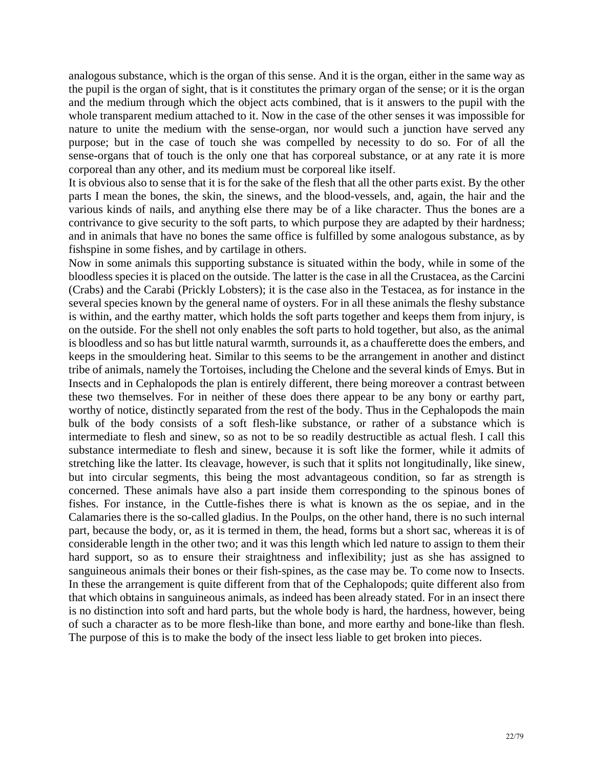analogous substance, which is the organ of this sense. And it is the organ, either in the same way as the pupil is the organ of sight, that is it constitutes the primary organ of the sense; or it is the organ and the medium through which the object acts combined, that is it answers to the pupil with the whole transparent medium attached to it. Now in the case of the other senses it was impossible for nature to unite the medium with the sense-organ, nor would such a junction have served any purpose; but in the case of touch she was compelled by necessity to do so. For of all the sense-organs that of touch is the only one that has corporeal substance, or at any rate it is more corporeal than any other, and its medium must be corporeal like itself.

fishspine in some fishes, and by cartilage in others. It is obvious also to sense that it is for the sake of the flesh that all the other parts exist. By the other parts I mean the bones, the skin, the sinews, and the blood-vessels, and, again, the hair and the various kinds of nails, and anything else there may be of a like character. Thus the bones are a contrivance to give security to the soft parts, to which purpose they are adapted by their hardness; and in animals that have no bones the same office is fulfilled by some analogous substance, as by

Now in some animals this supporting substance is situated within the body, while in some of the bloodless species it is placed on the outside. The latter is the case in all the Crustacea, as the Carcini (Crabs) and the Carabi (Prickly Lobsters); it is the case also in the Testacea, as for instance in the stretching like the latter. Its cleavage, however, is such that it splits not longitudinally, like sinew, considerable length in the other two; and it was this length which led nature to assign to them their several species known by the general name of oysters. For in all these animals the fleshy substance is within, and the earthy matter, which holds the soft parts together and keeps them from injury, is on the outside. For the shell not only enables the soft parts to hold together, but also, as the animal is bloodless and so has but little natural warmth, surrounds it, as a chaufferette does the embers, and keeps in the smouldering heat. Similar to this seems to be the arrangement in another and distinct tribe of animals, namely the Tortoises, including the Chelone and the several kinds of Emys. But in Insects and in Cephalopods the plan is entirely different, there being moreover a contrast between these two themselves. For in neither of these does there appear to be any bony or earthy part, worthy of notice, distinctly separated from the rest of the body. Thus in the Cephalopods the main bulk of the body consists of a soft flesh-like substance, or rather of a substance which is intermediate to flesh and sinew, so as not to be so readily destructible as actual flesh. I call this substance intermediate to flesh and sinew, because it is soft like the former, while it admits of but into circular segments, this being the most advantageous condition, so far as strength is concerned. These animals have also a part inside them corresponding to the spinous bones of fishes. For instance, in the Cuttle-fishes there is what is known as the os sepiae, and in the Calamaries there is the so-called gladius. In the Poulps, on the other hand, there is no such internal part, because the body, or, as it is termed in them, the head, forms but a short sac, whereas it is of hard support, so as to ensure their straightness and inflexibility; just as she has assigned to sanguineous animals their bones or their fish-spines, as the case may be. To come now to Insects. In these the arrangement is quite different from that of the Cephalopods; quite different also from that which obtains in sanguineous animals, as indeed has been already stated. For in an insect there is no distinction into soft and hard parts, but the whole body is hard, the hardness, however, being of such a character as to be more flesh-like than bone, and more earthy and bone-like than flesh. The purpose of this is to make the body of the insect less liable to get broken into pieces.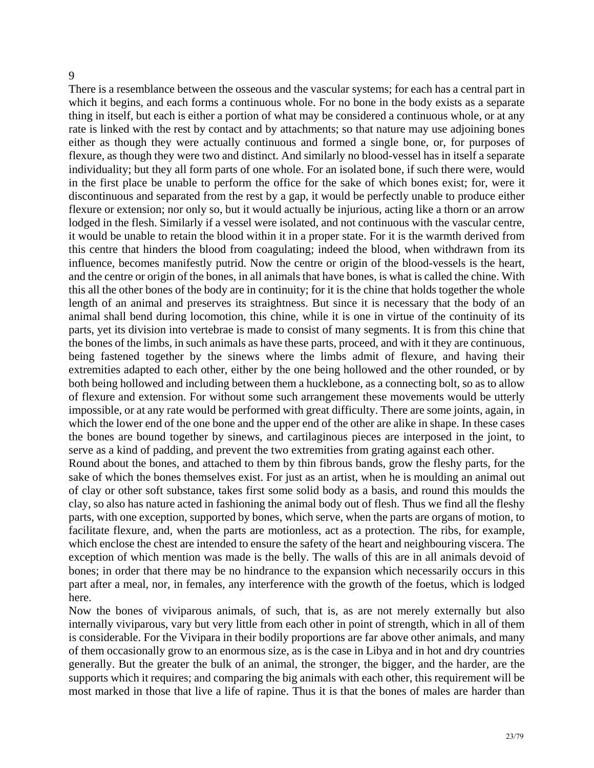#### 9

There is a resemblance between the osseous and the vascular systems; for each has a central part in which it begins, and each forms a continuous whole. For no bone in the body exists as a separate thing in itself, but each is either a portion of what may be considered a continuous whole, or at any rate is linked with the rest by contact and by attachments; so that nature may use adjoining bones either as though they were actually continuous and formed a single bone, or, for purposes of flexure, as though they were two and distinct. And similarly no blood-vessel has in itself a separate individuality; but they all form parts of one whole. For an isolated bone, if such there were, would in the first place be unable to perform the office for the sake of which bones exist; for, were it discontinuous and separated from the rest by a gap, it would be perfectly unable to produce either flexure or extension; nor only so, but it would actually be injurious, acting like a thorn or an arrow lodged in the flesh. Similarly if a vessel were isolated, and not continuous with the vascular centre, it would be unable to retain the blood within it in a proper state. For it is the warmth derived from this centre that hinders the blood from coagulating; indeed the blood, when withdrawn from its influence, becomes manifestly putrid. Now the centre or origin of the blood-vessels is the heart, and the centre or origin of the bones, in all animals that have bones, is what is called the chine. With this all the other bones of the body are in continuity; for it is the chine that holds together the whole length of an animal and preserves its straightness. But since it is necessary that the body of an animal shall bend during locomotion, this chine, while it is one in virtue of the continuity of its parts, yet its division into vertebrae is made to consist of many segments. It is from this chine that the bones of the limbs, in such animals as have these parts, proceed, and with it they are continuous, being fastened together by the sinews where the limbs admit of flexure, and having their extremities adapted to each other, either by the one being hollowed and the other rounded, or by both being hollowed and including between them a hucklebone, as a connecting bolt, so as to allow of flexure and extension. For without some such arrangement these movements would be utterly impossible, or at any rate would be performed with great difficulty. There are some joints, again, in which the lower end of the one bone and the upper end of the other are alike in shape. In these cases the bones are bound together by sinews, and cartilaginous pieces are interposed in the joint, to serve as a kind of padding, and prevent the two extremities from grating against each other.

Round about the bones, and attached to them by thin fibrous bands, grow the fleshy parts, for the sake of which the bones themselves exist. For just as an artist, when he is moulding an animal out of clay or other soft substance, takes first some solid body as a basis, and round this moulds the clay, so also has nature acted in fashioning the animal body out of flesh. Thus we find all the fleshy parts, with one exception, supported by bones, which serve, when the parts are organs of motion, to facilitate flexure, and, when the parts are motionless, act as a protection. The ribs, for example, which enclose the chest are intended to ensure the safety of the heart and neighbouring viscera. The exception of which mention was made is the belly. The walls of this are in all animals devoid of bones; in order that there may be no hindrance to the expansion which necessarily occurs in this part after a meal, nor, in females, any interference with the growth of the foetus, which is lodged here.

Now the bones of viviparous animals, of such, that is, as are not merely externally but also internally viviparous, vary but very little from each other in point of strength, which in all of them is considerable. For the Vivipara in their bodily proportions are far above other animals, and many of them occasionally grow to an enormous size, as is the case in Libya and in hot and dry countries generally. But the greater the bulk of an animal, the stronger, the bigger, and the harder, are the supports which it requires; and comparing the big animals with each other, this requirement will be most marked in those that live a life of rapine. Thus it is that the bones of males are harder than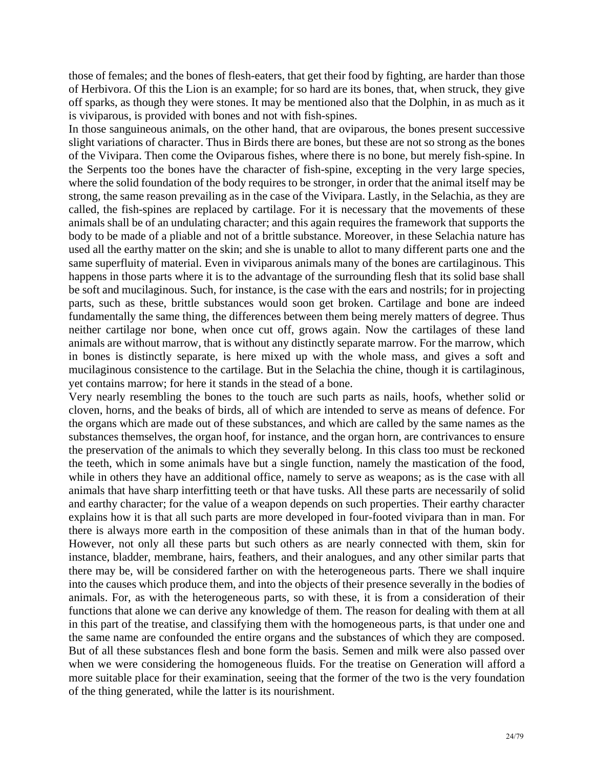those of females; and the bones of flesh-eaters, that get their food by fighting, are harder than those of Herbivora. Of this the Lion is an example; for so hard are its bones, that, when struck, they give off sparks, as though they were stones. It may be mentioned also that the Dolphin, in as much as it is viviparous, is provided with bones and not with fish-spines.

same superfluity of material. Even in viviparous animals many of the bones are cartilaginous. This In those sanguineous animals, on the other hand, that are oviparous, the bones present successive slight variations of character. Thus in Birds there are bones, but these are not so strong as the bones of the Vivipara. Then come the Oviparous fishes, where there is no bone, but merely fish-spine. In the Serpents too the bones have the character of fish-spine, excepting in the very large species, where the solid foundation of the body requires to be stronger, in order that the animal itself may be strong, the same reason prevailing as in the case of the Vivipara. Lastly, in the Selachia, as they are called, the fish-spines are replaced by cartilage. For it is necessary that the movements of these animals shall be of an undulating character; and this again requires the framework that supports the body to be made of a pliable and not of a brittle substance. Moreover, in these Selachia nature has used all the earthy matter on the skin; and she is unable to allot to many different parts one and the happens in those parts where it is to the advantage of the surrounding flesh that its solid base shall be soft and mucilaginous. Such, for instance, is the case with the ears and nostrils; for in projecting parts, such as these, brittle substances would soon get broken. Cartilage and bone are indeed fundamentally the same thing, the differences between them being merely matters of degree. Thus neither cartilage nor bone, when once cut off, grows again. Now the cartilages of these land animals are without marrow, that is without any distinctly separate marrow. For the marrow, which in bones is distinctly separate, is here mixed up with the whole mass, and gives a soft and mucilaginous consistence to the cartilage. But in the Selachia the chine, though it is cartilaginous, yet contains marrow; for here it stands in the stead of a bone.

the organs which are made out of these substances, and which are called by the same names as the of the thing generated, while the latter is its nourishment. Very nearly resembling the bones to the touch are such parts as nails, hoofs, whether solid or cloven, horns, and the beaks of birds, all of which are intended to serve as means of defence. For substances themselves, the organ hoof, for instance, and the organ horn, are contrivances to ensure the preservation of the animals to which they severally belong. In this class too must be reckoned the teeth, which in some animals have but a single function, namely the mastication of the food, while in others they have an additional office, namely to serve as weapons; as is the case with all animals that have sharp interfitting teeth or that have tusks. All these parts are necessarily of solid and earthy character; for the value of a weapon depends on such properties. Their earthy character explains how it is that all such parts are more developed in four-footed vivipara than in man. For there is always more earth in the composition of these animals than in that of the human body. However, not only all these parts but such others as are nearly connected with them, skin for instance, bladder, membrane, hairs, feathers, and their analogues, and any other similar parts that there may be, will be considered farther on with the heterogeneous parts. There we shall inquire into the causes which produce them, and into the objects of their presence severally in the bodies of animals. For, as with the heterogeneous parts, so with these, it is from a consideration of their functions that alone we can derive any knowledge of them. The reason for dealing with them at all in this part of the treatise, and classifying them with the homogeneous parts, is that under one and the same name are confounded the entire organs and the substances of which they are composed. But of all these substances flesh and bone form the basis. Semen and milk were also passed over when we were considering the homogeneous fluids. For the treatise on Generation will afford a more suitable place for their examination, seeing that the former of the two is the very foundation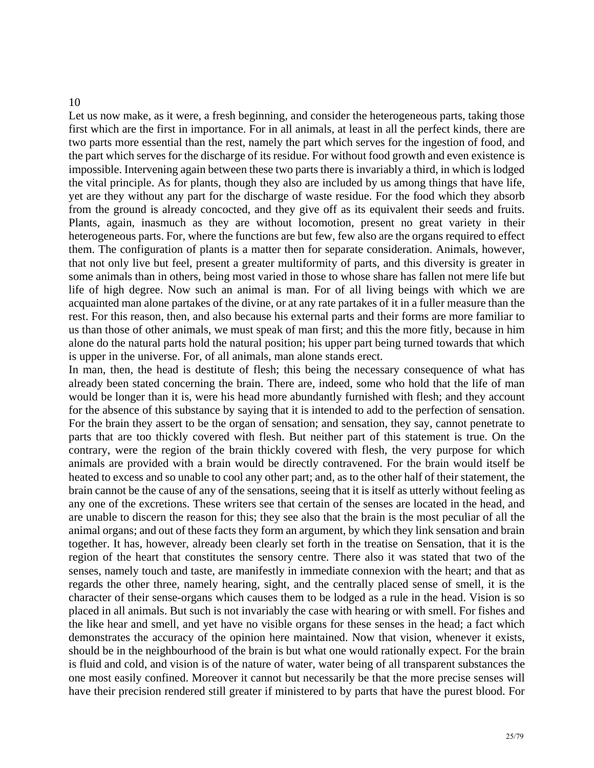#### 10

Let us now make, as it were, a fresh beginning, and consider the heterogeneous parts, taking those first which are the first in importance. For in all animals, at least in all the perfect kinds, there are two parts more essential than the rest, namely the part which serves for the ingestion of food, and the part which serves for the discharge of its residue. For without food growth and even existence is impossible. Intervening again between these two parts there is invariably a third, in which is lodged the vital principle. As for plants, though they also are included by us among things that have life, yet are they without any part for the discharge of waste residue. For the food which they absorb from the ground is already concocted, and they give off as its equivalent their seeds and fruits. Plants, again, inasmuch as they are without locomotion, present no great variety in their heterogeneous parts. For, where the functions are but few, few also are the organs required to effect them. The configuration of plants is a matter then for separate consideration. Animals, however, that not only live but feel, present a greater multiformity of parts, and this diversity is greater in some animals than in others, being most varied in those to whose share has fallen not mere life but life of high degree. Now such an animal is man. For of all living beings with which we are acquainted man alone partakes of the divine, or at any rate partakes of it in a fuller measure than the rest. For this reason, then, and also because his external parts and their forms are more familiar to us than those of other animals, we must speak of man first; and this the more fitly, because in him alone do the natural parts hold the natural position; his upper part being turned towards that which is upper in the universe. For, of all animals, man alone stands erect.

In man, then, the head is destitute of flesh; this being the necessary consequence of what has already been stated concerning the brain. There are, indeed, some who hold that the life of man would be longer than it is, were his head more abundantly furnished with flesh; and they account for the absence of this substance by saying that it is intended to add to the perfection of sensation. For the brain they assert to be the organ of sensation; and sensation, they say, cannot penetrate to parts that are too thickly covered with flesh. But neither part of this statement is true. On the have their precision rendered still greater if ministered to by parts that have the purest blood. For contrary, were the region of the brain thickly covered with flesh, the very purpose for which animals are provided with a brain would be directly contravened. For the brain would itself be heated to excess and so unable to cool any other part; and, as to the other half of their statement, the brain cannot be the cause of any of the sensations, seeing that it is itself as utterly without feeling as any one of the excretions. These writers see that certain of the senses are located in the head, and are unable to discern the reason for this; they see also that the brain is the most peculiar of all the animal organs; and out of these facts they form an argument, by which they link sensation and brain together. It has, however, already been clearly set forth in the treatise on Sensation, that it is the region of the heart that constitutes the sensory centre. There also it was stated that two of the senses, namely touch and taste, are manifestly in immediate connexion with the heart; and that as regards the other three, namely hearing, sight, and the centrally placed sense of smell, it is the character of their sense-organs which causes them to be lodged as a rule in the head. Vision is so placed in all animals. But such is not invariably the case with hearing or with smell. For fishes and the like hear and smell, and yet have no visible organs for these senses in the head; a fact which demonstrates the accuracy of the opinion here maintained. Now that vision, whenever it exists, should be in the neighbourhood of the brain is but what one would rationally expect. For the brain is fluid and cold, and vision is of the nature of water, water being of all transparent substances the one most easily confined. Moreover it cannot but necessarily be that the more precise senses will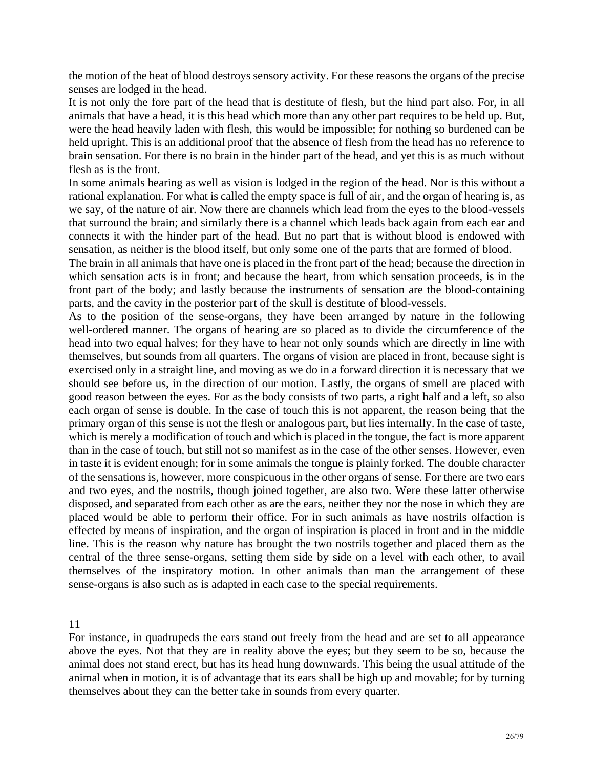the motion of the heat of blood destroys sensory activity. For these reasons the organs of the precise senses are lodged in the head.

It is not only the fore part of the head that is destitute of flesh, but the hind part also. For, in all animals that have a head, it is this head which more than any other part requires to be held up. But, were the head heavily laden with flesh, this would be impossible; for nothing so burdened can be held upright. This is an additional proof that the absence of flesh from the head has no reference to brain sensation. For there is no brain in the hinder part of the head, and yet this is as much without flesh as is the front.

In some animals hearing as well as vision is lodged in the region of the head. Nor is this without a rational explanation. For what is called the empty space is full of air, and the organ of hearing is, as we say, of the nature of air. Now there are channels which lead from the eyes to the blood-vessels that surround the brain; and similarly there is a channel which leads back again from each ear and connects it with the hinder part of the head. But no part that is without blood is endowed with sensation, as neither is the blood itself, but only some one of the parts that are formed of blood.

The brain in all animals that have one is placed in the front part of the head; because the direction in which sensation acts is in front; and because the heart, from which sensation proceeds, is in the front part of the body; and lastly because the instruments of sensation are the blood-containing parts, and the cavity in the posterior part of the skull is destitute of blood-vessels.

than in the case of touch, but still not so manifest as in the case of the other senses. However, even effected by means of inspiration, and the organ of inspiration is placed in front and in the middle As to the position of the sense-organs, they have been arranged by nature in the following well-ordered manner. The organs of hearing are so placed as to divide the circumference of the head into two equal halves; for they have to hear not only sounds which are directly in line with themselves, but sounds from all quarters. The organs of vision are placed in front, because sight is exercised only in a straight line, and moving as we do in a forward direction it is necessary that we should see before us, in the direction of our motion. Lastly, the organs of smell are placed with good reason between the eyes. For as the body consists of two parts, a right half and a left, so also each organ of sense is double. In the case of touch this is not apparent, the reason being that the primary organ of this sense is not the flesh or analogous part, but lies internally. In the case of taste, which is merely a modification of touch and which is placed in the tongue, the fact is more apparent in taste it is evident enough; for in some animals the tongue is plainly forked. The double character of the sensations is, however, more conspicuous in the other organs of sense. For there are two ears and two eyes, and the nostrils, though joined together, are also two. Were these latter otherwise disposed, and separated from each other as are the ears, neither they nor the nose in which they are placed would be able to perform their office. For in such animals as have nostrils olfaction is line. This is the reason why nature has brought the two nostrils together and placed them as the central of the three sense-organs, setting them side by side on a level with each other, to avail themselves of the inspiratory motion. In other animals than man the arrangement of these sense-organs is also such as is adapted in each case to the special requirements.

11

animal when in motion, it is of advantage that its ears shall be high up and movable; for by turning themselves about they can the better take in sounds from every quarter. For instance, in quadrupeds the ears stand out freely from the head and are set to all appearance above the eyes. Not that they are in reality above the eyes; but they seem to be so, because the animal does not stand erect, but has its head hung downwards. This being the usual attitude of the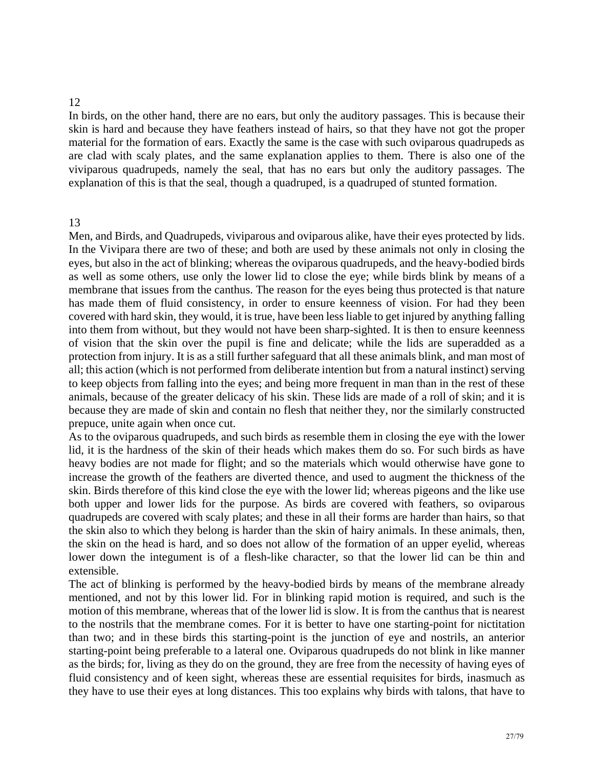### 12

In birds, on the other hand, there are no ears, but only the auditory passages. This is because their skin is hard and because they have feathers instead of hairs, so that they have not got the proper material for the formation of ears. Exactly the same is the case with such oviparous quadrupeds as are clad with scaly plates, and the same explanation applies to them. There is also one of the viviparous quadrupeds, namely the seal, that has no ears but only the auditory passages. The explanation of this is that the seal, though a quadruped, is a quadruped of stunted formation.

# 13

Men, and Birds, and Quadrupeds, viviparous and oviparous alike, have their eyes protected by lids. In the Vivipara there are two of these; and both are used by these animals not only in closing the eyes, but also in the act of blinking; whereas the oviparous quadrupeds, and the heavy-bodied birds as well as some others, use only the lower lid to close the eye; while birds blink by means of a membrane that issues from the canthus. The reason for the eyes being thus protected is that nature has made them of fluid consistency, in order to ensure keenness of vision. For had they been covered with hard skin, they would, it is true, have been less liable to get injured by anything falling into them from without, but they would not have been sharp-sighted. It is then to ensure keenness of vision that the skin over the pupil is fine and delicate; while the lids are superadded as a protection from injury. It is as a still further safeguard that all these animals blink, and man most of all; this action (which is not performed from deliberate intention but from a natural instinct) serving to keep objects from falling into the eyes; and being more frequent in man than in the rest of these animals, because of the greater delicacy of his skin. These lids are made of a roll of skin; and it is because they are made of skin and contain no flesh that neither they, nor the similarly constructed prepuce, unite again when once cut.

heavy bodies are not made for flight; and so the materials which would otherwise have gone to increase the growth of the feathers are diverted thence, and used to augment the thickness of the skin. Birds therefore of this kind close the eye with the lower lid; whereas pigeons and the like use both upper and lower lids for the purpose. As birds are covered with feathers, so oviparous As to the oviparous quadrupeds, and such birds as resemble them in closing the eye with the lower lid, it is the hardness of the skin of their heads which makes them do so. For such birds as have quadrupeds are covered with scaly plates; and these in all their forms are harder than hairs, so that the skin also to which they belong is harder than the skin of hairy animals. In these animals, then, the skin on the head is hard, and so does not allow of the formation of an upper eyelid, whereas lower down the integument is of a flesh-like character, so that the lower lid can be thin and extensible.

The act of blinking is performed by the heavy-bodied birds by means of the membrane already mentioned, and not by this lower lid. For in blinking rapid motion is required, and such is the motion of this membrane, whereas that of the lower lid is slow. It is from the canthus that is nearest to the nostrils that the membrane comes. For it is better to have one starting-point for nictitation than two; and in these birds this starting-point is the junction of eye and nostrils, an anterior starting-point being preferable to a lateral one. Oviparous quadrupeds do not blink in like manner as the birds; for, living as they do on the ground, they are free from the necessity of having eyes of fluid consistency and of keen sight, whereas these are essential requisites for birds, inasmuch as they have to use their eyes at long distances. This too explains why birds with talons, that have to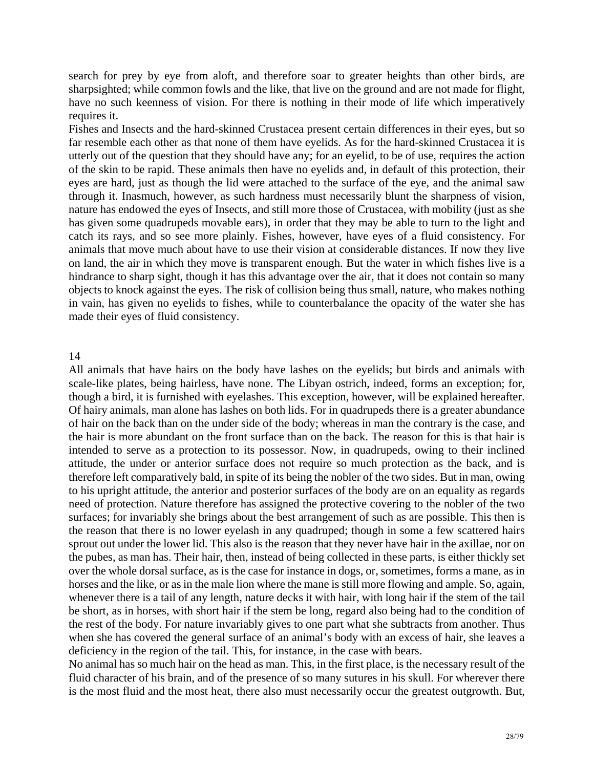search for prey by eye from aloft, and therefore soar to greater heights than other birds, are sharpsighted; while common fowls and the like, that live on the ground and are not made for flight, have no such keenness of vision. For there is nothing in their mode of life which imperatively requires it.

Fishes and Insects and the hard-skinned Crustacea present certain differences in their eyes, but so far resemble each other as that none of them have eyelids. As for the hard-skinned Crustacea it is utterly out of the question that they should have any; for an eyelid, to be of use, requires the action of the skin to be rapid. These animals then have no eyelids and, in default of this protection, their eyes are hard, just as though the lid were attached to the surface of the eye, and the animal saw through it. Inasmuch, however, as such hardness must necessarily blunt the sharpness of vision, nature has endowed the eyes of Insects, and still more those of Crustacea, with mobility (just as she has given some quadrupeds movable ears), in order that they may be able to turn to the light and catch its rays, and so see more plainly. Fishes, however, have eyes of a fluid consistency. For animals that move much about have to use their vision at considerable distances. If now they live on land, the air in which they move is transparent enough. But the water in which fishes live is a hindrance to sharp sight, though it has this advantage over the air, that it does not contain so many objects to knock against the eyes. The risk of collision being thus small, nature, who makes nothing in vain, has given no eyelids to fishes, while to counterbalance the opacity of the water she has made their eyes of fluid consistency.

### 14

surfaces; for invariably she brings about the best arrangement of such as are possible. This then is All animals that have hairs on the body have lashes on the eyelids; but birds and animals with scale-like plates, being hairless, have none. The Libyan ostrich, indeed, forms an exception; for, though a bird, it is furnished with eyelashes. This exception, however, will be explained hereafter. Of hairy animals, man alone has lashes on both lids. For in quadrupeds there is a greater abundance of hair on the back than on the under side of the body; whereas in man the contrary is the case, and the hair is more abundant on the front surface than on the back. The reason for this is that hair is intended to serve as a protection to its possessor. Now, in quadrupeds, owing to their inclined attitude, the under or anterior surface does not require so much protection as the back, and is therefore left comparatively bald, in spite of its being the nobler of the two sides. But in man, owing to his upright attitude, the anterior and posterior surfaces of the body are on an equality as regards need of protection. Nature therefore has assigned the protective covering to the nobler of the two the reason that there is no lower eyelash in any quadruped; though in some a few scattered hairs sprout out under the lower lid. This also is the reason that they never have hair in the axillae, nor on the pubes, as man has. Their hair, then, instead of being collected in these parts, is either thickly set over the whole dorsal surface, as is the case for instance in dogs, or, sometimes, forms a mane, as in horses and the like, or as in the male lion where the mane is still more flowing and ample. So, again, whenever there is a tail of any length, nature decks it with hair, with long hair if the stem of the tail be short, as in horses, with short hair if the stem be long, regard also being had to the condition of the rest of the body. For nature invariably gives to one part what she subtracts from another. Thus when she has covered the general surface of an animal's body with an excess of hair, she leaves a deficiency in the region of the tail. This, for instance, in the case with bears.

No animal has so much hair on the head as man. This, in the first place, is the necessary result of the fluid character of his brain, and of the presence of so many sutures in his skull. For wherever there is the most fluid and the most heat, there also must necessarily occur the greatest outgrowth. But,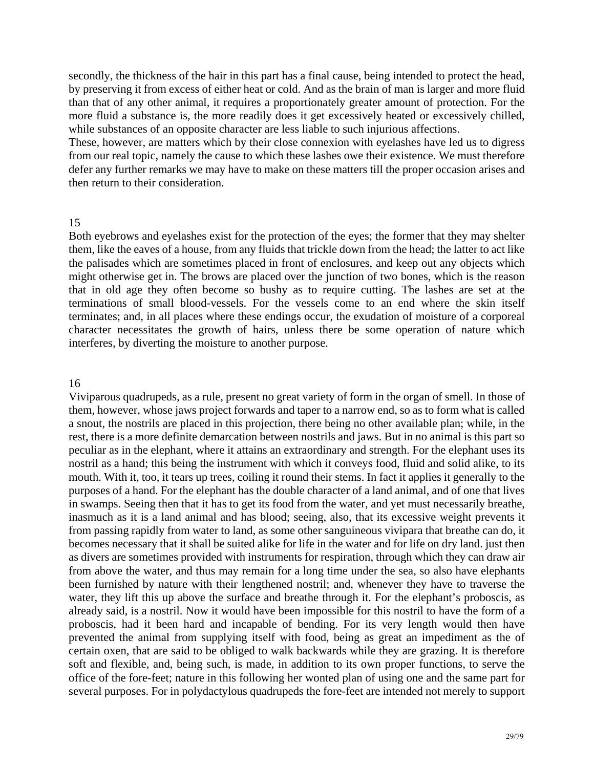secondly, the thickness of the hair in this part has a final cause, being intended to protect the head, by preserving it from excess of either heat or cold. And as the brain of man is larger and more fluid than that of any other animal, it requires a proportionately greater amount of protection. For the more fluid a substance is, the more readily does it get excessively heated or excessively chilled, while substances of an opposite character are less liable to such injurious affections.

These, however, are matters which by their close connexion with eyelashes have led us to digress from our real topic, namely the cause to which these lashes owe their existence. We must therefore defer any further remarks we may have to make on these matters till the proper occasion arises and then return to their consideration.

### 15

Both eyebrows and eyelashes exist for the protection of the eyes; the former that they may shelter them, like the eaves of a house, from any fluids that trickle down from the head; the latter to act like the palisades which are sometimes placed in front of enclosures, and keep out any objects which might otherwise get in. The brows are placed over the junction of two bones, which is the reason that in old age they often become so bushy as to require cutting. The lashes are set at the terminations of small blood-vessels. For the vessels come to an end where the skin itself terminates; and, in all places where these endings occur, the exudation of moisture of a corporeal character necessitates the growth of hairs, unless there be some operation of nature which interferes, by diverting the moisture to another purpose.

# 16

rest, there is a more definite demarcation between nostrils and jaws. But in no animal is this part so as divers are sometimes provided with instruments for respiration, through which they can draw air already said, is a nostril. Now it would have been impossible for this nostril to have the form of a proboscis, had it been hard and incapable of bending. For its very length would then have prevented the animal from supplying itself with food, being as great an impediment as the of certain oxen, that are said to be obliged to walk backwards while they are grazing. It is therefore Viviparous quadrupeds, as a rule, present no great variety of form in the organ of smell. In those of them, however, whose jaws project forwards and taper to a narrow end, so as to form what is called a snout, the nostrils are placed in this projection, there being no other available plan; while, in the peculiar as in the elephant, where it attains an extraordinary and strength. For the elephant uses its nostril as a hand; this being the instrument with which it conveys food, fluid and solid alike, to its mouth. With it, too, it tears up trees, coiling it round their stems. In fact it applies it generally to the purposes of a hand. For the elephant has the double character of a land animal, and of one that lives in swamps. Seeing then that it has to get its food from the water, and yet must necessarily breathe, inasmuch as it is a land animal and has blood; seeing, also, that its excessive weight prevents it from passing rapidly from water to land, as some other sanguineous vivipara that breathe can do, it becomes necessary that it shall be suited alike for life in the water and for life on dry land. just then from above the water, and thus may remain for a long time under the sea, so also have elephants been furnished by nature with their lengthened nostril; and, whenever they have to traverse the water, they lift this up above the surface and breathe through it. For the elephant's proboscis, as soft and flexible, and, being such, is made, in addition to its own proper functions, to serve the office of the fore-feet; nature in this following her wonted plan of using one and the same part for several purposes. For in polydactylous quadrupeds the fore-feet are intended not merely to support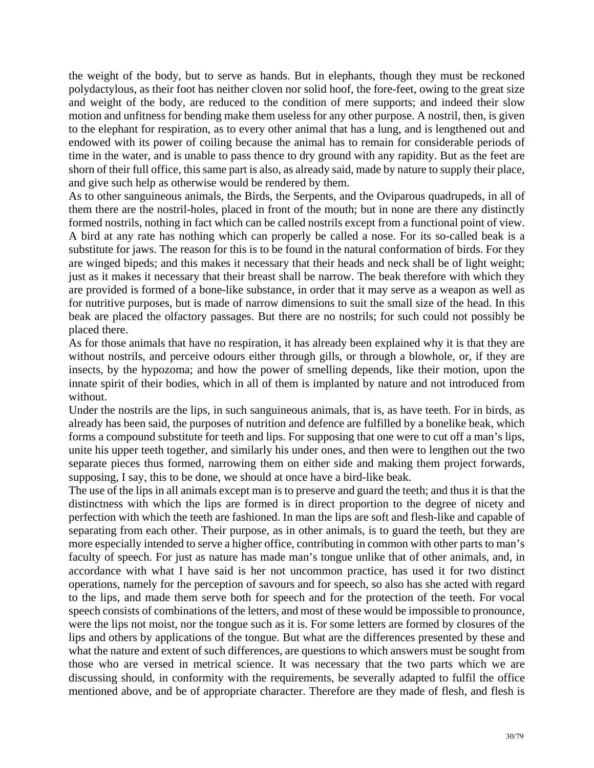the weight of the body, but to serve as hands. But in elephants, though they must be reckoned polydactylous, as their foot has neither cloven nor solid hoof, the fore-feet, owing to the great size and weight of the body, are reduced to the condition of mere supports; and indeed their slow motion and unfitness for bending make them useless for any other purpose. A nostril, then, is given to the elephant for respiration, as to every other animal that has a lung, and is lengthened out and endowed with its power of coiling because the animal has to remain for considerable periods of time in the water, and is unable to pass thence to dry ground with any rapidity. But as the feet are shorn of their full office, this same part is also, as already said, made by nature to supply their place, and give such help as otherwise would be rendered by them.

As to other sanguineous animals, the Birds, the Serpents, and the Oviparous quadrupeds, in all of them there are the nostril-holes, placed in front of the mouth; but in none are there any distinctly formed nostrils, nothing in fact which can be called nostrils except from a functional point of view. A bird at any rate has nothing which can properly be called a nose. For its so-called beak is a substitute for jaws. The reason for this is to be found in the natural conformation of birds. For they are winged bipeds; and this makes it necessary that their heads and neck shall be of light weight; just as it makes it necessary that their breast shall be narrow. The beak therefore with which they are provided is formed of a bone-like substance, in order that it may serve as a weapon as well as for nutritive purposes, but is made of narrow dimensions to suit the small size of the head. In this beak are placed the olfactory passages. But there are no nostrils; for such could not possibly be placed there.

As for those animals that have no respiration, it has already been explained why it is that they are without nostrils, and perceive odours either through gills, or through a blowhole, or, if they are insects, by the hypozoma; and how the power of smelling depends, like their motion, upon the innate spirit of their bodies, which in all of them is implanted by nature and not introduced from without.

Under the nostrils are the lips, in such sanguineous animals, that is, as have teeth. For in birds, as already has been said, the purposes of nutrition and defence are fulfilled by a bonelike beak, which forms a compound substitute for teeth and lips. For supposing that one were to cut off a man's lips, unite his upper teeth together, and similarly his under ones, and then were to lengthen out the two separate pieces thus formed, narrowing them on either side and making them project forwards, supposing, I say, this to be done, we should at once have a bird-like beak.

were the lips not moist, nor the tongue such as it is. For some letters are formed by closures of the The use of the lips in all animals except man is to preserve and guard the teeth; and thus it is that the distinctness with which the lips are formed is in direct proportion to the degree of nicety and perfection with which the teeth are fashioned. In man the lips are soft and flesh-like and capable of separating from each other. Their purpose, as in other animals, is to guard the teeth, but they are more especially intended to serve a higher office, contributing in common with other parts to man's faculty of speech. For just as nature has made man's tongue unlike that of other animals, and, in accordance with what I have said is her not uncommon practice, has used it for two distinct operations, namely for the perception of savours and for speech, so also has she acted with regard to the lips, and made them serve both for speech and for the protection of the teeth. For vocal speech consists of combinations of the letters, and most of these would be impossible to pronounce, lips and others by applications of the tongue. But what are the differences presented by these and what the nature and extent of such differences, are questions to which answers must be sought from those who are versed in metrical science. It was necessary that the two parts which we are discussing should, in conformity with the requirements, be severally adapted to fulfil the office mentioned above, and be of appropriate character. Therefore are they made of flesh, and flesh is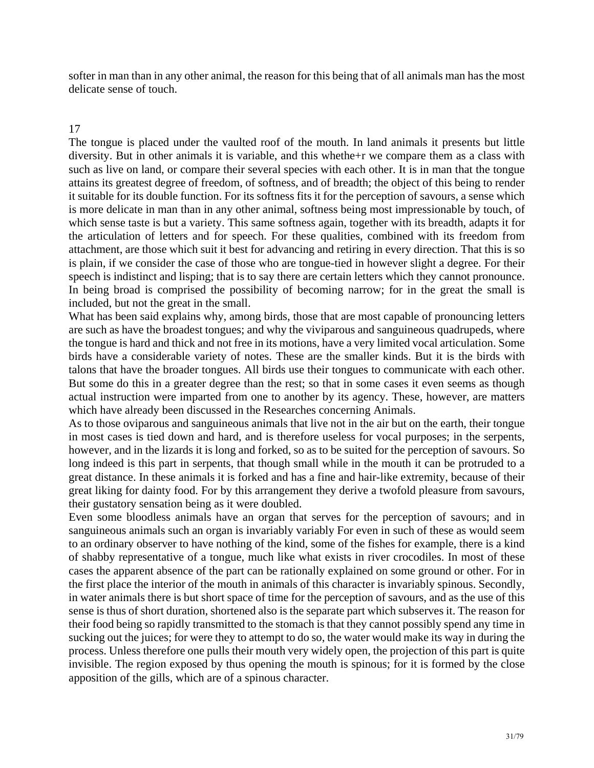softer in man than in any other animal, the reason for this being that of all animals man has the most delicate sense of touch.

# 17

The tongue is placed under the vaulted roof of the mouth. In land animals it presents but little is more delicate in man than in any other animal, softness being most impressionable by touch, of In being broad is comprised the possibility of becoming narrow; for in the great the small is diversity. But in other animals it is variable, and this whethe+r we compare them as a class with such as live on land, or compare their several species with each other. It is in man that the tongue attains its greatest degree of freedom, of softness, and of breadth; the object of this being to render it suitable for its double function. For its softness fits it for the perception of savours, a sense which which sense taste is but a variety. This same softness again, together with its breadth, adapts it for the articulation of letters and for speech. For these qualities, combined with its freedom from attachment, are those which suit it best for advancing and retiring in every direction. That this is so is plain, if we consider the case of those who are tongue-tied in however slight a degree. For their speech is indistinct and lisping; that is to say there are certain letters which they cannot pronounce. included, but not the great in the small.

What has been said explains why, among birds, those that are most capable of pronouncing letters are such as have the broadest tongues; and why the viviparous and sanguineous quadrupeds, where the tongue is hard and thick and not free in its motions, have a very limited vocal articulation. Some birds have a considerable variety of notes. These are the smaller kinds. But it is the birds with talons that have the broader tongues. All birds use their tongues to communicate with each other. But some do this in a greater degree than the rest; so that in some cases it even seems as though actual instruction were imparted from one to another by its agency. These, however, are matters which have already been discussed in the Researches concerning Animals.

As to those oviparous and sanguineous animals that live not in the air but on the earth, their tongue in most cases is tied down and hard, and is therefore useless for vocal purposes; in the serpents, however, and in the lizards it is long and forked, so as to be suited for the perception of savours. So long indeed is this part in serpents, that though small while in the mouth it can be protruded to a great distance. In these animals it is forked and has a fine and hair-like extremity, because of their great liking for dainty food. For by this arrangement they derive a twofold pleasure from savours, their gustatory sensation being as it were doubled.

sanguineous animals such an organ is invariably variably For even in such of these as would seem to an ordinary observer to have nothing of the kind, some of the fishes for example, there is a kind of shabby representative of a tongue, much like what exists in river crocodiles. In most of these cases the apparent absence of the part can be rationally explained on some ground or other. For in Even some bloodless animals have an organ that serves for the perception of savours; and in the first place the interior of the mouth in animals of this character is invariably spinous. Secondly, in water animals there is but short space of time for the perception of savours, and as the use of this sense is thus of short duration, shortened also is the separate part which subserves it. The reason for their food being so rapidly transmitted to the stomach is that they cannot possibly spend any time in sucking out the juices; for were they to attempt to do so, the water would make its way in during the process. Unless therefore one pulls their mouth very widely open, the projection of this part is quite invisible. The region exposed by thus opening the mouth is spinous; for it is formed by the close apposition of the gills, which are of a spinous character.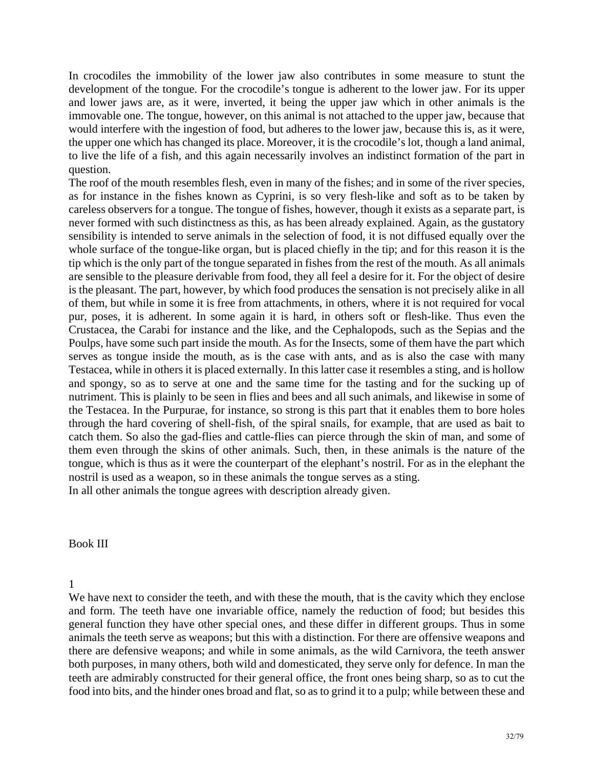In crocodiles the immobility of the lower jaw also contributes in some measure to stunt the development of the tongue. For the crocodile's tongue is adherent to the lower jaw. For its upper and lower jaws are, as it were, inverted, it being the upper jaw which in other animals is the immovable one. The tongue, however, on this animal is not attached to the upper jaw, because that would interfere with the ingestion of food, but adheres to the lower jaw, because this is, as it were, the upper one which has changed its place. Moreover, it is the crocodile's lot, though a land animal, to live the life of a fish, and this again necessarily involves an indistinct formation of the part in question.

pur, poses, it is adherent. In some again it is hard, in others soft or flesh-like. Thus even the The roof of the mouth resembles flesh, even in many of the fishes; and in some of the river species, as for instance in the fishes known as Cyprini, is so very flesh-like and soft as to be taken by careless observers for a tongue. The tongue of fishes, however, though it exists as a separate part, is never formed with such distinctness as this, as has been already explained. Again, as the gustatory sensibility is intended to serve animals in the selection of food, it is not diffused equally over the whole surface of the tongue-like organ, but is placed chiefly in the tip; and for this reason it is the tip which is the only part of the tongue separated in fishes from the rest of the mouth. As all animals are sensible to the pleasure derivable from food, they all feel a desire for it. For the object of desire is the pleasant. The part, however, by which food produces the sensation is not precisely alike in all of them, but while in some it is free from attachments, in others, where it is not required for vocal Crustacea, the Carabi for instance and the like, and the Cephalopods, such as the Sepias and the Poulps, have some such part inside the mouth. As for the Insects, some of them have the part which serves as tongue inside the mouth, as is the case with ants, and as is also the case with many Testacea, while in others it is placed externally. In this latter case it resembles a sting, and is hollow and spongy, so as to serve at one and the same time for the tasting and for the sucking up of nutriment. This is plainly to be seen in flies and bees and all such animals, and likewise in some of the Testacea. In the Purpurae, for instance, so strong is this part that it enables them to bore holes through the hard covering of shell-fish, of the spiral snails, for example, that are used as bait to catch them. So also the gad-flies and cattle-flies can pierce through the skin of man, and some of them even through the skins of other animals. Such, then, in these animals is the nature of the tongue, which is thus as it were the counterpart of the elephant's nostril. For as in the elephant the nostril is used as a weapon, so in these animals the tongue serves as a sting. In all other animals the tongue agrees with description already given.

Book III

1

We have next to consider the teeth, and with these the mouth, that is the cavity which they enclose and form. The teeth have one invariable office, namely the reduction of food; but besides this general function they have other special ones, and these differ in different groups. Thus in some animals the teeth serve as weapons; but this with a distinction. For there are offensive weapons and there are defensive weapons; and while in some animals, as the wild Carnivora, the teeth answer both purposes, in many others, both wild and domesticated, they serve only for defence. In man the teeth are admirably constructed for their general office, the front ones being sharp, so as to cut the food into bits, and the hinder ones broad and flat, so as to grind it to a pulp; while between these and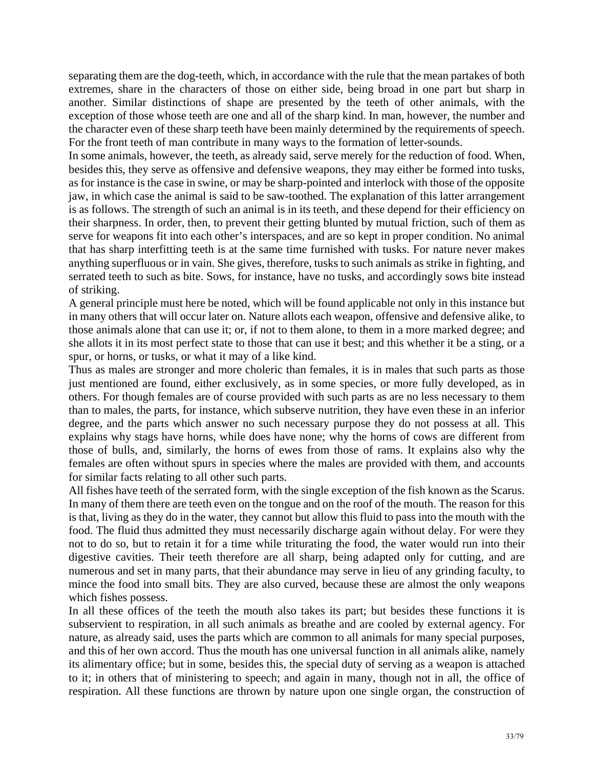separating them are the dog-teeth, which, in accordance with the rule that the mean partakes of both extremes, share in the characters of those on either side, being broad in one part but sharp in another. Similar distinctions of shape are presented by the teeth of other animals, with the exception of those whose teeth are one and all of the sharp kind. In man, however, the number and the character even of these sharp teeth have been mainly determined by the requirements of speech. For the front teeth of man contribute in many ways to the formation of letter-sounds.

In some animals, however, the teeth, as already said, serve merely for the reduction of food. When, besides this, they serve as offensive and defensive weapons, they may either be formed into tusks, as for instance is the case in swine, or may be sharp-pointed and interlock with those of the opposite jaw, in which case the animal is said to be saw-toothed. The explanation of this latter arrangement is as follows. The strength of such an animal is in its teeth, and these depend for their efficiency on their sharpness. In order, then, to prevent their getting blunted by mutual friction, such of them as serve for weapons fit into each other's interspaces, and are so kept in proper condition. No animal that has sharp interfitting teeth is at the same time furnished with tusks. For nature never makes anything superfluous or in vain. She gives, therefore, tusks to such animals as strike in fighting, and serrated teeth to such as bite. Sows, for instance, have no tusks, and accordingly sows bite instead of striking.

A general principle must here be noted, which will be found applicable not only in this instance but many others that will occur later on. Nature allots each weapon, offensive and defensive alike, to in those animals alone that can use it; or, if not to them alone, to them in a more marked degree; and she allots it in its most perfect state to those that can use it best; and this whether it be a sting, or a spur, or horns, or tusks, or what it may of a like kind.

Thus as males are stronger and more choleric than females, it is in males that such parts as those just mentioned are found, either exclusively, as in some species, or more fully developed, as in others. For though females are of course provided with such parts as are no less necessary to them than to males, the parts, for instance, which subserve nutrition, they have even these in an inferior degree, and the parts which answer no such necessary purpose they do not possess at all. This explains why stags have horns, while does have none; why the horns of cows are different from those of bulls, and, similarly, the horns of ewes from those of rams. It explains also why the females are often without spurs in species where the males are provided with them, and accounts for similar facts relating to all other such parts.

which fishes possess. All fishes have teeth of the serrated form, with the single exception of the fish known as the Scarus. In many of them there are teeth even on the tongue and on the roof of the mouth. The reason for this is that, living as they do in the water, they cannot but allow this fluid to pass into the mouth with the food. The fluid thus admitted they must necessarily discharge again without delay. For were they not to do so, but to retain it for a time while triturating the food, the water would run into their digestive cavities. Their teeth therefore are all sharp, being adapted only for cutting, and are numerous and set in many parts, that their abundance may serve in lieu of any grinding faculty, to mince the food into small bits. They are also curved, because these are almost the only weapons

In all these offices of the teeth the mouth also takes its part; but besides these functions it is subservient to respiration, in all such animals as breathe and are cooled by external agency. For nature, as already said, uses the parts which are common to all animals for many special purposes, and this of her own accord. Thus the mouth has one universal function in all animals alike, namely its alimentary office; but in some, besides this, the special duty of serving as a weapon is attached to it; in others that of ministering to speech; and again in many, though not in all, the office of respiration. All these functions are thrown by nature upon one single organ, the construction of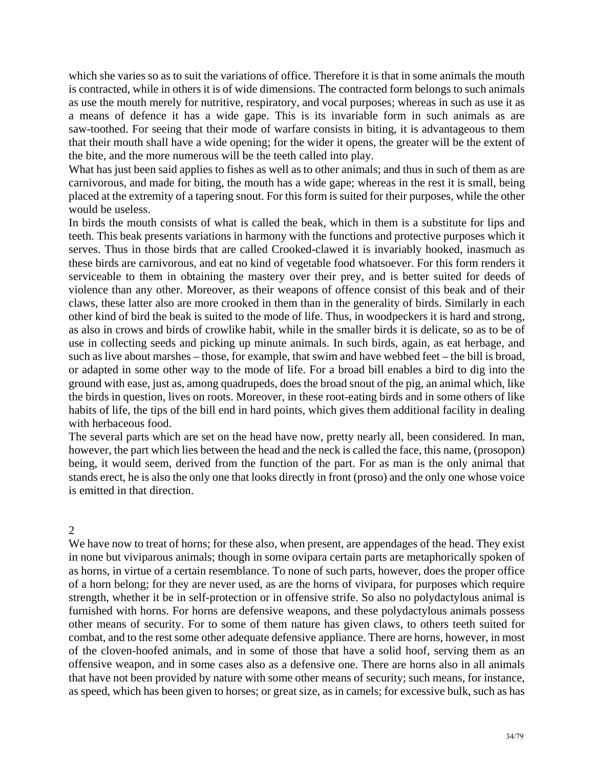which she varies so as to suit the variations of office. Therefore it is that in some animals the mouth is contracted, while in others it is of wide dimensions. The contracted form belongs to such animals as use the mouth merely for nutritive, respiratory, and vocal purposes; whereas in such as use it as a means of defence it has a wide gape. This is its invariable form in such animals as are saw-toothed. For seeing that their mode of warfare consists in biting, it is advantageous to them that their mouth shall have a wide opening; for the wider it opens, the greater will be the extent of the bite, and the more numerous will be the teeth called into play.

carnivorous, and made for biting, the mouth has a wide gape; whereas in the rest it is small, being What has just been said applies to fishes as well as to other animals; and thus in such of them as are placed at the extremity of a tapering snout. For this form is suited for their purposes, while the other would be useless.

claws, these latter also are more crooked in them than in the generality of birds. Similarly in each In birds the mouth consists of what is called the beak, which in them is a substitute for lips and teeth. This beak presents variations in harmony with the functions and protective purposes which it serves. Thus in those birds that are called Crooked-clawed it is invariably hooked, inasmuch as these birds are carnivorous, and eat no kind of vegetable food whatsoever. For this form renders it serviceable to them in obtaining the mastery over their prey, and is better suited for deeds of violence than any other. Moreover, as their weapons of offence consist of this beak and of their other kind of bird the beak is suited to the mode of life. Thus, in woodpeckers it is hard and strong, as also in crows and birds of crowlike habit, while in the smaller birds it is delicate, so as to be of use in collecting seeds and picking up minute animals. In such birds, again, as eat herbage, and such as live about marshes – those, for example, that swim and have webbed feet – the bill is broad, or adapted in some other way to the mode of life. For a broad bill enables a bird to dig into the ground with ease, just as, among quadrupeds, does the broad snout of the pig, an animal which, like the birds in question, lives on roots. Moreover, in these root-eating birds and in some others of like habits of life, the tips of the bill end in hard points, which gives them additional facility in dealing with herbaceous food.

The several parts which are set on the head have now, pretty nearly all, been considered. In man, however, the part which lies between the head and the neck is called the face, this name, (prosopon) being, it would seem, derived from the function of the part. For as man is the only animal that stands erect, he is also the only one that looks directly in front (proso) and the only one whose voice is emitted in that direction.

# 2

furnished with horns. For horns are defensive weapons, and these polydactylous animals possess offensive weapon, and in some cases also as a defensive one. There are horns also in all animals We have now to treat of horns; for these also, when present, are appendages of the head. They exist in none but viviparous animals; though in some ovipara certain parts are metaphorically spoken of as horns, in virtue of a certain resemblance. To none of such parts, however, does the proper office of a horn belong; for they are never used, as are the horns of vivipara, for purposes which require strength, whether it be in self-protection or in offensive strife. So also no polydactylous animal is other means of security. For to some of them nature has given claws, to others teeth suited for combat, and to the rest some other adequate defensive appliance. There are horns, however, in most of the cloven-hoofed animals, and in some of those that have a solid hoof, serving them as an that have not been provided by nature with some other means of security; such means, for instance, as speed, which has been given to horses; or great size, as in camels; for excessive bulk, such as has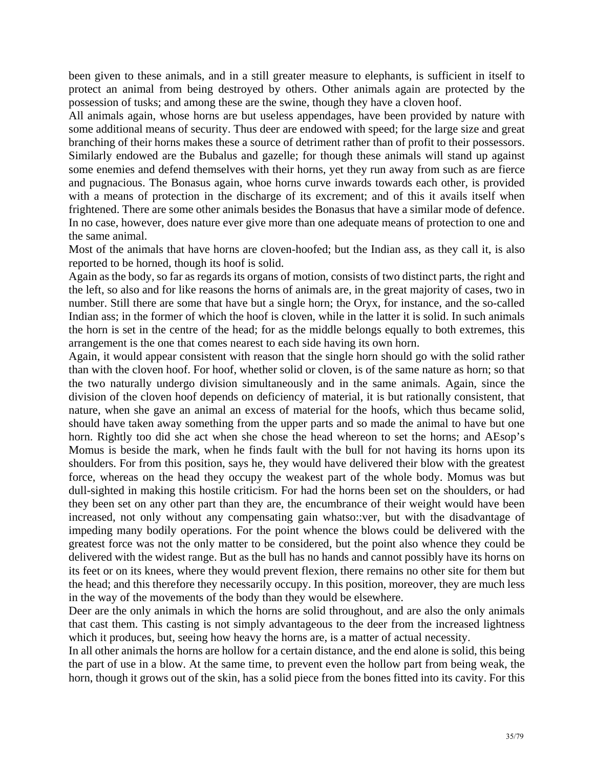been given to these animals, and in a still greater measure to elephants, is sufficient in itself to protect an animal from being destroyed by others. Other animals again are protected by the possession of tusks; and among these are the swine, though they have a cloven hoof.

All animals again, whose horns are but useless appendages, have been provided by nature with some additional means of security. Thus deer are endowed with speed; for the large size and great branching of their horns makes these a source of detriment rather than of profit to their possessors. Similarly endowed are the Bubalus and gazelle; for though these animals will stand up against some enemies and defend themselves with their horns, yet they run away from such as are fierce and pugnacious. The Bonasus again, whoe horns curve inwards towards each other, is provided with a means of protection in the discharge of its excrement; and of this it avails itself when frightened. There are some other animals besides the Bonasus that have a similar mode of defence. In no case, however, does nature ever give more than one adequate means of protection to one and the same animal.

Most of the animals that have horns are cloven-hoofed; but the Indian ass, as they call it, is also reported to be horned, though its hoof is solid.

Indian ass; in the former of which the hoof is cloven, while in the latter it is solid. In such animals the horn is set in the centre of the head; for as the middle belongs equally to both extremes, this arrangement is the one that comes nearest to each side having its own horn. Again as the body, so far as regards its organs of motion, consists of two distinct parts, the right and the left, so also and for like reasons the horns of animals are, in the great majority of cases, two in number. Still there are some that have but a single horn; the Oryx, for instance, and the so-called

Again, it would appear consistent with reason that the single horn should go with the solid rather its feet or on its knees, where they would prevent flexion, there remains no other site for them but than with the cloven hoof. For hoof, whether solid or cloven, is of the same nature as horn; so that the two naturally undergo division simultaneously and in the same animals. Again, since the division of the cloven hoof depends on deficiency of material, it is but rationally consistent, that nature, when she gave an animal an excess of material for the hoofs, which thus became solid, should have taken away something from the upper parts and so made the animal to have but one horn. Rightly too did she act when she chose the head whereon to set the horns; and AEsop's Momus is beside the mark, when he finds fault with the bull for not having its horns upon its shoulders. For from this position, says he, they would have delivered their blow with the greatest force, whereas on the head they occupy the weakest part of the whole body. Momus was but dull-sighted in making this hostile criticism. For had the horns been set on the shoulders, or had they been set on any other part than they are, the encumbrance of their weight would have been increased, not only without any compensating gain whatso::ver, but with the disadvantage of impeding many bodily operations. For the point whence the blows could be delivered with the greatest force was not the only matter to be considered, but the point also whence they could be delivered with the widest range. But as the bull has no hands and cannot possibly have its horns on the head; and this therefore they necessarily occupy. In this position, moreover, they are much less in the way of the movements of the body than they would be elsewhere.

Deer are the only animals in which the horns are solid throughout, and are also the only animals that cast them. This casting is not simply advantageous to the deer from the increased lightness which it produces, but, seeing how heavy the horns are, is a matter of actual necessity.

In all other animals the horns are hollow for a certain distance, and the end alone is solid, this being the part of use in a blow. At the same time, to prevent even the hollow part from being weak, the horn, though it grows out of the skin, has a solid piece from the bones fitted into its cavity. For this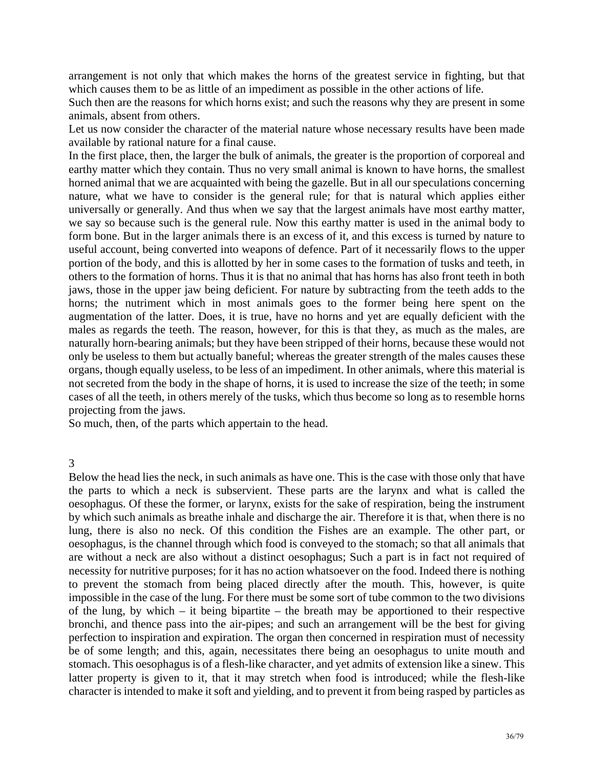arrangement is not only that which makes the horns of the greatest service in fighting, but that which causes them to be as little of an impediment as possible in the other actions of life.

Such then are the reasons for which horns exist; and such the reasons why they are present in some animals, absent from others.

Let us now consider the character of the material nature whose necessary results have been made available by rational nature for a final cause.

nature, what we have to consider is the general rule; for that is natural which applies either In the first place, then, the larger the bulk of animals, the greater is the proportion of corporeal and earthy matter which they contain. Thus no very small animal is known to have horns, the smallest horned animal that we are acquainted with being the gazelle. But in all our speculations concerning universally or generally. And thus when we say that the largest animals have most earthy matter, we say so because such is the general rule. Now this earthy matter is used in the animal body to form bone. But in the larger animals there is an excess of it, and this excess is turned by nature to useful account, being converted into weapons of defence. Part of it necessarily flows to the upper portion of the body, and this is allotted by her in some cases to the formation of tusks and teeth, in others to the formation of horns. Thus it is that no animal that has horns has also front teeth in both jaws, those in the upper jaw being deficient. For nature by subtracting from the teeth adds to the horns; the nutriment which in most animals goes to the former being here spent on the augmentation of the latter. Does, it is true, have no horns and yet are equally deficient with the males as regards the teeth. The reason, however, for this is that they, as much as the males, are naturally horn-bearing animals; but they have been stripped of their horns, because these would not only be useless to them but actually baneful; whereas the greater strength of the males causes these organs, though equally useless, to be less of an impediment. In other animals, where this material is not secreted from the body in the shape of horns, it is used to increase the size of the teeth; in some cases of all the teeth, in others merely of the tusks, which thus become so long as to resemble horns projecting from the jaws.

So much, then, of the parts which appertain to the head.

3

the parts to which a neck is subservient. These parts are the larynx and what is called the necessity for nutritive purposes; for it has no action whatsoever on the food. Indeed there is nothing impossible in the case of the lung. For there must be some sort of tube common to the two divisions bronchi, and thence pass into the air-pipes; and such an arrangement will be the best for giving Below the head lies the neck, in such animals as have one. This is the case with those only that have oesophagus. Of these the former, or larynx, exists for the sake of respiration, being the instrument by which such animals as breathe inhale and discharge the air. Therefore it is that, when there is no lung, there is also no neck. Of this condition the Fishes are an example. The other part, or oesophagus, is the channel through which food is conveyed to the stomach; so that all animals that are without a neck are also without a distinct oesophagus; Such a part is in fact not required of to prevent the stomach from being placed directly after the mouth. This, however, is quite of the lung, by which – it being bipartite – the breath may be apportioned to their respective perfection to inspiration and expiration. The organ then concerned in respiration must of necessity be of some length; and this, again, necessitates there being an oesophagus to unite mouth and stomach. This oesophagus is of a flesh-like character, and yet admits of extension like a sinew. This latter property is given to it, that it may stretch when food is introduced; while the flesh-like character is intended to make it soft and yielding, and to prevent it from being rasped by particles as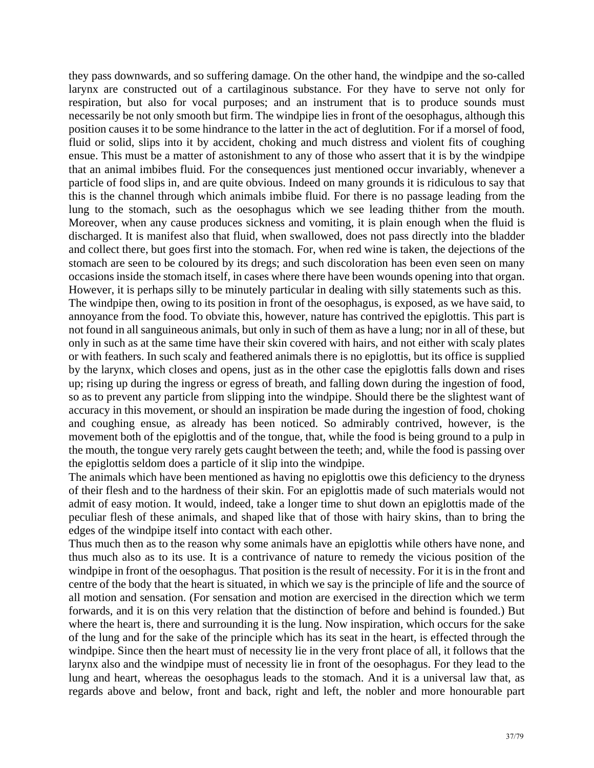they pass downwards, and so suffering damage. On the other hand, the windpipe and the so-called larynx are constructed out of a cartilaginous substance. For they have to serve not only for respiration, but also for vocal purposes; and an instrument that is to produce sounds must necessarily be not only smooth but firm. The windpipe lies in front of the oesophagus, although this position causes it to be some hindrance to the latter in the act of deglutition. For if a morsel of food, fluid or solid, slips into it by accident, choking and much distress and violent fits of coughing ensue. This must be a matter of astonishment to any of those who assert that it is by the windpipe that an animal imbibes fluid. For the consequences just mentioned occur invariably, whenever a particle of food slips in, and are quite obvious. Indeed on many grounds it is ridiculous to say that this is the channel through which animals imbibe fluid. For there is no passage leading from the lung to the stomach, such as the oesophagus which we see leading thither from the mouth. Moreover, when any cause produces sickness and vomiting, it is plain enough when the fluid is discharged. It is manifest also that fluid, when swallowed, does not pass directly into the bladder and collect there, but goes first into the stomach. For, when red wine is taken, the dejections of the stomach are seen to be coloured by its dregs; and such discoloration has been even seen on many occasions inside the stomach itself, in cases where there have been wounds opening into that organ. However, it is perhaps silly to be minutely particular in dealing with silly statements such as this. The windpipe then, owing to its position in front of the oesophagus, is exposed, as we have said, to annoyance from the food. To obviate this, however, nature has contrived the epiglottis. This part is not found in all sanguineous animals, but only in such of them as have a lung; nor in all of these, but only in such as at the same time have their skin covered with hairs, and not either with scaly plates or with feathers. In such scaly and feathered animals there is no epiglottis, but its office is supplied by the larynx, which closes and opens, just as in the other case the epiglottis falls down and rises up; rising up during the ingress or egress of breath, and falling down during the ingestion of food, so as to prevent any particle from slipping into the windpipe. Should there be the slightest want of accuracy in this movement, or should an inspiration be made during the ingestion of food, choking and coughing ensue, as already has been noticed. So admirably contrived, however, is the movement both of the epiglottis and of the tongue, that, while the food is being ground to a pulp in the mouth, the tongue very rarely gets caught between the teeth; and, while the food is passing over the epiglottis seldom does a particle of it slip into the windpipe.

The animals which have been mentioned as having no epiglottis owe this deficiency to the dryness of their flesh and to the hardness of their skin. For an epiglottis made of such materials would not admit of easy motion. It would, indeed, take a longer time to shut down an epiglottis made of the peculiar flesh of these animals, and shaped like that of those with hairy skins, than to bring the edges of the windpipe itself into contact with each other.

Thus much then as to the reason why some animals have an epiglottis while others have none, and thus much also as to its use. It is a contrivance of nature to remedy the vicious position of the windpipe in front of the oesophagus. That position is the result of necessity. For it is in the front and centre of the body that the heart is situated, in which we say is the principle of life and the source of all motion and sensation. (For sensation and motion are exercised in the direction which we term forwards, and it is on this very relation that the distinction of before and behind is founded.) But where the heart is, there and surrounding it is the lung. Now inspiration, which occurs for the sake of the lung and for the sake of the principle which has its seat in the heart, is effected through the windpipe. Since then the heart must of necessity lie in the very front place of all, it follows that the larynx also and the windpipe must of necessity lie in front of the oesophagus. For they lead to the lung and heart, whereas the oesophagus leads to the stomach. And it is a universal law that, as regards above and below, front and back, right and left, the nobler and more honourable part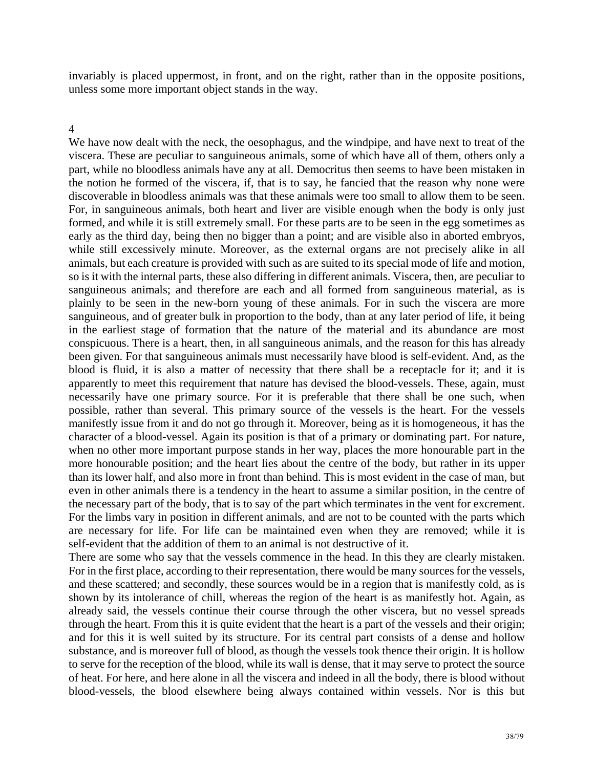invariably is placed uppermost, in front, and on the right, rather than in the opposite positions, unless some more important object stands in the way.

#### 4

We have now dealt with the neck, the oesophagus, and the windpipe, and have next to treat of the viscera. These are peculiar to sanguineous animals, some of which have all of them, others only a in the earliest stage of formation that the nature of the material and its abundance are most necessarily have one primary source. For it is preferable that there shall be one such, when part, while no bloodless animals have any at all. Democritus then seems to have been mistaken in the notion he formed of the viscera, if, that is to say, he fancied that the reason why none were discoverable in bloodless animals was that these animals were too small to allow them to be seen. For, in sanguineous animals, both heart and liver are visible enough when the body is only just formed, and while it is still extremely small. For these parts are to be seen in the egg sometimes as early as the third day, being then no bigger than a point; and are visible also in aborted embryos, while still excessively minute. Moreover, as the external organs are not precisely alike in all animals, but each creature is provided with such as are suited to its special mode of life and motion, so is it with the internal parts, these also differing in different animals. Viscera, then, are peculiar to sanguineous animals; and therefore are each and all formed from sanguineous material, as is plainly to be seen in the new-born young of these animals. For in such the viscera are more sanguineous, and of greater bulk in proportion to the body, than at any later period of life, it being conspicuous. There is a heart, then, in all sanguineous animals, and the reason for this has already been given. For that sanguineous animals must necessarily have blood is self-evident. And, as the blood is fluid, it is also a matter of necessity that there shall be a receptacle for it; and it is apparently to meet this requirement that nature has devised the blood-vessels. These, again, must possible, rather than several. This primary source of the vessels is the heart. For the vessels manifestly issue from it and do not go through it. Moreover, being as it is homogeneous, it has the character of a blood-vessel. Again its position is that of a primary or dominating part. For nature, when no other more important purpose stands in her way, places the more honourable part in the more honourable position; and the heart lies about the centre of the body, but rather in its upper than its lower half, and also more in front than behind. This is most evident in the case of man, but even in other animals there is a tendency in the heart to assume a similar position, in the centre of the necessary part of the body, that is to say of the part which terminates in the vent for excrement. For the limbs vary in position in different animals, and are not to be counted with the parts which are necessary for life. For life can be maintained even when they are removed; while it is self-evident that the addition of them to an animal is not destructive of it.

and these scattered; and secondly, these sources would be in a region that is manifestly cold, as is shown by its intolerance of chill, whereas the region of the heart is as manifestly hot. Again, as already said, the vessels continue their course through the other viscera, but no vessel spreads through the heart. From this it is quite evident that the heart is a part of the vessels and their origin; There are some who say that the vessels commence in the head. In this they are clearly mistaken. For in the first place, according to their representation, there would be many sources for the vessels, and for this it is well suited by its structure. For its central part consists of a dense and hollow substance, and is moreover full of blood, as though the vessels took thence their origin. It is hollow to serve for the reception of the blood, while its wall is dense, that it may serve to protect the source of heat. For here, and here alone in all the viscera and indeed in all the body, there is blood without blood-vessels, the blood elsewhere being always contained within vessels. Nor is this but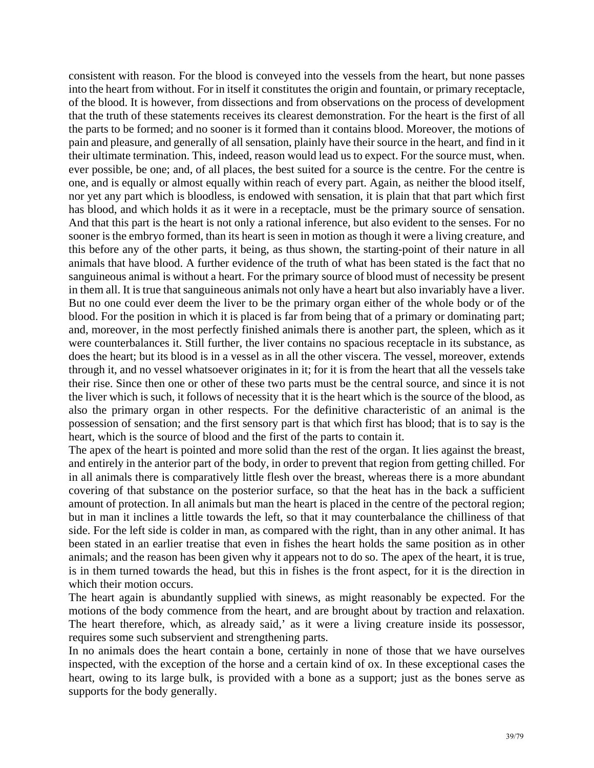consistent with reason. For the blood is conveyed into the vessels from the heart, but none passes into the heart from without. For in itself it constitutes the origin and fountain, or primary receptacle, of the blood. It is however, from dissections and from observations on the process of development that the truth of these statements receives its clearest demonstration. For the heart is the first of all the parts to be formed; and no sooner is it formed than it contains blood. Moreover, the motions of pain and pleasure, and generally of all sensation, plainly have their source in the heart, and find in it their ultimate termination. This, indeed, reason would lead us to expect. For the source must, when. ever possible, be one; and, of all places, the best suited for a source is the centre. For the centre is one, and is equally or almost equally within reach of every part. Again, as neither the blood itself, nor yet any part which is bloodless, is endowed with sensation, it is plain that that part which first has blood, and which holds it as it were in a receptacle, must be the primary source of sensation. And that this part is the heart is not only a rational inference, but also evident to the senses. For no sooner is the embryo formed, than its heart is seen in motion as though it were a living creature, and this before any of the other parts, it being, as thus shown, the starting-point of their nature in all animals that have blood. A further evidence of the truth of what has been stated is the fact that no sanguineous animal is without a heart. For the primary source of blood must of necessity be present in them all. It is true that sanguineous animals not only have a heart but also invariably have a liver. But no one could ever deem the liver to be the primary organ either of the whole body or of the blood. For the position in which it is placed is far from being that of a primary or dominating part; and, moreover, in the most perfectly finished animals there is another part, the spleen, which as it were counterbalances it. Still further, the liver contains no spacious receptacle in its substance, as does the heart; but its blood is in a vessel as in all the other viscera. The vessel, moreover, extends through it, and no vessel whatsoever originates in it; for it is from the heart that all the vessels take their rise. Since then one or other of these two parts must be the central source, and since it is not the liver which is such, it follows of necessity that it is the heart which is the source of the blood, as also the primary organ in other respects. For the definitive characteristic of an animal is the possession of sensation; and the first sensory part is that which first has blood; that is to say is the heart, which is the source of blood and the first of the parts to contain it.

The apex of the heart is pointed and more solid than the rest of the organ. It lies against the breast, and entirely in the anterior part of the body, in order to prevent that region from getting chilled. For in all animals there is comparatively little flesh over the breast, whereas there is a more abundant covering of that substance on the posterior surface, so that the heat has in the back a sufficient amount of protection. In all animals but man the heart is placed in the centre of the pectoral region; but in man it inclines a little towards the left, so that it may counterbalance the chilliness of that side. For the left side is colder in man, as compared with the right, than in any other animal. It has been stated in an earlier treatise that even in fishes the heart holds the same position as in other animals; and the reason has been given why it appears not to do so. The apex of the heart, it is true, is in them turned towards the head, but this in fishes is the front aspect, for it is the direction in which their motion occurs.

The heart again is abundantly supplied with sinews, as might reasonably be expected. For the motions of the body commence from the heart, and are brought about by traction and relaxation. The heart therefore, which, as already said,' as it were a living creature inside its possessor, requires some such subservient and strengthening parts.

In no animals does the heart contain a bone, certainly in none of those that we have ourselves inspected, with the exception of the horse and a certain kind of ox. In these exceptional cases the heart, owing to its large bulk, is provided with a bone as a support; just as the bones serve as supports for the body generally.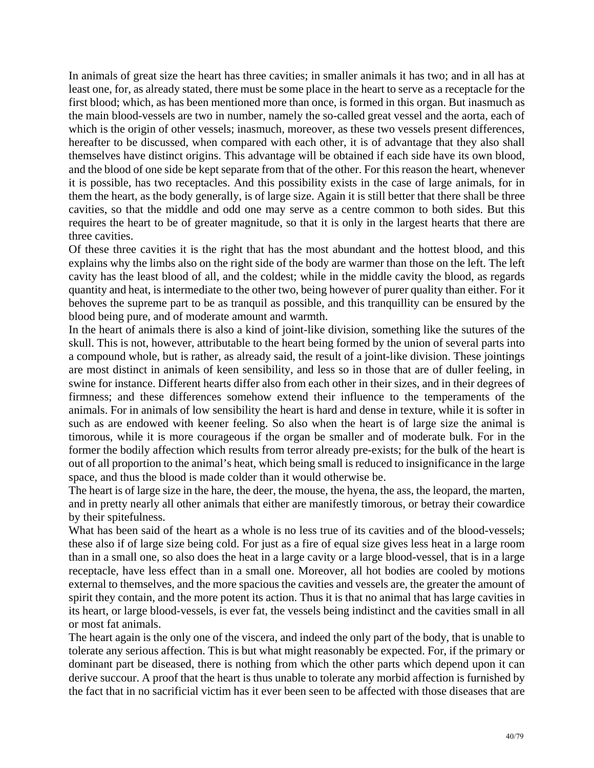In animals of great size the heart has three cavities; in smaller animals it has two; and in all has at least one, for, as already stated, there must be some place in the heart to serve as a receptacle for the first blood; which, as has been mentioned more than once, is formed in this organ. But inasmuch as the main blood-vessels are two in number, namely the so-called great vessel and the aorta, each of which is the origin of other vessels; inasmuch, moreover, as these two vessels present differences, hereafter to be discussed, when compared with each other, it is of advantage that they also shall themselves have distinct origins. This advantage will be obtained if each side have its own blood, and the blood of one side be kept separate from that of the other. For this reason the heart, whenever it is possible, has two receptacles. And this possibility exists in the case of large animals, for in them the heart, as the body generally, is of large size. Again it is still better that there shall be three cavities, so that the middle and odd one may serve as a centre common to both sides. But this requires the heart to be of greater magnitude, so that it is only in the largest hearts that there are three cavities.

Of these three cavities it is the right that has the most abundant and the hottest blood, and this explains why the limbs also on the right side of the body are warmer than those on the left. The left cavity has the least blood of all, and the coldest; while in the middle cavity the blood, as regards quantity and heat, is intermediate to the other two, being however of purer quality than either. For it behoves the supreme part to be as tranquil as possible, and this tranquillity can be ensured by the blood being pure, and of moderate amount and warmth.

In the heart of animals there is also a kind of joint-like division, something like the sutures of the space, and thus the blood is made colder than it would otherwise be. skull. This is not, however, attributable to the heart being formed by the union of several parts into a compound whole, but is rather, as already said, the result of a joint-like division. These jointings are most distinct in animals of keen sensibility, and less so in those that are of duller feeling, in swine for instance. Different hearts differ also from each other in their sizes, and in their degrees of firmness; and these differences somehow extend their influence to the temperaments of the animals. For in animals of low sensibility the heart is hard and dense in texture, while it is softer in such as are endowed with keener feeling. So also when the heart is of large size the animal is timorous, while it is more courageous if the organ be smaller and of moderate bulk. For in the former the bodily affection which results from terror already pre-exists; for the bulk of the heart is out of all proportion to the animal's heat, which being small is reduced to insignificance in the large

The heart is of large size in the hare, the deer, the mouse, the hyena, the ass, the leopard, the marten, and in pretty nearly all other animals that either are manifestly timorous, or betray their cowardice by their spitefulness.

What has been said of the heart as a whole is no less true of its cavities and of the blood-vessels; external to themselves, and the more spacious the cavities and vessels are, the greater the amount of these also if of large size being cold. For just as a fire of equal size gives less heat in a large room than in a small one, so also does the heat in a large cavity or a large blood-vessel, that is in a large receptacle, have less effect than in a small one. Moreover, all hot bodies are cooled by motions spirit they contain, and the more potent its action. Thus it is that no animal that has large cavities in its heart, or large blood-vessels, is ever fat, the vessels being indistinct and the cavities small in all or most fat animals.

The heart again is the only one of the viscera, and indeed the only part of the body, that is unable to tolerate any serious affection. This is but what might reasonably be expected. For, if the primary or dominant part be diseased, there is nothing from which the other parts which depend upon it can derive succour. A proof that the heart is thus unable to tolerate any morbid affection is furnished by the fact that in no sacrificial victim has it ever been seen to be affected with those diseases that are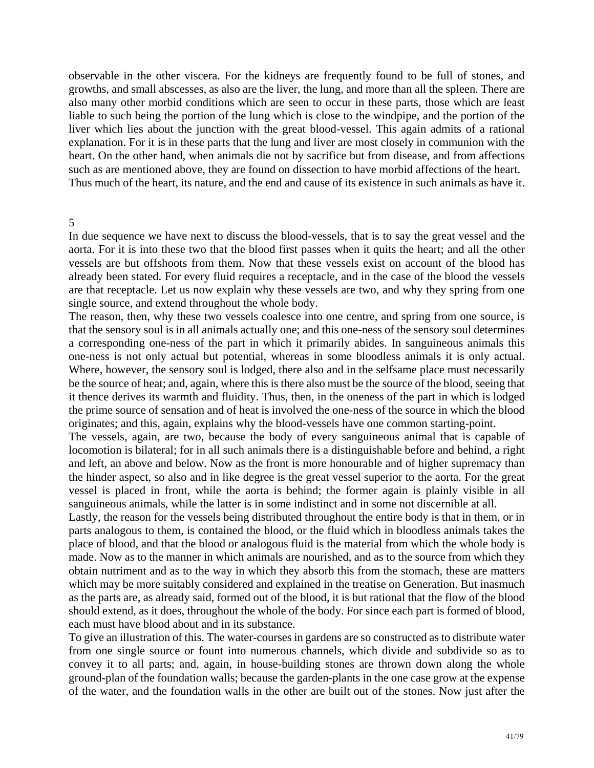observable in the other viscera. For the kidneys are frequently found to be full of stones, and growths, and small abscesses, as also are the liver, the lung, and more than all the spleen. There are also many other morbid conditions which are seen to occur in these parts, those which are least liable to such being the portion of the lung which is close to the windpipe, and the portion of the liver which lies about the junction with the great blood-vessel. This again admits of a rational explanation. For it is in these parts that the lung and liver are most closely in communion with the heart. On the other hand, when animals die not by sacrifice but from disease, and from affections such as are mentioned above, they are found on dissection to have morbid affections of the heart. Thus much of the heart, its nature, and the end and cause of its existence in such animals as have it.

#### 5

In due sequence we have next to discuss the blood-vessels, that is to say the great vessel and the aorta. For it is into these two that the blood first passes when it quits the heart; and all the other vessels are but offshoots from them. Now that these vessels exist on account of the blood has already been stated. For every fluid requires a receptacle, and in the case of the blood the vessels are that receptacle. Let us now explain why these vessels are two, and why they spring from one single source, and extend throughout the whole body.

the prime source of sensation and of heat is involved the one-ness of the source in which the blood The reason, then, why these two vessels coalesce into one centre, and spring from one source, is that the sensory soul is in all animals actually one; and this one-ness of the sensory soul determines a corresponding one-ness of the part in which it primarily abides. In sanguineous animals this one-ness is not only actual but potential, whereas in some bloodless animals it is only actual. Where, however, the sensory soul is lodged, there also and in the selfsame place must necessarily be the source of heat; and, again, where this is there also must be the source of the blood, seeing that it thence derives its warmth and fluidity. Thus, then, in the oneness of the part in which is lodged originates; and this, again, explains why the blood-vessels have one common starting-point.

The vessels, again, are two, because the body of every sanguineous animal that is capable of locomotion is bilateral; for in all such animals there is a distinguishable before and behind, a right and left, an above and below. Now as the front is more honourable and of higher supremacy than the hinder aspect, so also and in like degree is the great vessel superior to the aorta. For the great vessel is placed in front, while the aorta is behind; the former again is plainly visible in all sanguineous animals, while the latter is in some indistinct and in some not discernible at all.

Lastly, the reason for the vessels being distributed throughout the entire body is that in them, or in parts analogous to them, is contained the blood, or the fluid which in bloodless animals takes the place of blood, and that the blood or analogous fluid is the material from which the whole body is made. Now as to the manner in which animals are nourished, and as to the source from which they obtain nutriment and as to the way in which they absorb this from the stomach, these are matters which may be more suitably considered and explained in the treatise on Generation. But inasmuch as the parts are, as already said, formed out of the blood, it is but rational that the flow of the blood should extend, as it does, throughout the whole of the body. For since each part is formed of blood, each must have blood about and in its substance.

of the water, and the foundation walls in the other are built out of the stones. Now just after the To give an illustration of this. The water-courses in gardens are so constructed as to distribute water from one single source or fount into numerous channels, which divide and subdivide so as to convey it to all parts; and, again, in house-building stones are thrown down along the whole ground-plan of the foundation walls; because the garden-plants in the one case grow at the expense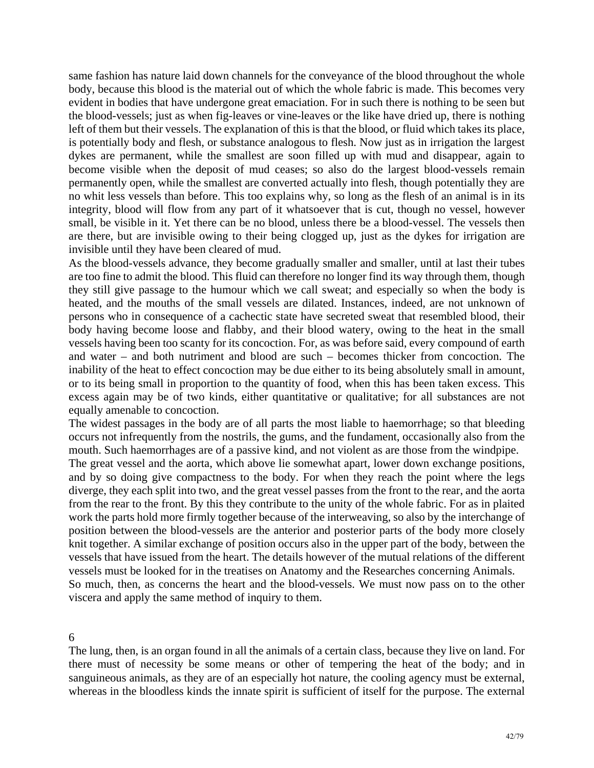same fashion has nature laid down channels for the conveyance of the blood throughout the whole body, because this blood is the material out of which the whole fabric is made. This becomes very the blood-vessels; just as when fig-leaves or vine-leaves or the like have dried up, there is nothing left of them but their vessels. The explanation of this is that the blood, or fluid which takes its place, is potentially body and flesh, or substance analogous to flesh. Now just as in irrigation the largest dykes are permanent, while the smallest are soon filled up with mud and disappear, again to are there, but are invisible owing to their being clogged up, just as the dykes for irrigation are evident in bodies that have undergone great emaciation. For in such there is nothing to be seen but become visible when the deposit of mud ceases; so also do the largest blood-vessels remain permanently open, while the smallest are converted actually into flesh, though potentially they are no whit less vessels than before. This too explains why, so long as the flesh of an animal is in its integrity, blood will flow from any part of it whatsoever that is cut, though no vessel, however small, be visible in it. Yet there can be no blood, unless there be a blood-vessel. The vessels then invisible until they have been cleared of mud.

inability of the heat to effect concoction may be due either to its being absolutely small in amount, As the blood-vessels advance, they become gradually smaller and smaller, until at last their tubes are too fine to admit the blood. This fluid can therefore no longer find its way through them, though they still give passage to the humour which we call sweat; and especially so when the body is heated, and the mouths of the small vessels are dilated. Instances, indeed, are not unknown of persons who in consequence of a cachectic state have secreted sweat that resembled blood, their body having become loose and flabby, and their blood watery, owing to the heat in the small vessels having been too scanty for its concoction. For, as was before said, every compound of earth and water – and both nutriment and blood are such – becomes thicker from concoction. The or to its being small in proportion to the quantity of food, when this has been taken excess. This excess again may be of two kinds, either quantitative or qualitative; for all substances are not equally amenable to concoction.

mouth. Such haemorrhages are of a passive kind, and not violent as are those from the windpipe. The widest passages in the body are of all parts the most liable to haemorrhage; so that bleeding occurs not infrequently from the nostrils, the gums, and the fundament, occasionally also from the The great vessel and the aorta, which above lie somewhat apart, lower down exchange positions, and by so doing give compactness to the body. For when they reach the point where the legs diverge, they each split into two, and the great vessel passes from the front to the rear, and the aorta from the rear to the front. By this they contribute to the unity of the whole fabric. For as in plaited

vessels must be looked for in the treatises on Anatomy and the Researches concerning Animals. work the parts hold more firmly together because of the interweaving, so also by the interchange of position between the blood-vessels are the anterior and posterior parts of the body more closely knit together. A similar exchange of position occurs also in the upper part of the body, between the vessels that have issued from the heart. The details however of the mutual relations of the different So much, then, as concerns the heart and the blood-vessels. We must now pass on to the other viscera and apply the same method of inquiry to them.

6

The lung, then, is an organ found in all the animals of a certain class, because they live on land. For there must of necessity be some means or other of tempering the heat of the body; and in sanguineous animals, as they are of an especially hot nature, the cooling agency must be external, whereas in the bloodless kinds the innate spirit is sufficient of itself for the purpose. The external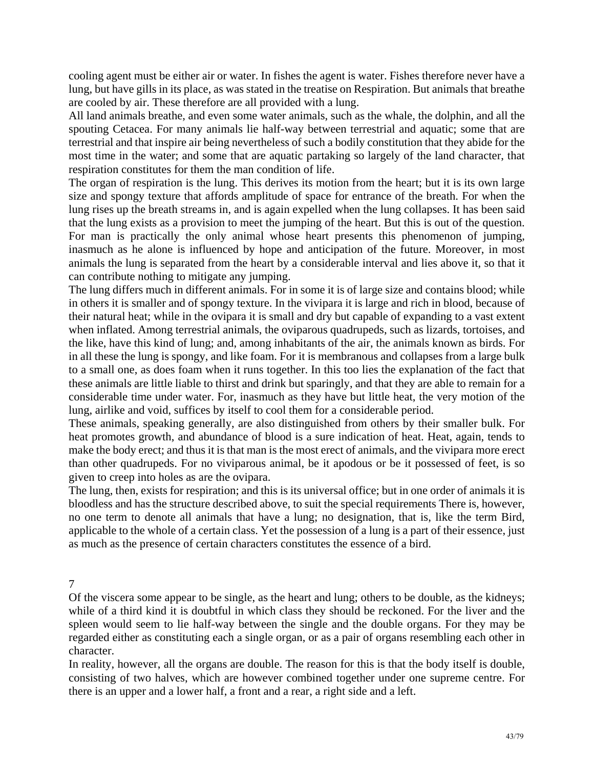cooling agent must be either air or water. In fishes the agent is water. Fishes therefore never have a lung, but have gills in its place, as was stated in the treatise on Respiration. But animals that breathe are cooled by air. These therefore are all provided with a lung.

All land animals breathe, and even some water animals, such as the whale, the dolphin, and all the spouting Cetacea. For many animals lie half-way between terrestrial and aquatic; some that are terrestrial and that inspire air being nevertheless of such a bodily constitution that they abide for the most time in the water; and some that are aquatic partaking so largely of the land character, that respiration constitutes for them the man condition of life.

The organ of respiration is the lung. This derives its motion from the heart; but it is its own large size and spongy texture that affords amplitude of space for entrance of the breath. For when the lung rises up the breath streams in, and is again expelled when the lung collapses. It has been said that the lung exists as a provision to meet the jumping of the heart. But this is out of the question. For man is practically the only animal whose heart presents this phenomenon of jumping, inasmuch as he alone is influenced by hope and anticipation of the future. Moreover, in most animals the lung is separated from the heart by a considerable interval and lies above it, so that it can contribute nothing to mitigate any jumping.

in all these the lung is spongy, and like foam. For it is membranous and collapses from a large bulk lung, airlike and void, suffices by itself to cool them for a considerable period. The lung differs much in different animals. For in some it is of large size and contains blood; while in others it is smaller and of spongy texture. In the vivipara it is large and rich in blood, because of their natural heat; while in the ovipara it is small and dry but capable of expanding to a vast extent when inflated. Among terrestrial animals, the oviparous quadrupeds, such as lizards, tortoises, and the like, have this kind of lung; and, among inhabitants of the air, the animals known as birds. For to a small one, as does foam when it runs together. In this too lies the explanation of the fact that these animals are little liable to thirst and drink but sparingly, and that they are able to remain for a considerable time under water. For, inasmuch as they have but little heat, the very motion of the

These animals, speaking generally, are also distinguished from others by their smaller bulk. For heat promotes growth, and abundance of blood is a sure indication of heat. Heat, again, tends to make the body erect; and thus it is that man is the most erect of animals, and the vivipara more erect than other quadrupeds. For no viviparous animal, be it apodous or be it possessed of feet, is so given to creep into holes as are the ovipara.

as much as the presence of certain characters constitutes the essence of a bird. The lung, then, exists for respiration; and this is its universal office; but in one order of animals it is bloodless and has the structure described above, to suit the special requirements There is, however, no one term to denote all animals that have a lung; no designation, that is, like the term Bird, applicable to the whole of a certain class. Yet the possession of a lung is a part of their essence, just

## 7

Of the viscera some appear to be single, as the heart and lung; others to be double, as the kidneys; while of a third kind it is doubtful in which class they should be reckoned. For the liver and the spleen would seem to lie half-way between the single and the double organs. For they may be regarded either as constituting each a single organ, or as a pair of organs resembling each other in character.

there is an upper and a lower half, a front and a rear, a right side and a left. In reality, however, all the organs are double. The reason for this is that the body itself is double, consisting of two halves, which are however combined together under one supreme centre. For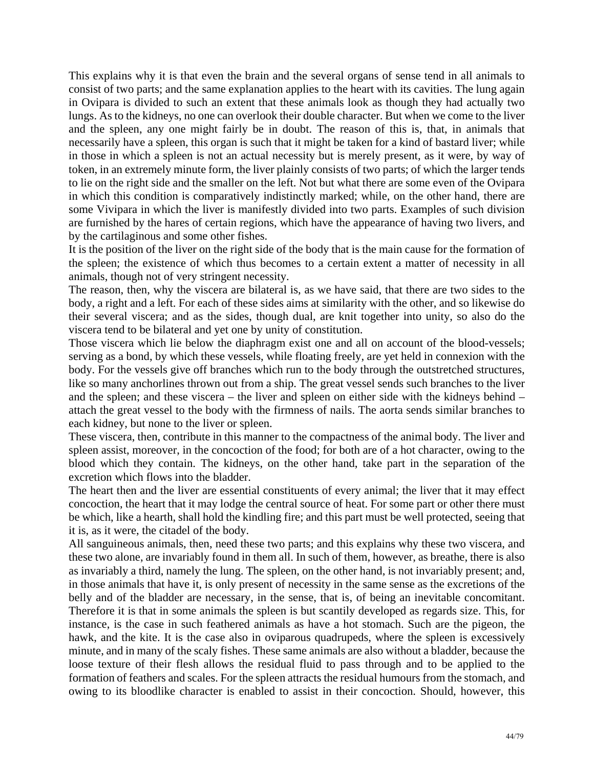This explains why it is that even the brain and the several organs of sense tend in all animals to consist of two parts; and the same explanation applies to the heart with its cavities. The lung again in those in which a spleen is not an actual necessity but is merely present, as it were, by way of in Ovipara is divided to such an extent that these animals look as though they had actually two lungs. As to the kidneys, no one can overlook their double character. But when we come to the liver and the spleen, any one might fairly be in doubt. The reason of this is, that, in animals that necessarily have a spleen, this organ is such that it might be taken for a kind of bastard liver; while token, in an extremely minute form, the liver plainly consists of two parts; of which the larger tends to lie on the right side and the smaller on the left. Not but what there are some even of the Ovipara in which this condition is comparatively indistinctly marked; while, on the other hand, there are some Vivipara in which the liver is manifestly divided into two parts. Examples of such division are furnished by the hares of certain regions, which have the appearance of having two livers, and by the cartilaginous and some other fishes.

the spleen; the existence of which thus becomes to a certain extent a matter of necessity in all It is the position of the liver on the right side of the body that is the main cause for the formation of animals, though not of very stringent necessity.

The reason, then, why the viscera are bilateral is, as we have said, that there are two sides to the body, a right and a left. For each of these sides aims at similarity with the other, and so likewise do their several viscera; and as the sides, though dual, are knit together into unity, so also do the viscera tend to be bilateral and yet one by unity of constitution.

attach the great vessel to the body with the firmness of nails. The aorta sends similar branches to Those viscera which lie below the diaphragm exist one and all on account of the blood-vessels; serving as a bond, by which these vessels, while floating freely, are yet held in connexion with the body. For the vessels give off branches which run to the body through the outstretched structures, like so many anchorlines thrown out from a ship. The great vessel sends such branches to the liver and the spleen; and these viscera – the liver and spleen on either side with the kidneys behind – each kidney, but none to the liver or spleen.

These viscera, then, contribute in this manner to the compactness of the animal body. The liver and spleen assist, moreover, in the concoction of the food; for both are of a hot character, owing to the blood which they contain. The kidneys, on the other hand, take part in the separation of the excretion which flows into the bladder.

The heart then and the liver are essential constituents of every animal; the liver that it may effect concoction, the heart that it may lodge the central source of heat. For some part or other there must be which, like a hearth, shall hold the kindling fire; and this part must be well protected, seeing that it is, as it were, the citadel of the body.

All sanguineous animals, then, need these two parts; and this explains why these two viscera, and these two alone, are invariably found in them all. In such of them, however, as breathe, there is also as invariably a third, namely the lung. The spleen, on the other hand, is not invariably present; and, in those animals that have it, is only present of necessity in the same sense as the excretions of the minute, and in many of the scaly fishes. These same animals are also without a bladder, because the owing to its bloodlike character is enabled to assist in their concoction. Should, however, this belly and of the bladder are necessary, in the sense, that is, of being an inevitable concomitant. Therefore it is that in some animals the spleen is but scantily developed as regards size. This, for instance, is the case in such feathered animals as have a hot stomach. Such are the pigeon, the hawk, and the kite. It is the case also in oviparous quadrupeds, where the spleen is excessively loose texture of their flesh allows the residual fluid to pass through and to be applied to the formation of feathers and scales. For the spleen attracts the residual humours from the stomach, and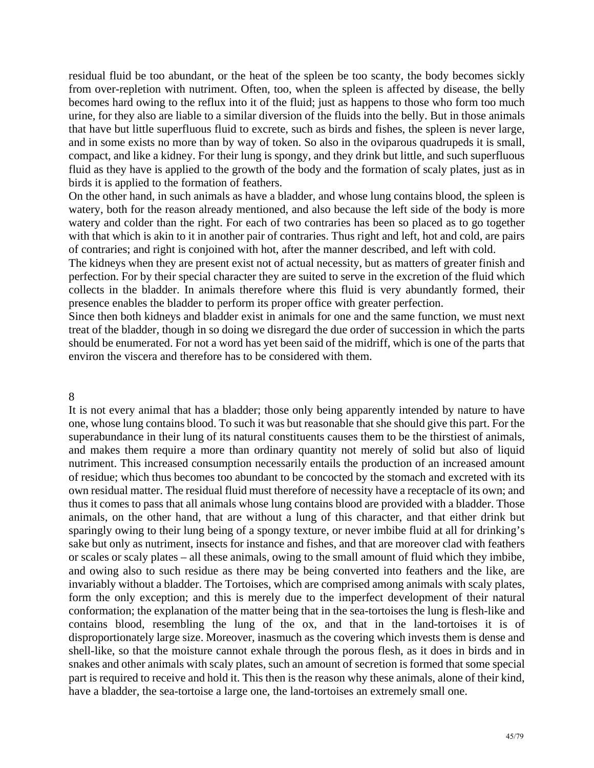residual fluid be too abundant, or the heat of the spleen be too scanty, the body becomes sickly from over-repletion with nutriment. Often, too, when the spleen is affected by disease, the belly becomes hard owing to the reflux into it of the fluid; just as happens to those who form too much urine, for they also are liable to a similar diversion of the fluids into the belly. But in those animals that have but little superfluous fluid to excrete, such as birds and fishes, the spleen is never large, and in some exists no more than by way of token. So also in the oviparous quadrupeds it is small, compact, and like a kidney. For their lung is spongy, and they drink but little, and such superfluous fluid as they have is applied to the growth of the body and the formation of scaly plates, just as in birds it is applied to the formation of feathers.

On the other hand, in such animals as have a bladder, and whose lung contains blood, the spleen is watery, both for the reason already mentioned, and also because the left side of the body is more watery and colder than the right. For each of two contraries has been so placed as to go together with that which is akin to it in another pair of contraries. Thus right and left, hot and cold, are pairs of contraries; and right is conjoined with hot, after the manner described, and left with cold.

perfection. For by their special character they are suited to serve in the excretion of the fluid which The kidneys when they are present exist not of actual necessity, but as matters of greater finish and collects in the bladder. In animals therefore where this fluid is very abundantly formed, their presence enables the bladder to perform its proper office with greater perfection.

treat of the bladder, though in so doing we disregard the due order of succession in which the parts Since then both kidneys and bladder exist in animals for one and the same function, we must next should be enumerated. For not a word has yet been said of the midriff, which is one of the parts that environ the viscera and therefore has to be considered with them.

## 8

one, whose lung contains blood. To such it was but reasonable that she should give this part. For the of residue; which thus becomes too abundant to be concocted by the stomach and excreted with its sparingly owing to their lung being of a spongy texture, or never imbibe fluid at all for drinking's It is not every animal that has a bladder; those only being apparently intended by nature to have superabundance in their lung of its natural constituents causes them to be the thirstiest of animals, and makes them require a more than ordinary quantity not merely of solid but also of liquid nutriment. This increased consumption necessarily entails the production of an increased amount own residual matter. The residual fluid must therefore of necessity have a receptacle of its own; and thus it comes to pass that all animals whose lung contains blood are provided with a bladder. Those animals, on the other hand, that are without a lung of this character, and that either drink but sake but only as nutriment, insects for instance and fishes, and that are moreover clad with feathers or scales or scaly plates – all these animals, owing to the small amount of fluid which they imbibe, and owing also to such residue as there may be being converted into feathers and the like, are invariably without a bladder. The Tortoises, which are comprised among animals with scaly plates, form the only exception; and this is merely due to the imperfect development of their natural conformation; the explanation of the matter being that in the sea-tortoises the lung is flesh-like and contains blood, resembling the lung of the ox, and that in the land-tortoises it is of disproportionately large size. Moreover, inasmuch as the covering which invests them is dense and shell-like, so that the moisture cannot exhale through the porous flesh, as it does in birds and in snakes and other animals with scaly plates, such an amount of secretion is formed that some special part is required to receive and hold it. This then is the reason why these animals, alone of their kind, have a bladder, the sea-tortoise a large one, the land-tortoises an extremely small one.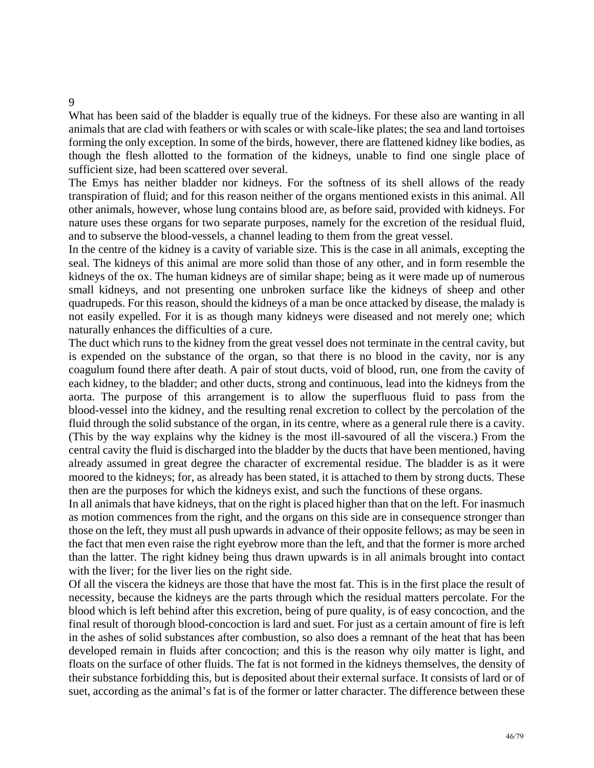#### 9

What has been said of the bladder is equally true of the kidneys. For these also are wanting in all animals that are clad with feathers or with scales or with scale-like plates; the sea and land tortoises forming the only exception. In some of the birds, however, there are flattened kidney like bodies, as though the flesh allotted to the formation of the kidneys, unable to find one single place of sufficient size, had been scattered over several.

The Emys has neither bladder nor kidneys. For the softness of its shell allows of the ready transpiration of fluid; and for this reason neither of the organs mentioned exists in this animal. All other animals, however, whose lung contains blood are, as before said, provided with kidneys. For nature uses these organs for two separate purposes, namely for the excretion of the residual fluid, and to subserve the blood-vessels, a channel leading to them from the great vessel.

seal. The kidneys of this animal are more solid than those of any other, and in form resemble the not easily expelled. For it is as though many kidneys were diseased and not merely one; which In the centre of the kidney is a cavity of variable size. This is the case in all animals, excepting the kidneys of the ox. The human kidneys are of similar shape; being as it were made up of numerous small kidneys, and not presenting one unbroken surface like the kidneys of sheep and other quadrupeds. For this reason, should the kidneys of a man be once attacked by disease, the malady is naturally enhances the difficulties of a cure.

coagulum found there after death. A pair of stout ducts, void of blood, run, one from the cavity of each kidney, to the bladder; and other ducts, strong and continuous, lead into the kidneys from the aorta. The purpose of this arrangement is to allow the superfluous fluid to pass from the blood-vessel into the kidney, and the resulting renal excretion to collect by the percolation of the The duct which runs to the kidney from the great vessel does not terminate in the central cavity, but is expended on the substance of the organ, so that there is no blood in the cavity, nor is any fluid through the solid substance of the organ, in its centre, where as a general rule there is a cavity. (This by the way explains why the kidney is the most ill-savoured of all the viscera.) From the central cavity the fluid is discharged into the bladder by the ducts that have been mentioned, having already assumed in great degree the character of excremental residue. The bladder is as it were moored to the kidneys; for, as already has been stated, it is attached to them by strong ducts. These then are the purposes for which the kidneys exist, and such the functions of these organs.

In all animals that have kidneys, that on the right is placed higher than that on the left. For inasmuch as motion commences from the right, and the organs on this side are in consequence stronger than those on the left, they must all push upwards in advance of their opposite fellows; as may be seen in the fact that men even raise the right eyebrow more than the left, and that the former is more arched than the latter. The right kidney being thus drawn upwards is in all animals brought into contact with the liver; for the liver lies on the right side.

Of all the viscera the kidneys are those that have the most fat. This is in the first place the result of necessity, because the kidneys are the parts through which the residual matters percolate. For the blood which is left behind after this excretion, being of pure quality, is of easy concoction, and the final result of thorough blood-concoction is lard and suet. For just as a certain amount of fire is left in the ashes of solid substances after combustion, so also does a remnant of the heat that has been developed remain in fluids after concoction; and this is the reason why oily matter is light, and floats on the surface of other fluids. The fat is not formed in the kidneys themselves, the density of their substance forbidding this, but is deposited about their external surface. It consists of lard or of suet, according as the animal's fat is of the former or latter character. The difference between these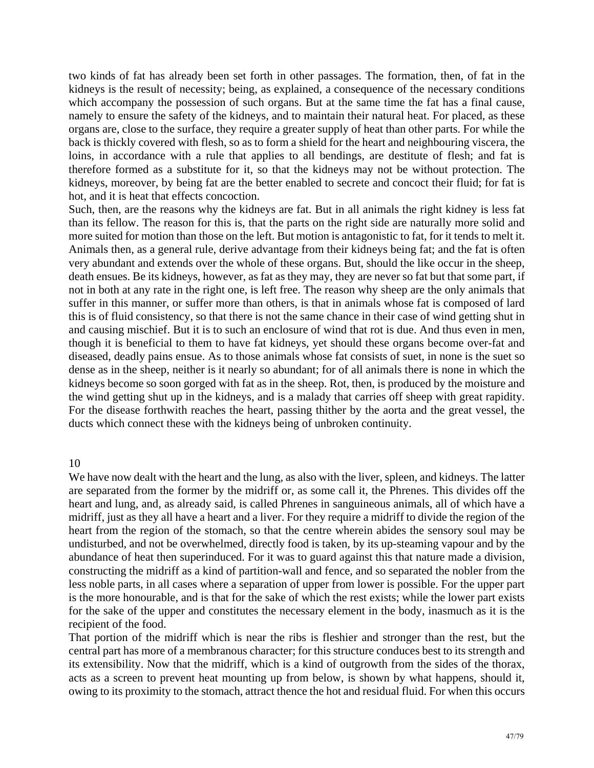two kinds of fat has already been set forth in other passages. The formation, then, of fat in the kidneys is the result of necessity; being, as explained, a consequence of the necessary conditions which accompany the possession of such organs. But at the same time the fat has a final cause, namely to ensure the safety of the kidneys, and to maintain their natural heat. For placed, as these organs are, close to the surface, they require a greater supply of heat than other parts. For while the back is thickly covered with flesh, so as to form a shield for the heart and neighbouring viscera, the loins, in accordance with a rule that applies to all bendings, are destitute of flesh; and fat is therefore formed as a substitute for it, so that the kidneys may not be without protection. The kidneys, moreover, by being fat are the better enabled to secrete and concoct their fluid; for fat is hot, and it is heat that effects concoction.

very abundant and extends over the whole of these organs. But, should the like occur in the sheep, diseased, deadly pains ensue. As to those animals whose fat consists of suet, in none is the suet so Such, then, are the reasons why the kidneys are fat. But in all animals the right kidney is less fat than its fellow. The reason for this is, that the parts on the right side are naturally more solid and more suited for motion than those on the left. But motion is antagonistic to fat, for it tends to melt it. Animals then, as a general rule, derive advantage from their kidneys being fat; and the fat is often death ensues. Be its kidneys, however, as fat as they may, they are never so fat but that some part, if not in both at any rate in the right one, is left free. The reason why sheep are the only animals that suffer in this manner, or suffer more than others, is that in animals whose fat is composed of lard this is of fluid consistency, so that there is not the same chance in their case of wind getting shut in and causing mischief. But it is to such an enclosure of wind that rot is due. And thus even in men, though it is beneficial to them to have fat kidneys, yet should these organs become over-fat and dense as in the sheep, neither is it nearly so abundant; for of all animals there is none in which the kidneys become so soon gorged with fat as in the sheep. Rot, then, is produced by the moisture and the wind getting shut up in the kidneys, and is a malady that carries off sheep with great rapidity. For the disease forthwith reaches the heart, passing thither by the aorta and the great vessel, the ducts which connect these with the kidneys being of unbroken continuity.

## 10

midriff, just as they all have a heart and a liver. For they require a midriff to divide the region of the is the more honourable, and is that for the sake of which the rest exists; while the lower part exists We have now dealt with the heart and the lung, as also with the liver, spleen, and kidneys. The latter are separated from the former by the midriff or, as some call it, the Phrenes. This divides off the heart and lung, and, as already said, is called Phrenes in sanguineous animals, all of which have a heart from the region of the stomach, so that the centre wherein abides the sensory soul may be undisturbed, and not be overwhelmed, directly food is taken, by its up-steaming vapour and by the abundance of heat then superinduced. For it was to guard against this that nature made a division, constructing the midriff as a kind of partition-wall and fence, and so separated the nobler from the less noble parts, in all cases where a separation of upper from lower is possible. For the upper part for the sake of the upper and constitutes the necessary element in the body, inasmuch as it is the recipient of the food.

That portion of the midriff which is near the ribs is fleshier and stronger than the rest, but the central part has more of a membranous character; for this structure conduces best to its strength and its extensibility. Now that the midriff, which is a kind of outgrowth from the sides of the thorax, acts as a screen to prevent heat mounting up from below, is shown by what happens, should it, owing to its proximity to the stomach, attract thence the hot and residual fluid. For when this occurs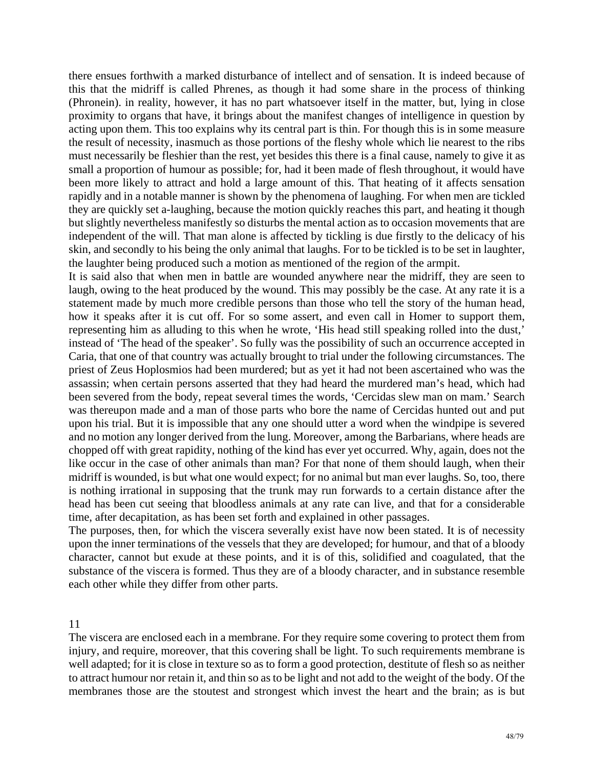there ensues forthwith a marked disturbance of intellect and of sensation. It is indeed because of this that the midriff is called Phrenes, as though it had some share in the process of thinking (Phronein). in reality, however, it has no part whatsoever itself in the matter, but, lying in close proximity to organs that have, it brings about the manifest changes of intelligence in question by acting upon them. This too explains why its central part is thin. For though this is in some measure the result of necessity, inasmuch as those portions of the fleshy whole which lie nearest to the ribs must necessarily be fleshier than the rest, yet besides this there is a final cause, namely to give it as small a proportion of humour as possible; for, had it been made of flesh throughout, it would have been more likely to attract and hold a large amount of this. That heating of it affects sensation rapidly and in a notable manner is shown by the phenomena of laughing. For when men are tickled they are quickly set a-laughing, because the motion quickly reaches this part, and heating it though but slightly nevertheless manifestly so disturbs the mental action as to occasion movements that are independent of the will. That man alone is affected by tickling is due firstly to the delicacy of his skin, and secondly to his being the only animal that laughs. For to be tickled is to be set in laughter, the laughter being produced such a motion as mentioned of the region of the armpit.

It is said also that when men in battle are wounded anywhere near the midriff, they are seen to midriff is wounded, is but what one would expect; for no animal but man ever laughs. So, too, there is nothing irrational in supposing that the trunk may run forwards to a certain distance after the head has been cut seeing that bloodless animals at any rate can live, and that for a considerable time, after decapitation, as has been set forth and explained in other passages. laugh, owing to the heat produced by the wound. This may possibly be the case. At any rate it is a statement made by much more credible persons than those who tell the story of the human head, how it speaks after it is cut off. For so some assert, and even call in Homer to support them, representing him as alluding to this when he wrote, 'His head still speaking rolled into the dust,' instead of 'The head of the speaker'. So fully was the possibility of such an occurrence accepted in Caria, that one of that country was actually brought to trial under the following circumstances. The priest of Zeus Hoplosmios had been murdered; but as yet it had not been ascertained who was the assassin; when certain persons asserted that they had heard the murdered man's head, which had been severed from the body, repeat several times the words, 'Cercidas slew man on mam.' Search was thereupon made and a man of those parts who bore the name of Cercidas hunted out and put upon his trial. But it is impossible that any one should utter a word when the windpipe is severed and no motion any longer derived from the lung. Moreover, among the Barbarians, where heads are chopped off with great rapidity, nothing of the kind has ever yet occurred. Why, again, does not the like occur in the case of other animals than man? For that none of them should laugh, when their

The purposes, then, for which the viscera severally exist have now been stated. It is of necessity upon the inner terminations of the vessels that they are developed; for humour, and that of a bloody character, cannot but exude at these points, and it is of this, solidified and coagulated, that the substance of the viscera is formed. Thus they are of a bloody character, and in substance resemble each other while they differ from other parts.

11

to attract humour nor retain it, and thin so as to be light and not add to the weight of the body. Of the membranes those are the stoutest and strongest which invest the heart and the brain; as is but The viscera are enclosed each in a membrane. For they require some covering to protect them from injury, and require, moreover, that this covering shall be light. To such requirements membrane is well adapted; for it is close in texture so as to form a good protection, destitute of flesh so as neither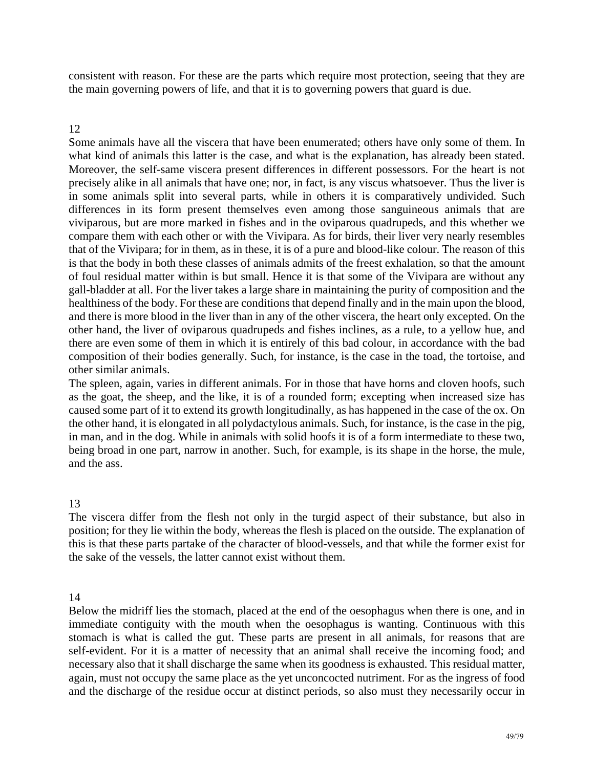consistent with reason. For these are the parts which require most protection, seeing that they are the main governing powers of life, and that it is to governing powers that guard is due.

## 12

Some animals have all the viscera that have been enumerated; others have only some of them. In what kind of animals this latter is the case, and what is the explanation, has already been stated. Moreover, the self-same viscera present differences in different possessors. For the heart is not precisely alike in all animals that have one; nor, in fact, is any viscus whatsoever. Thus the liver is in some animals split into several parts, while in others it is comparatively undivided. Such differences in its form present themselves even among those sanguineous animals that are viviparous, but are more marked in fishes and in the oviparous quadrupeds, and this whether we compare them with each other or with the Vivipara. As for birds, their liver very nearly resembles that of the Vivipara; for in them, as in these, it is of a pure and blood-like colour. The reason of this is that the body in both these classes of animals admits of the freest exhalation, so that the amount of foul residual matter within is but small. Hence it is that some of the Vivipara are without any gall-bladder at all. For the liver takes a large share in maintaining the purity of composition and the healthiness of the body. For these are conditions that depend finally and in the main upon the blood, and there is more blood in the liver than in any of the other viscera, the heart only excepted. On the other hand, the liver of oviparous quadrupeds and fishes inclines, as a rule, to a yellow hue, and there are even some of them in which it is entirely of this bad colour, in accordance with the bad composition of their bodies generally. Such, for instance, is the case in the toad, the tortoise, and other similar animals.

The spleen, again, varies in different animals. For in those that have horns and cloven hoofs, such as the goat, the sheep, and the like, it is of a rounded form; excepting when increased size has caused some part of it to extend its growth longitudinally, as has happened in the case of the ox. On the other hand, it is elongated in all polydactylous animals. Such, for instance, is the case in the pig, in man, and in the dog. While in animals with solid hoofs it is of a form intermediate to these two, being broad in one part, narrow in another. Such, for example, is its shape in the horse, the mule, and the ass.

# 13

The viscera differ from the flesh not only in the turgid aspect of their substance, but also in position; for they lie within the body, whereas the flesh is placed on the outside. The explanation of this is that these parts partake of the character of blood-vessels, and that while the former exist for the sake of the vessels, the latter cannot exist without them.

## 14

Below the midriff lies the stomach, placed at the end of the oesophagus when there is one, and in again, must not occupy the same place as the yet unconcocted nutriment. For as the ingress of food and the discharge of the residue occur at distinct periods, so also must they necessarily occur in immediate contiguity with the mouth when the oesophagus is wanting. Continuous with this stomach is what is called the gut. These parts are present in all animals, for reasons that are self-evident. For it is a matter of necessity that an animal shall receive the incoming food; and necessary also that it shall discharge the same when its goodness is exhausted. This residual matter,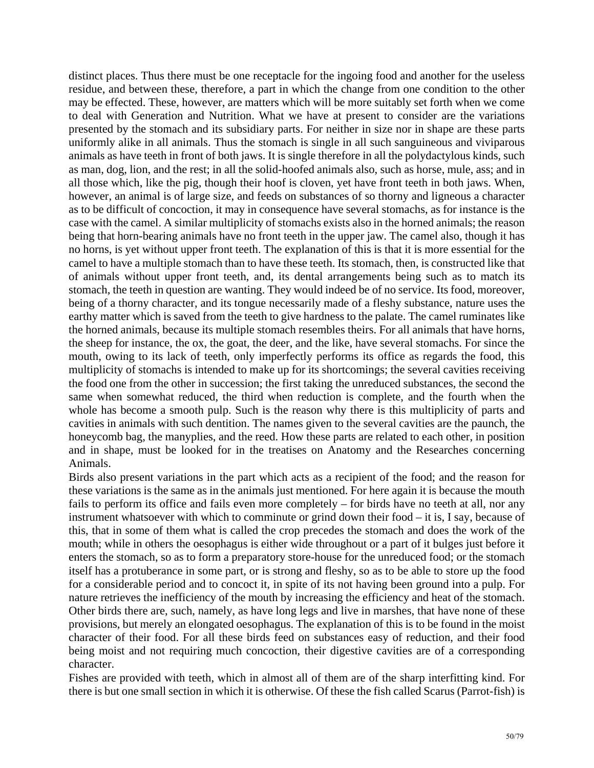distinct places. Thus there must be one receptacle for the ingoing food and another for the useless residue, and between these, therefore, a part in which the change from one condition to the other however, an animal is of large size, and feeds on substances of so thorny and ligneous a character as to be difficult of concoction, it may in consequence have several stomachs, as for instance is the case with the camel. A similar multiplicity of stomachs exists also in the horned animals; the reason being that horn-bearing animals have no front teeth in the upper jaw. The camel also, though it has may be effected. These, however, are matters which will be more suitably set forth when we come to deal with Generation and Nutrition. What we have at present to consider are the variations presented by the stomach and its subsidiary parts. For neither in size nor in shape are these parts uniformly alike in all animals. Thus the stomach is single in all such sanguineous and viviparous animals as have teeth in front of both jaws. It is single therefore in all the polydactylous kinds, such as man, dog, lion, and the rest; in all the solid-hoofed animals also, such as horse, mule, ass; and in all those which, like the pig, though their hoof is cloven, yet have front teeth in both jaws. When, no horns, is yet without upper front teeth. The explanation of this is that it is more essential for the camel to have a multiple stomach than to have these teeth. Its stomach, then, is constructed like that of animals without upper front teeth, and, its dental arrangements being such as to match its stomach, the teeth in question are wanting. They would indeed be of no service. Its food, moreover, being of a thorny character, and its tongue necessarily made of a fleshy substance, nature uses the earthy matter which is saved from the teeth to give hardness to the palate. The camel ruminates like the horned animals, because its multiple stomach resembles theirs. For all animals that have horns, the sheep for instance, the ox, the goat, the deer, and the like, have several stomachs. For since the mouth, owing to its lack of teeth, only imperfectly performs its office as regards the food, this multiplicity of stomachs is intended to make up for its shortcomings; the several cavities receiving the food one from the other in succession; the first taking the unreduced substances, the second the same when somewhat reduced, the third when reduction is complete, and the fourth when the whole has become a smooth pulp. Such is the reason why there is this multiplicity of parts and cavities in animals with such dentition. The names given to the several cavities are the paunch, the honeycomb bag, the manyplies, and the reed. How these parts are related to each other, in position and in shape, must be looked for in the treatises on Anatomy and the Researches concerning Animals.

Birds also present variations in the part which acts as a recipient of the food; and the reason for itself has a protuberance in some part, or is strong and fleshy, so as to be able to store up the food for a considerable period and to concoct it, in spite of its not having been ground into a pulp. For ature retrieves the inefficiency of the mouth by increasing the efficiency and heat of the stomach. n Other birds there are, such, namely, as have long legs and live in marshes, that have none of these these variations is the same as in the animals just mentioned. For here again it is because the mouth fails to perform its office and fails even more completely – for birds have no teeth at all, nor any instrument whatsoever with which to comminute or grind down their food – it is, I say, because of this, that in some of them what is called the crop precedes the stomach and does the work of the mouth; while in others the oesophagus is either wide throughout or a part of it bulges just before it enters the stomach, so as to form a preparatory store-house for the unreduced food; or the stomach provisions, but merely an elongated oesophagus. The explanation of this is to be found in the moist character of their food. For all these birds feed on substances easy of reduction, and their food being moist and not requiring much concoction, their digestive cavities are of a corresponding character.

Fishes are provided with teeth, which in almost all of them are of the sharp interfitting kind. For there is but one small section in which it is otherwise. Of these the fish called Scarus (Parrot-fish) is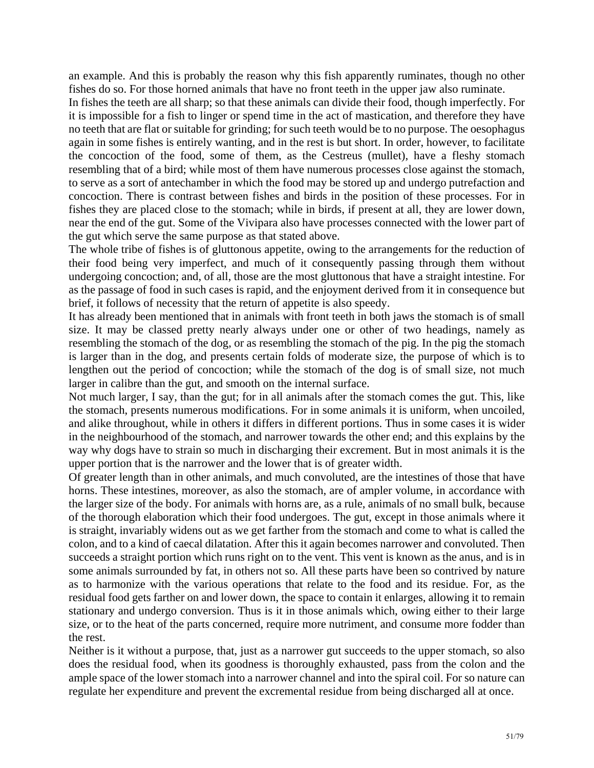an example. And this is probably the reason why this fish apparently ruminates, though no other fishes do so. For those horned animals that have no front teeth in the upper jaw also ruminate.

In fishes the teeth are all sharp; so that these animals can divide their food, though imperfectly. For it is impossible for a fish to linger or spend time in the act of mastication, and therefore they have no teeth that are flat or suitable for grinding; for such teeth would be to no purpose. The oesophagus again in some fishes is entirely wanting, and in the rest is but short. In order, however, to facilitate the concoction of the food, some of them, as the Cestreus (mullet), have a fleshy stomach resembling that of a bird; while most of them have numerous processes close against the stomach, to serve as a sort of antechamber in which the food may be stored up and undergo putrefaction and concoction. There is contrast between fishes and birds in the position of these processes. For in fishes they are placed close to the stomach; while in birds, if present at all, they are lower down, near the end of the gut. Some of the Vivipara also have processes connected with the lower part of the gut which serve the same purpose as that stated above.

The whole tribe of fishes is of gluttonous appetite, owing to the arrangements for the reduction of their food being very imperfect, and much of it consequently passing through them without undergoing concoction; and, of all, those are the most gluttonous that have a straight intestine. For as the passage of food in such cases is rapid, and the enjoyment derived from it in consequence but brief, it follows of necessity that the return of appetite is also speedy.

It has already been mentioned that in animals with front teeth in both jaws the stomach is of small size. It may be classed pretty nearly always under one or other of two headings, namely as resembling the stomach of the dog, or as resembling the stomach of the pig. In the pig the stomach is larger than in the dog, and presents certain folds of moderate size, the purpose of which is to lengthen out the period of concoction; while the stomach of the dog is of small size, not much larger in calibre than the gut, and smooth on the internal surface.

Not much larger, I say, than the gut; for in all animals after the stomach comes the gut. This, like the stomach, presents numerous modifications. For in some animals it is uniform, when uncoiled, and alike throughout, while in others it differs in different portions. Thus in some cases it is wider in the neighbourhood of the stomach, and narrower towards the other end; and this explains by the way why dogs have to strain so much in discharging their excrement. But in most animals it is the upper portion that is the narrower and the lower that is of greater width.

as to harmonize with the various operations that relate to the food and its residue. For, as the Of greater length than in other animals, and much convoluted, are the intestines of those that have horns. These intestines, moreover, as also the stomach, are of ampler volume, in accordance with the larger size of the body. For animals with horns are, as a rule, animals of no small bulk, because of the thorough elaboration which their food undergoes. The gut, except in those animals where it is straight, invariably widens out as we get farther from the stomach and come to what is called the colon, and to a kind of caecal dilatation. After this it again becomes narrower and convoluted. Then succeeds a straight portion which runs right on to the vent. This vent is known as the anus, and is in some animals surrounded by fat, in others not so. All these parts have been so contrived by nature residual food gets farther on and lower down, the space to contain it enlarges, allowing it to remain stationary and undergo conversion. Thus is it in those animals which, owing either to their large size, or to the heat of the parts concerned, require more nutriment, and consume more fodder than the rest.

Neither is it without a purpose, that, just as a narrower gut succeeds to the upper stomach, so also does the residual food, when its goodness is thoroughly exhausted, pass from the colon and the ample space of the lower stomach into a narrower channel and into the spiral coil. For so nature can regulate her expenditure and prevent the excremental residue from being discharged all at once.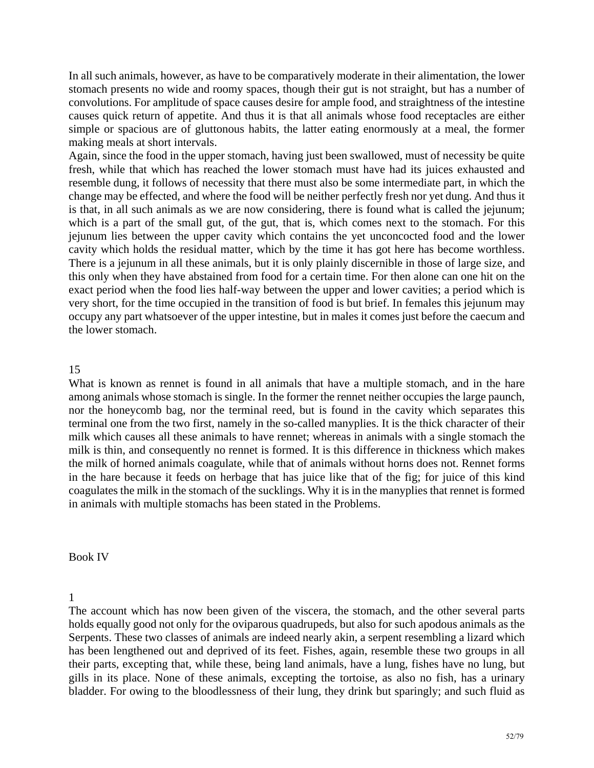In all such animals, however, as have to be comparatively moderate in their alimentation, the lower stomach presents no wide and roomy spaces, though their gut is not straight, but has a number of convolutions. For amplitude of space causes desire for ample food, and straightness of the intestine causes quick return of appetite. And thus it is that all animals whose food receptacles are either simple or spacious are of gluttonous habits, the latter eating enormously at a meal, the former making meals at short intervals.

Again, since the food in the upper stomach, having just been swallowed, must of necessity be quite which is a part of the small gut, of the gut, that is, which comes next to the stomach. For this fresh, while that which has reached the lower stomach must have had its juices exhausted and resemble dung, it follows of necessity that there must also be some intermediate part, in which the change may be effected, and where the food will be neither perfectly fresh nor yet dung. And thus it is that, in all such animals as we are now considering, there is found what is called the jejunum; jejunum lies between the upper cavity which contains the yet unconcocted food and the lower cavity which holds the residual matter, which by the time it has got here has become worthless. There is a jejunum in all these animals, but it is only plainly discernible in those of large size, and this only when they have abstained from food for a certain time. For then alone can one hit on the exact period when the food lies half-way between the upper and lower cavities; a period which is very short, for the time occupied in the transition of food is but brief. In females this jejunum may occupy any part whatsoever of the upper intestine, but in males it comes just before the caecum and the lower stomach.

## 15

milk which causes all these animals to have rennet; whereas in animals with a single stomach the What is known as rennet is found in all animals that have a multiple stomach, and in the hare among animals whose stomach is single. In the former the rennet neither occupies the large paunch, nor the honeycomb bag, nor the terminal reed, but is found in the cavity which separates this terminal one from the two first, namely in the so-called manyplies. It is the thick character of their milk is thin, and consequently no rennet is formed. It is this difference in thickness which makes the milk of horned animals coagulate, while that of animals without horns does not. Rennet forms in the hare because it feeds on herbage that has juice like that of the fig; for juice of this kind coagulates the milk in the stomach of the sucklings. Why it is in the manyplies that rennet is formed in animals with multiple stomachs has been stated in the Problems.

Book IV

## 1

The account which has now been given of the viscera, the stomach, and the other several parts holds equally good not only for the oviparous quadrupeds, but also for such apodous animals as the Serpents. These two classes of animals are indeed nearly akin, a serpent resembling a lizard which has been lengthened out and deprived of its feet. Fishes, again, resemble these two groups in all their parts, excepting that, while these, being land animals, have a lung, fishes have no lung, but gills in its place. None of these animals, excepting the tortoise, as also no fish, has a urinary bladder. For owing to the bloodlessness of their lung, they drink but sparingly; and such fluid as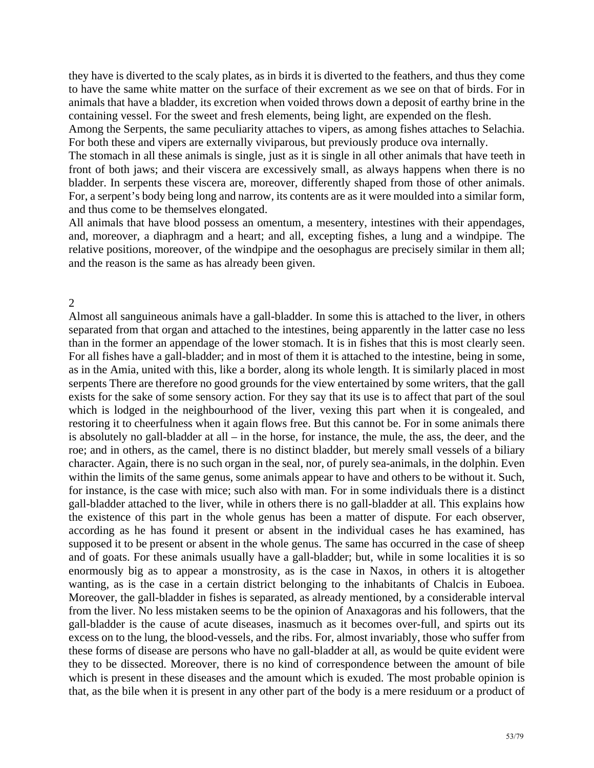they have is diverted to the scaly plates, as in birds it is diverted to the feathers, and thus they come to have the same white matter on the surface of their excrement as we see on that of birds. For in animals that have a bladder, its excretion when voided throws down a deposit of earthy brine in the containing vessel. For the sweet and fresh elements, being light, are expended on the flesh.

Among the Serpents, the same peculiarity attaches to vipers, as among fishes attaches to Selachia. For both these and vipers are externally viviparous, but previously produce ova internally.

and thus come to be themselves elongated. The stomach in all these animals is single, just as it is single in all other animals that have teeth in front of both jaws; and their viscera are excessively small, as always happens when there is no bladder. In serpents these viscera are, moreover, differently shaped from those of other animals. For, a serpent's body being long and narrow, its contents are as it were moulded into a similar form,

All animals that have blood possess an omentum, a mesentery, intestines with their appendages, and, moreover, a diaphragm and a heart; and all, excepting fishes, a lung and a windpipe. The relative positions, moreover, of the windpipe and the oesophagus are precisely similar in them all; and the reason is the same as has already been given.

#### 2

within the limits of the same genus, some animals appear to have and others to be without it. Such, for instance, is the case with mice; such also with man. For in some individuals there is a distinct gall-bladder attached to the liver, while in others there is no gall-bladder at all. This explains how the existence of this part in the whole genus has been a matter of dispute. For each observer, these forms of disease are persons who have no gall-bladder at all, as would be quite evident were they to be dissected. Moreover, there is no kind of correspondence between the amount of bile which is present in these diseases and the amount which is exuded. The most probable opinion is that, as the bile when it is present in any other part of the body is a mere residuum or a product of Almost all sanguineous animals have a gall-bladder. In some this is attached to the liver, in others separated from that organ and attached to the intestines, being apparently in the latter case no less than in the former an appendage of the lower stomach. It is in fishes that this is most clearly seen. For all fishes have a gall-bladder; and in most of them it is attached to the intestine, being in some, as in the Amia, united with this, like a border, along its whole length. It is similarly placed in most serpents There are therefore no good grounds for the view entertained by some writers, that the gall exists for the sake of some sensory action. For they say that its use is to affect that part of the soul which is lodged in the neighbourhood of the liver, vexing this part when it is congealed, and restoring it to cheerfulness when it again flows free. But this cannot be. For in some animals there is absolutely no gall-bladder at all – in the horse, for instance, the mule, the ass, the deer, and the roe; and in others, as the camel, there is no distinct bladder, but merely small vessels of a biliary character. Again, there is no such organ in the seal, nor, of purely sea-animals, in the dolphin. Even according as he has found it present or absent in the individual cases he has examined, has supposed it to be present or absent in the whole genus. The same has occurred in the case of sheep and of goats. For these animals usually have a gall-bladder; but, while in some localities it is so enormously big as to appear a monstrosity, as is the case in Naxos, in others it is altogether wanting, as is the case in a certain district belonging to the inhabitants of Chalcis in Euboea. Moreover, the gall-bladder in fishes is separated, as already mentioned, by a considerable interval from the liver. No less mistaken seems to be the opinion of Anaxagoras and his followers, that the gall-bladder is the cause of acute diseases, inasmuch as it becomes over-full, and spirts out its excess on to the lung, the blood-vessels, and the ribs. For, almost invariably, those who suffer from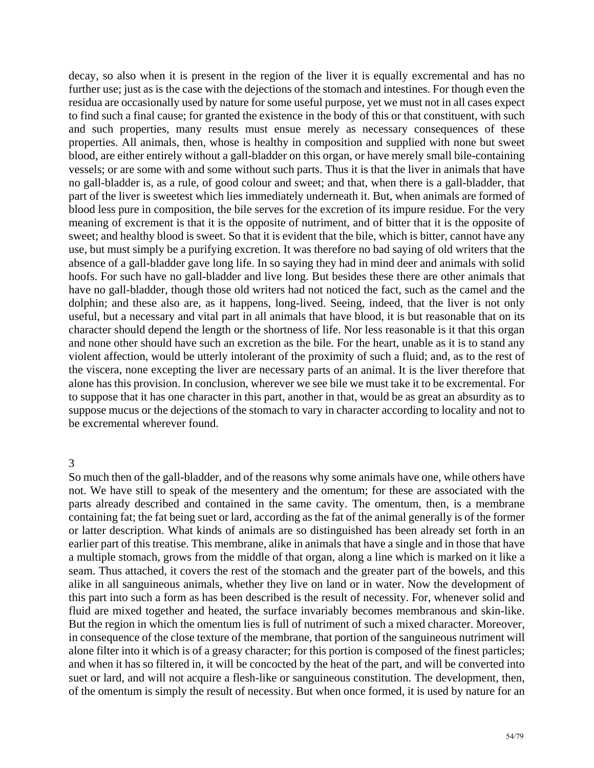decay, so also when it is present in the region of the liver it is equally excremental and has no further use; just as is the case with the dejections of the stomach and intestines. For though even the residua are occasionally used by nature for some useful purpose, yet we must not in all cases expect to find such a final cause; for granted the existence in the body of this or that constituent, with such hoofs. For such have no gall-bladder and live long. But besides these there are other animals that dolphin; and these also are, as it happens, long-lived. Seeing, indeed, that the liver is not only the viscera, none excepting the liver are necessary parts of an animal. It is the liver therefore that and such properties, many results must ensue merely as necessary consequences of these properties. All animals, then, whose is healthy in composition and supplied with none but sweet blood, are either entirely without a gall-bladder on this organ, or have merely small bile-containing vessels; or are some with and some without such parts. Thus it is that the liver in animals that have no gall-bladder is, as a rule, of good colour and sweet; and that, when there is a gall-bladder, that part of the liver is sweetest which lies immediately underneath it. But, when animals are formed of blood less pure in composition, the bile serves for the excretion of its impure residue. For the very meaning of excrement is that it is the opposite of nutriment, and of bitter that it is the opposite of sweet; and healthy blood is sweet. So that it is evident that the bile, which is bitter, cannot have any use, but must simply be a purifying excretion. It was therefore no bad saying of old writers that the absence of a gall-bladder gave long life. In so saying they had in mind deer and animals with solid have no gall-bladder, though those old writers had not noticed the fact, such as the camel and the useful, but a necessary and vital part in all animals that have blood, it is but reasonable that on its character should depend the length or the shortness of life. Nor less reasonable is it that this organ and none other should have such an excretion as the bile. For the heart, unable as it is to stand any violent affection, would be utterly intolerant of the proximity of such a fluid; and, as to the rest of alone has this provision. In conclusion, wherever we see bile we must take it to be excremental. For to suppose that it has one character in this part, another in that, would be as great an absurdity as to suppose mucus or the dejections of the stomach to vary in character according to locality and not to be excremental wherever found.

3

So much then of the gall-bladder, and of the reasons why some animals have one, while others have not. We have still to speak of the mesentery and the omentum; for these are associated with the parts already described and contained in the same cavity. The omentum, then, is a membrane containing fat; the fat being suet or lard, according as the fat of the animal generally is of the former or latter description. What kinds of animals are so distinguished has been already set forth in an earlier part of this treatise. This membrane, alike in animals that have a single and in those that have a multiple stomach, grows from the middle of that organ, along a line which is marked on it like a seam. Thus attached, it covers the rest of the stomach and the greater part of the bowels, and this alike in all sanguineous animals, whether they live on land or in water. Now the development of this part into such a form as has been described is the result of necessity. For, whenever solid and fluid are mixed together and heated, the surface invariably becomes membranous and skin-like. But the region in which the omentum lies is full of nutriment of such a mixed character. Moreover, in consequence of the close texture of the membrane, that portion of the sanguineous nutriment will alone filter into it which is of a greasy character; for this portion is composed of the finest particles; and when it has so filtered in, it will be concocted by the heat of the part, and will be converted into suet or lard, and will not acquire a flesh-like or sanguineous constitution. The development, then, of the omentum is simply the result of necessity. But when once formed, it is used by nature for an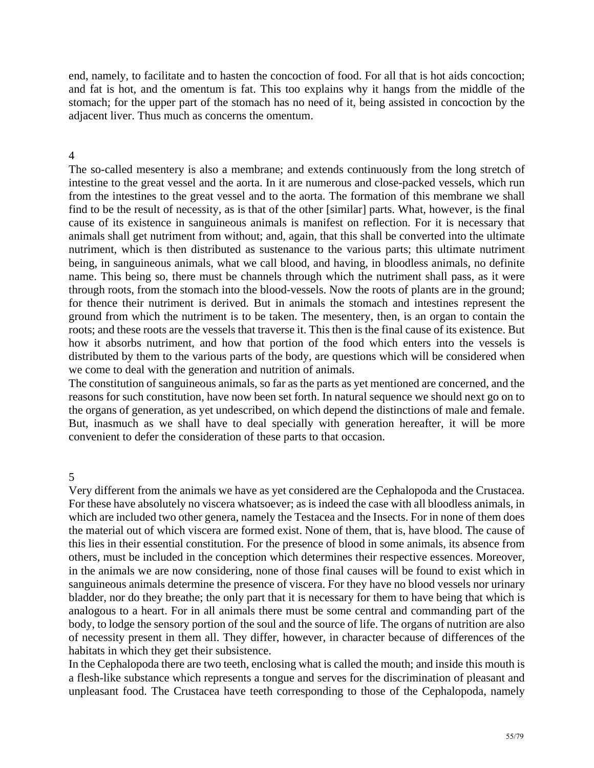end, namely, to facilitate and to hasten the concoction of food. For all that is hot aids concoction; and fat is hot, and the omentum is fat. This too explains why it hangs from the middle of the stomach; for the upper part of the stomach has no need of it, being assisted in concoction by the adjacent liver. Thus much as concerns the omentum.

#### 4

The so-called mesentery is also a membrane; and extends continuously from the long stretch of intestine to the great vessel and the aorta. In it are numerous and close-packed vessels, which run from the intestines to the great vessel and to the aorta. The formation of this membrane we shall find to be the result of necessity, as is that of the other [similar] parts. What, however, is the final cause of its existence in sanguineous animals is manifest on reflection. For it is necessary that animals shall get nutriment from without; and, again, that this shall be converted into the ultimate nutriment, which is then distributed as sustenance to the various parts; this ultimate nutriment being, in sanguineous animals, what we call blood, and having, in bloodless animals, no definite name. This being so, there must be channels through which the nutriment shall pass, as it were through roots, from the stomach into the blood-vessels. Now the roots of plants are in the ground; for thence their nutriment is derived. But in animals the stomach and intestines represent the ground from which the nutriment is to be taken. The mesentery, then, is an organ to contain the roots; and these roots are the vessels that traverse it. This then is the final cause of its existence. But how it absorbs nutriment, and how that portion of the food which enters into the vessels is distributed by them to the various parts of the body, are questions which will be considered when we come to deal with the generation and nutrition of animals.

The constitution of sanguineous animals, so far as the parts as yet mentioned are concerned, and the reasons for such constitution, have now been set forth. In natural sequence we should next go on to the organs of generation, as yet undescribed, on which depend the distinctions of male and female. But, inasmuch as we shall have to deal specially with generation hereafter, it will be more convenient to defer the consideration of these parts to that occasion.

#### 5

Very different from the animals we have as yet considered are the Cephalopoda and the Crustacea. For these have absolutely no viscera whatsoever; as is indeed the case with all bloodless animals, in which are included two other genera, namely the Testacea and the Insects. For in none of them does the material out of which viscera are formed exist. None of them, that is, have blood. The cause of this lies in their essential constitution. For the presence of blood in some animals, its absence from others, must be included in the conception which determines their respective essences. Moreover, in the animals we are now considering, none of those final causes will be found to exist which in sanguineous animals determine the presence of viscera. For they have no blood vessels nor urinary bladder, nor do they breathe; the only part that it is necessary for them to have being that which is nalogous to a heart. For in all animals there must be some central and commanding part of the a body, to lodge the sensory portion of the soul and the source of life. The organs of nutrition are also of necessity present in them all. They differ, however, in character because of differences of the habitats in which they get their subsistence.

In the Cephalopoda there are two teeth, enclosing what is called the mouth; and inside this mouth is a flesh-like substance which represents a tongue and serves for the discrimination of pleasant and unpleasant food. The Crustacea have teeth corresponding to those of the Cephalopoda, namely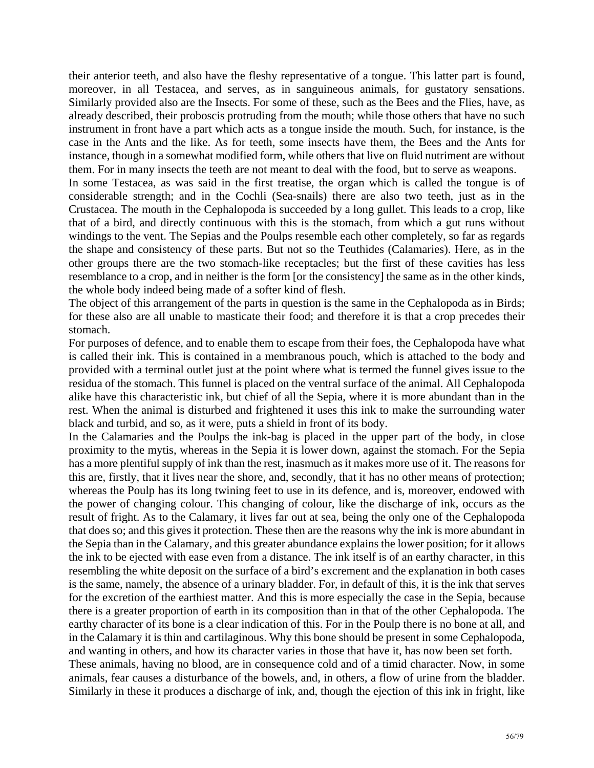their anterior teeth, and also have the fleshy representative of a tongue. This latter part is found, moreover, in all Testacea, and serves, as in sanguineous animals, for gustatory sensations. Similarly provided also are the Insects. For some of these, such as the Bees and the Flies, have, as already described, their proboscis protruding from the mouth; while those others that have no such instrument in front have a part which acts as a tongue inside the mouth. Such, for instance, is the case in the Ants and the like. As for teeth, some insects have them, the Bees and the Ants for instance, though in a somewhat modified form, while others that live on fluid nutriment are without them. For in many insects the teeth are not meant to deal with the food, but to serve as weapons.

In some Testacea, as was said in the first treatise, the organ which is called the tongue is of considerable strength; and in the Cochli (Sea-snails) there are also two teeth, just as in the Crustacea. The mouth in the Cephalopoda is succeeded by a long gullet. This leads to a crop, like that of a bird, and directly continuous with this is the stomach, from which a gut runs without windings to the vent. The Sepias and the Poulps resemble each other completely, so far as regards the shape and consistency of these parts. But not so the Teuthides (Calamaries). Here, as in the other groups there are the two stomach-like receptacles; but the first of these cavities has less resemblance to a crop, and in neither is the form [or the consistency] the same as in the other kinds, the whole body indeed being made of a softer kind of flesh.

The object of this arrangement of the parts in question is the same in the Cephalopoda as in Birds; for these also are all unable to masticate their food; and therefore it is that a crop precedes their stomach.

For purposes of defence, and to enable them to escape from their foes, the Cephalopoda have what is called their ink. This is contained in a membranous pouch, which is attached to the body and provided with a terminal outlet just at the point where what is termed the funnel gives issue to the residua of the stomach. This funnel is placed on the ventral surface of the animal. All Cephalopoda alike have this characteristic ink, but chief of all the Sepia, where it is more abundant than in the rest. When the animal is disturbed and frightened it uses this ink to make the surrounding water black and turbid, and so, as it were, puts a shield in front of its body.

the ink to be ejected with ease even from a distance. The ink itself is of an earthy character, in this earthy character of its bone is a clear indication of this. For in the Poulp there is no bone at all, and in the Calamary it is thin and cartilaginous. Why this bone should be present in some Cephalopoda, and wanting in others, and how its character varies in those that have it, has now been set forth. In the Calamaries and the Poulps the ink-bag is placed in the upper part of the body, in close proximity to the mytis, whereas in the Sepia it is lower down, against the stomach. For the Sepia has a more plentiful supply of ink than the rest, inasmuch as it makes more use of it. The reasons for this are, firstly, that it lives near the shore, and, secondly, that it has no other means of protection; whereas the Poulp has its long twining feet to use in its defence, and is, moreover, endowed with the power of changing colour. This changing of colour, like the discharge of ink, occurs as the result of fright. As to the Calamary, it lives far out at sea, being the only one of the Cephalopoda that does so; and this gives it protection. These then are the reasons why the ink is more abundant in the Sepia than in the Calamary, and this greater abundance explains the lower position; for it allows resembling the white deposit on the surface of a bird's excrement and the explanation in both cases is the same, namely, the absence of a urinary bladder. For, in default of this, it is the ink that serves for the excretion of the earthiest matter. And this is more especially the case in the Sepia, because there is a greater proportion of earth in its composition than in that of the other Cephalopoda. The

These animals, having no blood, are in consequence cold and of a timid character. Now, in some animals, fear causes a disturbance of the bowels, and, in others, a flow of urine from the bladder. Similarly in these it produces a discharge of ink, and, though the ejection of this ink in fright, like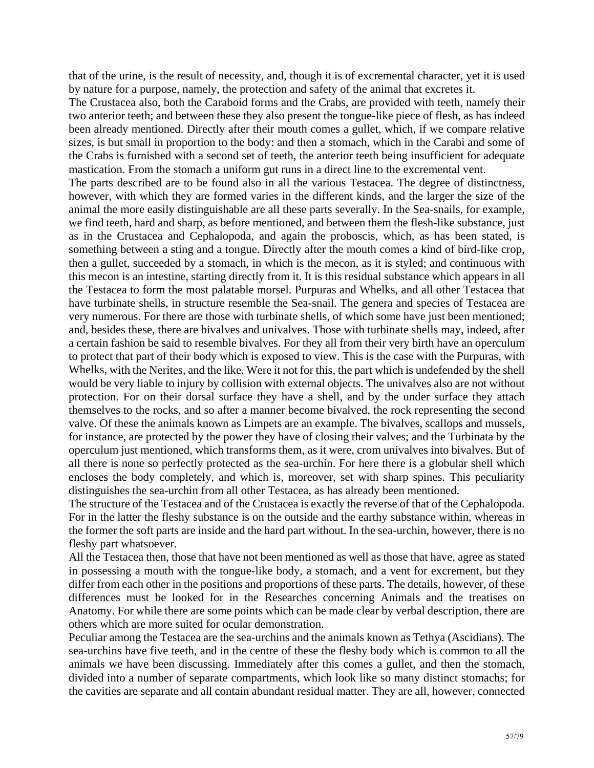that of the urine, is the result of necessity, and, though it is of excremental character, yet it is used by nature for a purpose, namely, the protection and safety of the animal that excretes it.

The Crustacea also, both the Caraboid forms and the Crabs, are provided with teeth, namely their two anterior teeth; and between these they also present the tongue-like piece of flesh, as has indeed been already mentioned. Directly after their mouth comes a gullet, which, if we compare relative sizes, is but small in proportion to the body: and then a stomach, which in the Carabi and some of the Crabs is furnished with a second set of teeth, the anterior teeth being insufficient for adequate mastication. From the stomach a uniform gut runs in a direct line to the excremental vent.

The parts described are to be found also in all the various Testacea. The degree of distinctness, however, with which they are formed varies in the different kinds, and the larger the size of the animal the more easily distinguishable are all these parts severally. In the Sea-snails, for example, Whelks, with the Nerites, and the like. Were it not for this, the part which is undefended by the shell distinguishes the sea-urchin from all other Testacea, as has already been mentioned. we find teeth, hard and sharp, as before mentioned, and between them the flesh-like substance, just as in the Crustacea and Cephalopoda, and again the proboscis, which, as has been stated, is something between a sting and a tongue. Directly after the mouth comes a kind of bird-like crop, then a gullet, succeeded by a stomach, in which is the mecon, as it is styled; and continuous with this mecon is an intestine, starting directly from it. It is this residual substance which appears in all the Testacea to form the most palatable morsel. Purpuras and Whelks, and all other Testacea that have turbinate shells, in structure resemble the Sea-snail. The genera and species of Testacea are very numerous. For there are those with turbinate shells, of which some have just been mentioned; and, besides these, there are bivalves and univalves. Those with turbinate shells may, indeed, after a certain fashion be said to resemble bivalves. For they all from their very birth have an operculum to protect that part of their body which is exposed to view. This is the case with the Purpuras, with would be very liable to injury by collision with external objects. The univalves also are not without protection. For on their dorsal surface they have a shell, and by the under surface they attach themselves to the rocks, and so after a manner become bivalved, the rock representing the second valve. Of these the animals known as Limpets are an example. The bivalves, scallops and mussels, for instance, are protected by the power they have of closing their valves; and the Turbinata by the operculum just mentioned, which transforms them, as it were, crom univalves into bivalves. But of all there is none so perfectly protected as the sea-urchin. For here there is a globular shell which encloses the body completely, and which is, moreover, set with sharp spines. This peculiarity

the former the soft parts are inside and the hard part without. In the sea-urchin, however, there is no The structure of the Testacea and of the Crustacea is exactly the reverse of that of the Cephalopoda. For in the latter the fleshy substance is on the outside and the earthy substance within, whereas in fleshy part whatsoever.

All the Testacea then, those that have not been mentioned as well as those that have, agree as stated in possessing a mouth with the tongue-like body, a stomach, and a vent for excrement, but they differ from each other in the positions and proportions of these parts. The details, however, of these differences must be looked for in the Researches concerning Animals and the treatises on Anatomy. For while there are some points which can be made clear by verbal description, there are others which are more suited for ocular demonstration.

Peculiar among the Testacea are the sea-urchins and the animals known as Tethya (Ascidians). The sea-urchins have five teeth, and in the centre of these the fleshy body which is common to all the animals we have been discussing. Immediately after this comes a gullet, and then the stomach, divided into a number of separate compartments, which look like so many distinct stomachs; for the cavities are separate and all contain abundant residual matter. They are all, however, connected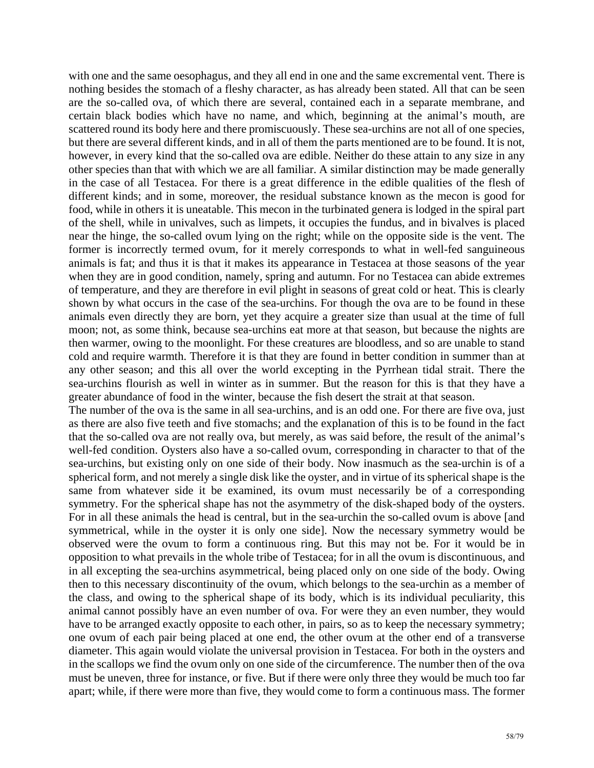with one and the same oesophagus, and they all end in one and the same excremental vent. There is nothing besides the stomach of a fleshy character, as has already been stated. All that can be seen are the so-called ova, of which there are several, contained each in a separate membrane, and certain black bodies which have no name, and which, beginning at the animal's mouth, are scattered round its body here and there promiscuously. These sea-urchins are not all of one species, but there are several different kinds, and in all of them the parts mentioned are to be found. It is not, however, in every kind that the so-called ova are edible. Neither do these attain to any size in any other species than that with which we are all familiar. A similar distinction may be made generally in the case of all Testacea. For there is a great difference in the edible qualities of the flesh of different kinds; and in some, moreover, the residual substance known as the mecon is good for food, while in others it is uneatable. This mecon in the turbinated genera is lodged in the spiral part of the shell, while in univalves, such as limpets, it occupies the fundus, and in bivalves is placed near the hinge, the so-called ovum lying on the right; while on the opposite side is the vent. The shown by what occurs in the case of the sea-urchins. For though the ova are to be found in these greater abundance of food in the winter, because the fish desert the strait at that season. former is incorrectly termed ovum, for it merely corresponds to what in well-fed sanguineous animals is fat; and thus it is that it makes its appearance in Testacea at those seasons of the year when they are in good condition, namely, spring and autumn. For no Testacea can abide extremes of temperature, and they are therefore in evil plight in seasons of great cold or heat. This is clearly animals even directly they are born, yet they acquire a greater size than usual at the time of full moon; not, as some think, because sea-urchins eat more at that season, but because the nights are then warmer, owing to the moonlight. For these creatures are bloodless, and so are unable to stand cold and require warmth. Therefore it is that they are found in better condition in summer than at any other season; and this all over the world excepting in the Pyrrhean tidal strait. There the sea-urchins flourish as well in winter as in summer. But the reason for this is that they have a

The number of the ova is the same in all sea-urchins, and is an odd one. For there are five ova, just as there are also five teeth and five stomachs; and the explanation of this is to be found in the fact that the so-called ova are not really ova, but merely, as was said before, the result of the animal's well-fed condition. Oysters also have a so-called ovum, corresponding in character to that of the sea-urchins, but existing only on one side of their body. Now inasmuch as the sea-urchin is of a spherical form, and not merely a single disk like the oyster, and in virtue of its spherical shape is the same from whatever side it be examined, its ovum must necessarily be of a corresponding symmetry. For the spherical shape has not the asymmetry of the disk-shaped body of the oysters. For in all these animals the head is central, but in the sea-urchin the so-called ovum is above [and symmetrical, while in the oyster it is only one side]. Now the necessary symmetry would be observed were the ovum to form a continuous ring. But this may not be. For it would be in opposition to what prevails in the whole tribe of Testacea; for in all the ovum is discontinuous, and in all excepting the sea-urchins asymmetrical, being placed only on one side of the body. Owing then to this necessary discontinuity of the ovum, which belongs to the sea-urchin as a member of the class, and owing to the spherical shape of its body, which is its individual peculiarity, this animal cannot possibly have an even number of ova. For were they an even number, they would have to be arranged exactly opposite to each other, in pairs, so as to keep the necessary symmetry; one ovum of each pair being placed at one end, the other ovum at the other end of a transverse diameter. This again would violate the universal provision in Testacea. For both in the oysters and in the scallops we find the ovum only on one side of the circumference. The number then of the ova must be uneven, three for instance, or five. But if there were only three they would be much too far apart; while, if there were more than five, they would come to form a continuous mass. The former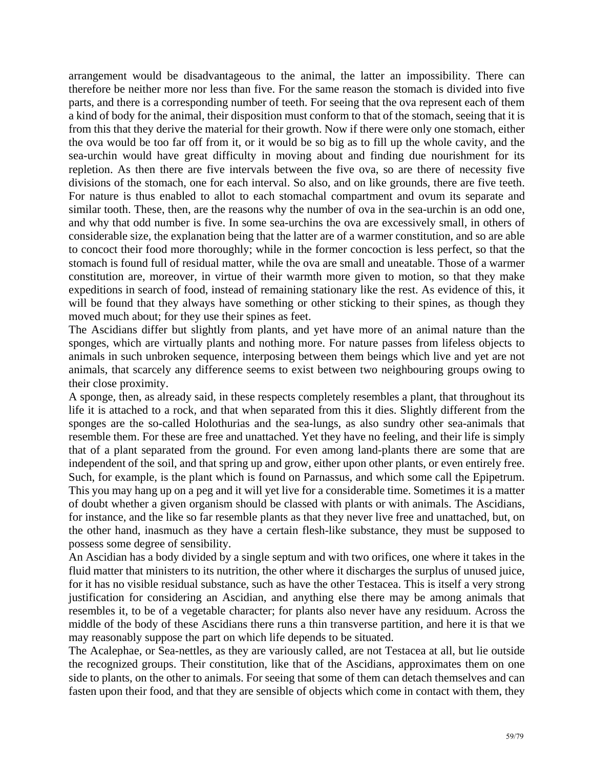arrangement would be disadvantageous to the animal, the latter an impossibility. There can therefore be neither more nor less than five. For the same reason the stomach is divided into five parts, and there is a corresponding number of teeth. For seeing that the ova represent each of them sea-urchin would have great difficulty in moving about and finding due nourishment for its considerable size, the explanation being that the latter are of a warmer constitution, and so are able a kind of body for the animal, their disposition must conform to that of the stomach, seeing that it is from this that they derive the material for their growth. Now if there were only one stomach, either the ova would be too far off from it, or it would be so big as to fill up the whole cavity, and the repletion. As then there are five intervals between the five ova, so are there of necessity five divisions of the stomach, one for each interval. So also, and on like grounds, there are five teeth. For nature is thus enabled to allot to each stomachal compartment and ovum its separate and similar tooth. These, then, are the reasons why the number of ova in the sea-urchin is an odd one, and why that odd number is five. In some sea-urchins the ova are excessively small, in others of to concoct their food more thoroughly; while in the former concoction is less perfect, so that the stomach is found full of residual matter, while the ova are small and uneatable. Those of a warmer constitution are, moreover, in virtue of their warmth more given to motion, so that they make expeditions in search of food, instead of remaining stationary like the rest. As evidence of this, it will be found that they always have something or other sticking to their spines, as though they moved much about; for they use their spines as feet.

The Ascidians differ but slightly from plants, and yet have more of an animal nature than the sponges, which are virtually plants and nothing more. For nature passes from lifeless objects to animals in such unbroken sequence, interposing between them beings which live and yet are not animals, that scarcely any difference seems to exist between two neighbouring groups owing to their close proximity.

A sponge, then, as already said, in these respects completely resembles a plant, that throughout its life it is attached to a rock, and that when separated from this it dies. Slightly different from the sponges are the so-called Holothurias and the sea-lungs, as also sundry other sea-animals that resemble them. For these are free and unattached. Yet they have no feeling, and their life is simply that of a plant separated from the ground. For even among land-plants there are some that are independent of the soil, and that spring up and grow, either upon other plants, or even entirely free. Such, for example, is the plant which is found on Parnassus, and which some call the Epipetrum. This you may hang up on a peg and it will yet live for a considerable time. Sometimes it is a matter of doubt whether a given organism should be classed with plants or with animals. The Ascidians, for instance, and the like so far resemble plants as that they never live free and unattached, but, on the other hand, inasmuch as they have a certain flesh-like substance, they must be supposed to possess some degree of sensibility.

An Ascidian has a body divided by a single septum and with two orifices, one where it takes in the fluid matter that ministers to its nutrition, the other where it discharges the surplus of unused juice, for it has no visible residual substance, such as have the other Testacea. This is itself a very strong justification for considering an Ascidian, and anything else there may be among animals that resembles it, to be of a vegetable character; for plants also never have any residuum. Across the middle of the body of these Ascidians there runs a thin transverse partition, and here it is that we may reasonably suppose the part on which life depends to be situated.

The Acalephae, or Sea-nettles, as they are variously called, are not Testacea at all, but lie outside the recognized groups. Their constitution, like that of the Ascidians, approximates them on one side to plants, on the other to animals. For seeing that some of them can detach themselves and can fasten upon their food, and that they are sensible of objects which come in contact with them, they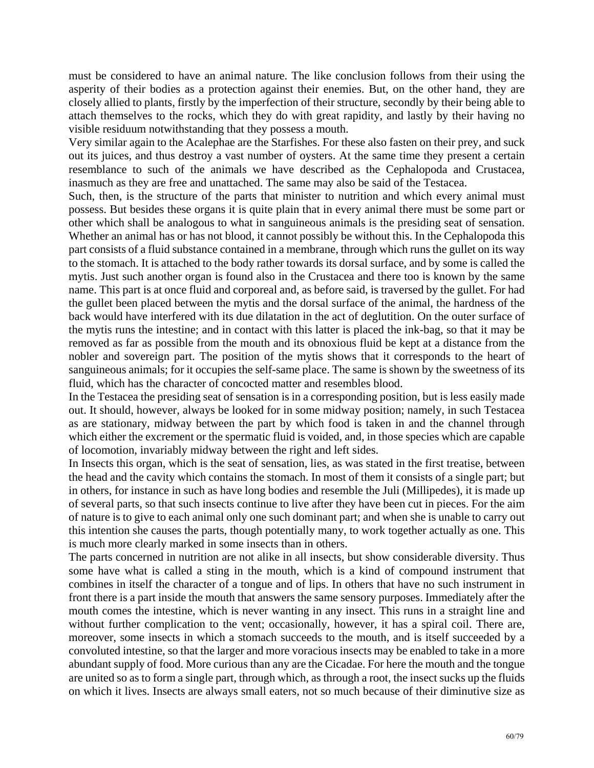must be considered to have an animal nature. The like conclusion follows from their using the asperity of their bodies as a protection against their enemies. But, on the other hand, they are closely allied to plants, firstly by the imperfection of their structure, secondly by their being able to attach themselves to the rocks, which they do with great rapidity, and lastly by their having no visible residuum notwithstanding that they possess a mouth.

Very similar again to the Acalephae are the Starfishes. For these also fasten on their prey, and suck out its juices, and thus destroy a vast number of oysters. At the same time they present a certain resemblance to such of the animals we have described as the Cephalopoda and Crustacea, inasmuch as they are free and unattached. The same may also be said of the Testacea.

Such, then, is the structure of the parts that minister to nutrition and which every animal must possess. But besides these organs it is quite plain that in every animal there must be some part or other which shall be analogous to what in sanguineous animals is the presiding seat of sensation. Whether an animal has or has not blood, it cannot possibly be without this. In the Cephalopoda this part consists of a fluid substance contained in a membrane, through which runs the gullet on its way to the stomach. It is attached to the body rather towards its dorsal surface, and by some is called the mytis. Just such another organ is found also in the Crustacea and there too is known by the same name. This part is at once fluid and corporeal and, as before said, is traversed by the gullet. For had the gullet been placed between the mytis and the dorsal surface of the animal, the hardness of the back would have interfered with its due dilatation in the act of deglutition. On the outer surface of the mytis runs the intestine; and in contact with this latter is placed the ink-bag, so that it may be removed as far as possible from the mouth and its obnoxious fluid be kept at a distance from the nobler and sovereign part. The position of the mytis shows that it corresponds to the heart of sanguineous animals; for it occupies the self-same place. The same is shown by the sweetness of its fluid, which has the character of concocted matter and resembles blood.

In the Testacea the presiding seat of sensation is in a corresponding position, but is less easily made out. It should, however, always be looked for in some midway position; namely, in such Testacea as are stationary, midway between the part by which food is taken in and the channel through which either the excrement or the spermatic fluid is voided, and, in those species which are capable of locomotion, invariably midway between the right and left sides.

In Insects this organ, which is the seat of sensation, lies, as was stated in the first treatise, between the head and the cavity which contains the stomach. In most of them it consists of a single part; but in others, for instance in such as have long bodies and resemble the Juli (Millipedes), it is made up of several parts, so that such insects continue to live after they have been cut in pieces. For the aim of nature is to give to each animal only one such dominant part; and when she is unable to carry out this intention she causes the parts, though potentially many, to work together actually as one. This is much more clearly marked in some insects than in others.

The parts concerned in nutrition are not alike in all insects, but show considerable diversity. Thus some have what is called a sting in the mouth, which is a kind of compound instrument that combines in itself the character of a tongue and of lips. In others that have no such instrument in convoluted intestine, so that the larger and more voracious insects may be enabled to take in a more front there is a part inside the mouth that answers the same sensory purposes. Immediately after the mouth comes the intestine, which is never wanting in any insect. This runs in a straight line and without further complication to the vent; occasionally, however, it has a spiral coil. There are, moreover, some insects in which a stomach succeeds to the mouth, and is itself succeeded by a abundant supply of food. More curious than any are the Cicadae. For here the mouth and the tongue are united so as to form a single part, through which, as through a root, the insect sucks up the fluids on which it lives. Insects are always small eaters, not so much because of their diminutive size as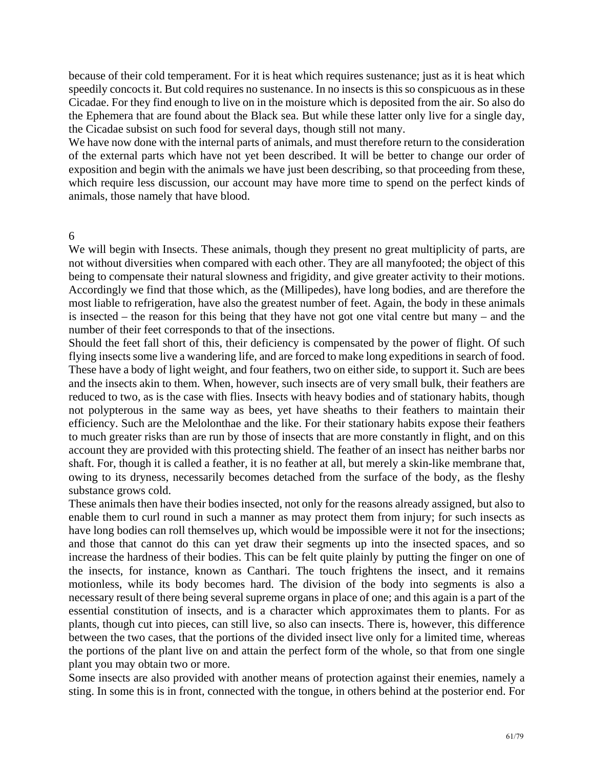because of their cold temperament. For it is heat which requires sustenance; just as it is heat which speedily concocts it. But cold requires no sustenance. In no insects is this so conspicuous as in these Cicadae. For they find enough to live on in the moisture which is deposited from the air. So also do the Ephemera that are found about the Black sea. But while these latter only live for a single day, the Cicadae subsist on such food for several days, though still not many.

We have now done with the internal parts of animals, and must therefore return to the consideration of the external parts which have not yet been described. It will be better to change our order of exposition and begin with the animals we have just been describing, so that proceeding from these, which require less discussion, our account may have more time to spend on the perfect kinds of animals, those namely that have blood.

6

being to compensate their natural slowness and frigidity, and give greater activity to their motions. We will begin with Insects. These animals, though they present no great multiplicity of parts, are not without diversities when compared with each other. They are all manyfooted; the object of this Accordingly we find that those which, as the (Millipedes), have long bodies, and are therefore the most liable to refrigeration, have also the greatest number of feet. Again, the body in these animals is insected – the reason for this being that they have not got one vital centre but many – and the number of their feet corresponds to that of the insections.

reduced to two, as is the case with flies. Insects with heavy bodies and of stationary habits, though account they are provided with this protecting shield. The feather of an insect has neither barbs nor Should the feet fall short of this, their deficiency is compensated by the power of flight. Of such flying insects some live a wandering life, and are forced to make long expeditions in search of food. These have a body of light weight, and four feathers, two on either side, to support it. Such are bees and the insects akin to them. When, however, such insects are of very small bulk, their feathers are not polypterous in the same way as bees, yet have sheaths to their feathers to maintain their efficiency. Such are the Melolonthae and the like. For their stationary habits expose their feathers to much greater risks than are run by those of insects that are more constantly in flight, and on this shaft. For, though it is called a feather, it is no feather at all, but merely a skin-like membrane that, owing to its dryness, necessarily becomes detached from the surface of the body, as the fleshy substance grows cold.

the portions of the plant live on and attain the perfect form of the whole, so that from one single These animals then have their bodies insected, not only for the reasons already assigned, but also to enable them to curl round in such a manner as may protect them from injury; for such insects as have long bodies can roll themselves up, which would be impossible were it not for the insections; and those that cannot do this can yet draw their segments up into the insected spaces, and so increase the hardness of their bodies. This can be felt quite plainly by putting the finger on one of the insects, for instance, known as Canthari. The touch frightens the insect, and it remains motionless, while its body becomes hard. The division of the body into segments is also a necessary result of there being several supreme organs in place of one; and this again is a part of the essential constitution of insects, and is a character which approximates them to plants. For as plants, though cut into pieces, can still live, so also can insects. There is, however, this difference between the two cases, that the portions of the divided insect live only for a limited time, whereas plant you may obtain two or more.

Some insects are also provided with another means of protection against their enemies, namely a sting. In some this is in front, connected with the tongue, in others behind at the posterior end. For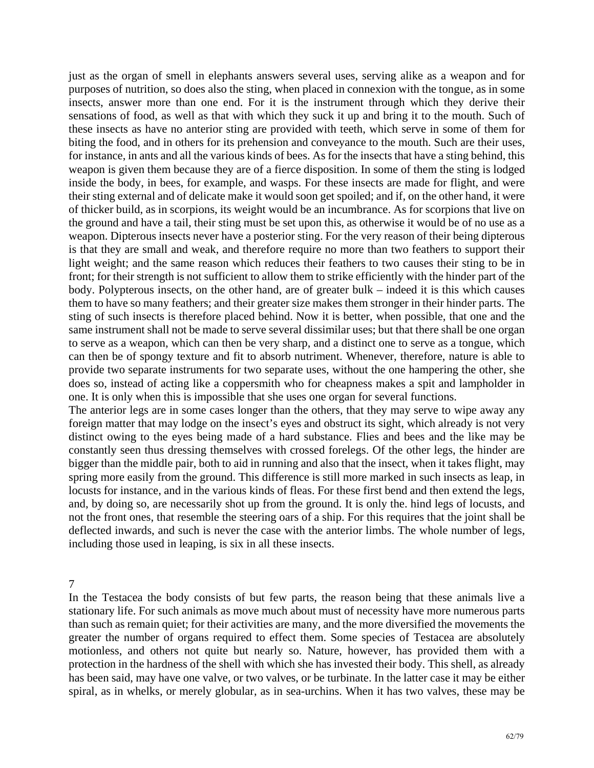just as the organ of smell in elephants answers several uses, serving alike as a weapon and for purposes of nutrition, so does also the sting, when placed in connexion with the tongue, as in some their sting external and of delicate make it would soon get spoiled; and if, on the other hand, it were insects, answer more than one end. For it is the instrument through which they derive their sensations of food, as well as that with which they suck it up and bring it to the mouth. Such of these insects as have no anterior sting are provided with teeth, which serve in some of them for biting the food, and in others for its prehension and conveyance to the mouth. Such are their uses, for instance, in ants and all the various kinds of bees. As for the insects that have a sting behind, this weapon is given them because they are of a fierce disposition. In some of them the sting is lodged inside the body, in bees, for example, and wasps. For these insects are made for flight, and were of thicker build, as in scorpions, its weight would be an incumbrance. As for scorpions that live on the ground and have a tail, their sting must be set upon this, as otherwise it would be of no use as a weapon. Dipterous insects never have a posterior sting. For the very reason of their being dipterous is that they are small and weak, and therefore require no more than two feathers to support their light weight; and the same reason which reduces their feathers to two causes their sting to be in front; for their strength is not sufficient to allow them to strike efficiently with the hinder part of the body. Polypterous insects, on the other hand, are of greater bulk – indeed it is this which causes them to have so many feathers; and their greater size makes them stronger in their hinder parts. The sting of such insects is therefore placed behind. Now it is better, when possible, that one and the same instrument shall not be made to serve several dissimilar uses; but that there shall be one organ to serve as a weapon, which can then be very sharp, and a distinct one to serve as a tongue, which can then be of spongy texture and fit to absorb nutriment. Whenever, therefore, nature is able to provide two separate instruments for two separate uses, without the one hampering the other, she does so, instead of acting like a coppersmith who for cheapness makes a spit and lampholder in one. It is only when this is impossible that she uses one organ for several functions.

foreign matter that may lodge on the insect's eyes and obstruct its sight, which already is not very locusts for instance, and in the various kinds of fleas. For these first bend and then extend the legs, and, by doing so, are necessarily shot up from the ground. It is only the. hind legs of locusts, and not the front ones, that resemble the steering oars of a ship. For this requires that the joint shall be deflected inwards, and such is never the case with the anterior limbs. The whole number of legs, The anterior legs are in some cases longer than the others, that they may serve to wipe away any distinct owing to the eyes being made of a hard substance. Flies and bees and the like may be constantly seen thus dressing themselves with crossed forelegs. Of the other legs, the hinder are bigger than the middle pair, both to aid in running and also that the insect, when it takes flight, may spring more easily from the ground. This difference is still more marked in such insects as leap, in including those used in leaping, is six in all these insects.

7

than such as remain quiet; for their activities are many, and the more diversified the movements the In the Testacea the body consists of but few parts, the reason being that these animals live a stationary life. For such animals as move much about must of necessity have more numerous parts greater the number of organs required to effect them. Some species of Testacea are absolutely motionless, and others not quite but nearly so. Nature, however, has provided them with a protection in the hardness of the shell with which she has invested their body. This shell, as already has been said, may have one valve, or two valves, or be turbinate. In the latter case it may be either spiral, as in whelks, or merely globular, as in sea-urchins. When it has two valves, these may be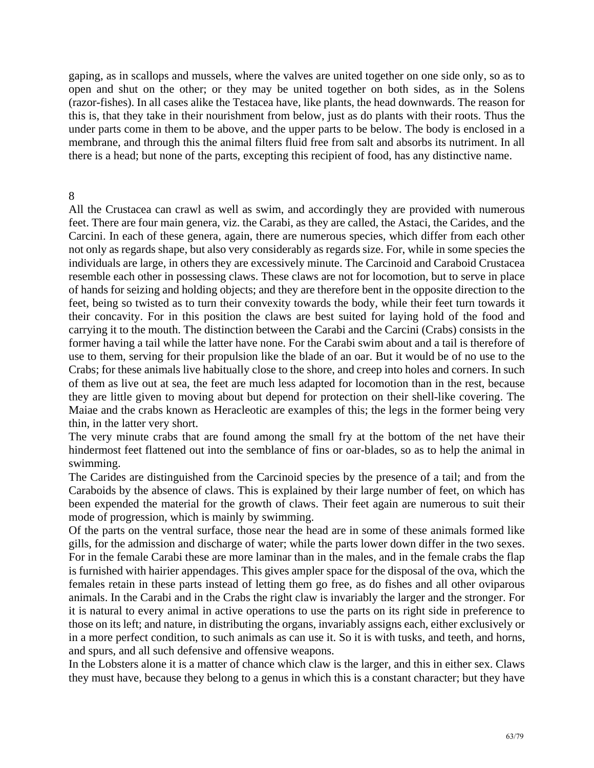gaping, as in scallops and mussels, where the valves are united together on one side only, so as to open and shut on the other; or they may be united together on both sides, as in the Solens (razor-fishes). In all cases alike the Testacea have, like plants, the head downwards. The reason for this is, that they take in their nourishment from below, just as do plants with their roots. Thus the under parts come in them to be above, and the upper parts to be below. The body is enclosed in a membrane, and through this the animal filters fluid free from salt and absorbs its nutriment. In all there is a head; but none of the parts, excepting this recipient of food, has any distinctive name.

## 8

carrying it to the mouth. The distinction between the Carabi and the Carcini (Crabs) consists in the All the Crustacea can crawl as well as swim, and accordingly they are provided with numerous feet. There are four main genera, viz. the Carabi, as they are called, the Astaci, the Carides, and the Carcini. In each of these genera, again, there are numerous species, which differ from each other not only as regards shape, but also very considerably as regards size. For, while in some species the individuals are large, in others they are excessively minute. The Carcinoid and Caraboid Crustacea resemble each other in possessing claws. These claws are not for locomotion, but to serve in place of hands for seizing and holding objects; and they are therefore bent in the opposite direction to the feet, being so twisted as to turn their convexity towards the body, while their feet turn towards it their concavity. For in this position the claws are best suited for laying hold of the food and former having a tail while the latter have none. For the Carabi swim about and a tail is therefore of use to them, serving for their propulsion like the blade of an oar. But it would be of no use to the Crabs; for these animals live habitually close to the shore, and creep into holes and corners. In such of them as live out at sea, the feet are much less adapted for locomotion than in the rest, because they are little given to moving about but depend for protection on their shell-like covering. The Maiae and the crabs known as Heracleotic are examples of this; the legs in the former being very thin, in the latter very short.

The very minute crabs that are found among the small fry at the bottom of the net have their hindermost feet flattened out into the semblance of fins or oar-blades, so as to help the animal in swimming.

The Carides are distinguished from the Carcinoid species by the presence of a tail; and from the Caraboids by the absence of claws. This is explained by their large number of feet, on which has been expended the material for the growth of claws. Their feet again are numerous to suit their mode of progression, which is mainly by swimming.

Of the parts on the ventral surface, those near the head are in some of these animals formed like gills, for the admission and discharge of water; while the parts lower down differ in the two sexes. For in the female Carabi these are more laminar than in the males, and in the female crabs the flap is furnished with hairier appendages. This gives ampler space for the disposal of the ova, which the females retain in these parts instead of letting them go free, as do fishes and all other oviparous animals. In the Carabi and in the Crabs the right claw is invariably the larger and the stronger. For it is natural to every animal in active operations to use the parts on its right side in preference to those on its left; and nature, in distributing the organs, invariably assigns each, either exclusively or in a more perfect condition, to such animals as can use it. So it is with tusks, and teeth, and horns, and spurs, and all such defensive and offensive weapons.

In the Lobsters alone it is a matter of chance which claw is the larger, and this in either sex. Claws they must have, because they belong to a genus in which this is a constant character; but they have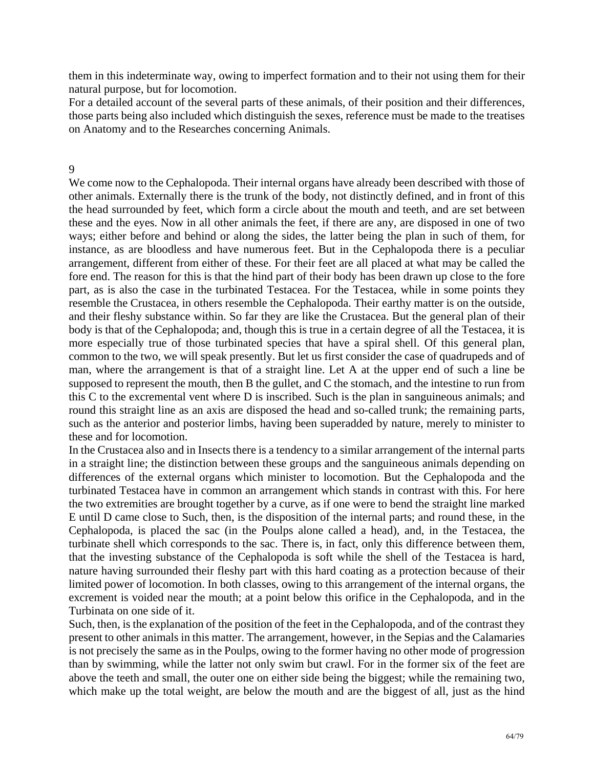them in this indeterminate way, owing to imperfect formation and to their not using them for their natural purpose, but for locomotion.

For a detailed account of the several parts of these animals, of their position and their differences, those parts being also included which distinguish the sexes, reference must be made to the treatises on Anatomy and to the Researches concerning Animals.

## 9

ways; either before and behind or along the sides, the latter being the plan in such of them, for instance, as are bloodless and have numerous feet. But in the Cephalopoda there is a peculiar arrangement, different from either of these. For their feet are all placed at what may be called the fore end. The reason for this is that the hind part of their body has been drawn up close to the fore We come now to the Cephalopoda. Their internal organs have already been described with those of other animals. Externally there is the trunk of the body, not distinctly defined, and in front of this the head surrounded by feet, which form a circle about the mouth and teeth, and are set between these and the eyes. Now in all other animals the feet, if there are any, are disposed in one of two part, as is also the case in the turbinated Testacea. For the Testacea, while in some points they resemble the Crustacea, in others resemble the Cephalopoda. Their earthy matter is on the outside, and their fleshy substance within. So far they are like the Crustacea. But the general plan of their body is that of the Cephalopoda; and, though this is true in a certain degree of all the Testacea, it is more especially true of those turbinated species that have a spiral shell. Of this general plan, common to the two, we will speak presently. But let us first consider the case of quadrupeds and of man, where the arrangement is that of a straight line. Let A at the upper end of such a line be supposed to represent the mouth, then B the gullet, and C the stomach, and the intestine to run from this C to the excremental vent where D is inscribed. Such is the plan in sanguineous animals; and round this straight line as an axis are disposed the head and so-called trunk; the remaining parts, such as the anterior and posterior limbs, having been superadded by nature, merely to minister to these and for locomotion.

turbinated Testacea have in common an arrangement which stands in contrast with this. For here the two extremities are brought together by a curve, as if one were to bend the straight line marked E until D came close to Such, then, is the disposition of the internal parts; and round these, in the Cephalopoda, is placed the sac (in the Poulps alone called a head), and, in the Testacea, the In the Crustacea also and in Insects there is a tendency to a similar arrangement of the internal parts in a straight line; the distinction between these groups and the sanguineous animals depending on differences of the external organs which minister to locomotion. But the Cephalopoda and the turbinate shell which corresponds to the sac. There is, in fact, only this difference between them, that the investing substance of the Cephalopoda is soft while the shell of the Testacea is hard, nature having surrounded their fleshy part with this hard coating as a protection because of their limited power of locomotion. In both classes, owing to this arrangement of the internal organs, the excrement is voided near the mouth; at a point below this orifice in the Cephalopoda, and in the Turbinata on one side of it.

Such, then, is the explanation of the position of the feet in the Cephalopoda, and of the contrast they present to other animals in this matter. The arrangement, however, in the Sepias and the Calamaries is not precisely the same as in the Poulps, owing to the former having no other mode of progression than by swimming, while the latter not only swim but crawl. For in the former six of the feet are above the teeth and small, the outer one on either side being the biggest; while the remaining two, which make up the total weight, are below the mouth and are the biggest of all, just as the hind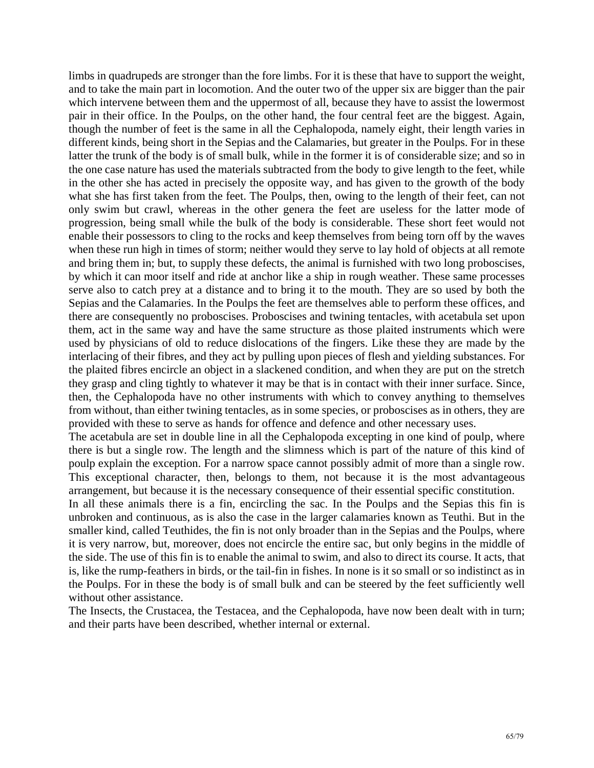limbs in quadrupeds are stronger than the fore limbs. For it is these that have to support the weight, and to take the main part in locomotion. And the outer two of the upper six are bigger than the pair which intervene between them and the uppermost of all, because they have to assist the lowermost pair in their office. In the Poulps, on the other hand, the four central feet are the biggest. Again, though the number of feet is the same in all the Cephalopoda, namely eight, their length varies in the one case nature has used the materials subtracted from the body to give length to the feet, while progression, being small while the bulk of the body is considerable. These short feet would not interlacing of their fibres, and they act by pulling upon pieces of flesh and yielding substances. For from without, than either twining tentacles, as in some species, or proboscises as in others, they are different kinds, being short in the Sepias and the Calamaries, but greater in the Poulps. For in these latter the trunk of the body is of small bulk, while in the former it is of considerable size; and so in in the other she has acted in precisely the opposite way, and has given to the growth of the body what she has first taken from the feet. The Poulps, then, owing to the length of their feet, can not only swim but crawl, whereas in the other genera the feet are useless for the latter mode of enable their possessors to cling to the rocks and keep themselves from being torn off by the waves when these run high in times of storm; neither would they serve to lay hold of objects at all remote and bring them in; but, to supply these defects, the animal is furnished with two long proboscises, by which it can moor itself and ride at anchor like a ship in rough weather. These same processes serve also to catch prey at a distance and to bring it to the mouth. They are so used by both the Sepias and the Calamaries. In the Poulps the feet are themselves able to perform these offices, and there are consequently no proboscises. Proboscises and twining tentacles, with acetabula set upon them, act in the same way and have the same structure as those plaited instruments which were used by physicians of old to reduce dislocations of the fingers. Like these they are made by the the plaited fibres encircle an object in a slackened condition, and when they are put on the stretch they grasp and cling tightly to whatever it may be that is in contact with their inner surface. Since, then, the Cephalopoda have no other instruments with which to convey anything to themselves provided with these to serve as hands for offence and defence and other necessary uses.

there is but a single row. The length and the slimness which is part of the nature of this kind of poulp explain the exception. For a narrow space cannot possibly admit of more than a single row. This exceptional character, then, belongs to them, not because it is the most advantageous arrangement, but because it is the necessary consequence of their essential specific constitution. The acetabula are set in double line in all the Cephalopoda excepting in one kind of poulp, where

In all these animals there is a fin, encircling the sac. In the Poulps and the Sepias this fin is unbroken and continuous, as is also the case in the larger calamaries known as Teuthi. But in the smaller kind, called Teuthides, the fin is not only broader than in the Sepias and the Poulps, where it is very narrow, but, moreover, does not encircle the entire sac, but only begins in the middle of the side. The use of this fin is to enable the animal to swim, and also to direct its course. It acts, that is, like the rump-feathers in birds, or the tail-fin in fishes. In none is it so small or so indistinct as in the Poulps. For in these the body is of small bulk and can be steered by the feet sufficiently well without other assistance.

The Insects, the Crustacea, the Testacea, and the Cephalopoda, have now been dealt with in turn; and their parts have been described, whether internal or external.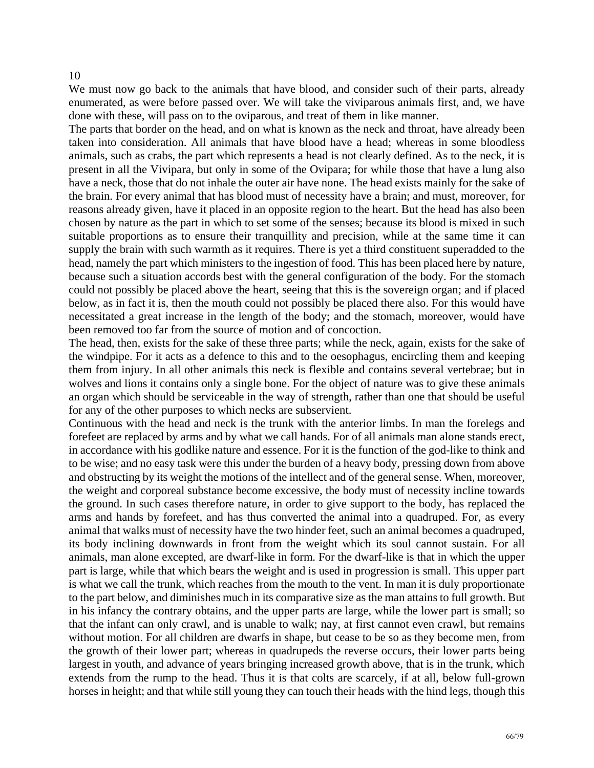We must now go back to the animals that have blood, and consider such of their parts, already enumerated, as were before passed over. We will take the viviparous animals first, and, we have done with these, will pass on to the oviparous, and treat of them in like manner.

The parts that border on the head, and on what is known as the neck and throat, have already been below, as in fact it is, then the mouth could not possibly be placed there also. For this would have taken into consideration. All animals that have blood have a head; whereas in some bloodless animals, such as crabs, the part which represents a head is not clearly defined. As to the neck, it is present in all the Vivipara, but only in some of the Ovipara; for while those that have a lung also have a neck, those that do not inhale the outer air have none. The head exists mainly for the sake of the brain. For every animal that has blood must of necessity have a brain; and must, moreover, for reasons already given, have it placed in an opposite region to the heart. But the head has also been chosen by nature as the part in which to set some of the senses; because its blood is mixed in such suitable proportions as to ensure their tranquillity and precision, while at the same time it can supply the brain with such warmth as it requires. There is yet a third constituent superadded to the head, namely the part which ministers to the ingestion of food. This has been placed here by nature, because such a situation accords best with the general configuration of the body. For the stomach could not possibly be placed above the heart, seeing that this is the sovereign organ; and if placed necessitated a great increase in the length of the body; and the stomach, moreover, would have been removed too far from the source of motion and of concoction.

The head, then, exists for the sake of these three parts; while the neck, again, exists for the sake of the windpipe. For it acts as a defence to this and to the oesophagus, encircling them and keeping them from injury. In all other animals this neck is flexible and contains several vertebrae; but in wolves and lions it contains only a single bone. For the object of nature was to give these animals an organ which should be serviceable in the way of strength, rather than one that should be useful for any of the other purposes to which necks are subservient.

Continuous with the head and neck is the trunk with the anterior limbs. In man the forelegs and forefeet are replaced by arms and by what we call hands. For of all animals man alone stands erect, in accordance with his godlike nature and essence. For it is the function of the god-like to think and to be wise; and no easy task were this under the burden of a heavy body, pressing down from above and obstructing by its weight the motions of the intellect and of the general sense. When, moreover, the weight and corporeal substance become excessive, the body must of necessity incline towards the ground. In such cases therefore nature, in order to give support to the body, has replaced the arms and hands by forefeet, and has thus converted the animal into a quadruped. For, as every animal that walks must of necessity have the two hinder feet, such an animal becomes a quadruped, its body inclining downwards in front from the weight which its soul cannot sustain. For all animals, man alone excepted, are dwarf-like in form. For the dwarf-like is that in which the upper part is large, while that which bears the weight and is used in progression is small. This upper part is what we call the trunk, which reaches from the mouth to the vent. In man it is duly proportionate to the part below, and diminishes much in its comparative size as the man attains to full growth. But in his infancy the contrary obtains, and the upper parts are large, while the lower part is small; so that the infant can only crawl, and is unable to walk; nay, at first cannot even crawl, but remains without motion. For all children are dwarfs in shape, but cease to be so as they become men, from the growth of their lower part; whereas in quadrupeds the reverse occurs, their lower parts being largest in youth, and advance of years bringing increased growth above, that is in the trunk, which extends from the rump to the head. Thus it is that colts are scarcely, if at all, below full-grown horses in height; and that while still young they can touch their heads with the hind legs, though this

#### 10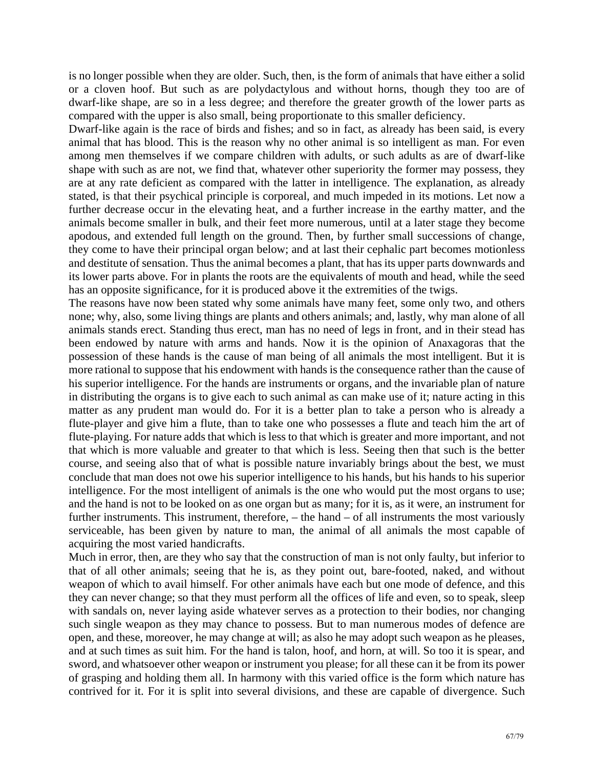is no longer possible when they are older. Such, then, is the form of animals that have either a solid or a cloven hoof. But such as are polydactylous and without horns, though they too are of dwarf-like shape, are so in a less degree; and therefore the greater growth of the lower parts as compared with the upper is also small, being proportionate to this smaller deficiency.

Dwarf-like again is the race of birds and fishes; and so in fact, as already has been said, is every stated, is that their psychical principle is corporeal, and much impeded in its motions. Let now a animal that has blood. This is the reason why no other animal is so intelligent as man. For even among men themselves if we compare children with adults, or such adults as are of dwarf-like shape with such as are not, we find that, whatever other superiority the former may possess, they are at any rate deficient as compared with the latter in intelligence. The explanation, as already further decrease occur in the elevating heat, and a further increase in the earthy matter, and the animals become smaller in bulk, and their feet more numerous, until at a later stage they become apodous, and extended full length on the ground. Then, by further small successions of change, they come to have their principal organ below; and at last their cephalic part becomes motionless and destitute of sensation. Thus the animal becomes a plant, that has its upper parts downwards and its lower parts above. For in plants the roots are the equivalents of mouth and head, while the seed has an opposite significance, for it is produced above it the extremities of the twigs.

The reasons have now been stated why some animals have many feet, some only two, and others animals stands erect. Standing thus erect, man has no need of legs in front, and in their stead has been endowed by nature with arms and hands. Now it is the opinion of Anaxagoras that the possession of these hands is the cause of man being of all animals the most intelligent. But it is more rational to suppose that his endowment with hands is the consequence rather than the cause of matter as any prudent man would do. For it is a better plan to take a person who is already a none; why, also, some living things are plants and others animals; and, lastly, why man alone of all his superior intelligence. For the hands are instruments or organs, and the invariable plan of nature in distributing the organs is to give each to such animal as can make use of it; nature acting in this flute-player and give him a flute, than to take one who possesses a flute and teach him the art of flute-playing. For nature adds that which is less to that which is greater and more important, and not that which is more valuable and greater to that which is less. Seeing then that such is the better course, and seeing also that of what is possible nature invariably brings about the best, we must conclude that man does not owe his superior intelligence to his hands, but his hands to his superior intelligence. For the most intelligent of animals is the one who would put the most organs to use; and the hand is not to be looked on as one organ but as many; for it is, as it were, an instrument for further instruments. This instrument, therefore, – the hand – of all instruments the most variously serviceable, has been given by nature to man, the animal of all animals the most capable of acquiring the most varied handicrafts.

such single weapon as they may chance to possess. But to man numerous modes of defence are contrived for it. For it is split into several divisions, and these are capable of divergence. Such Much in error, then, are they who say that the construction of man is not only faulty, but inferior to that of all other animals; seeing that he is, as they point out, bare-footed, naked, and without weapon of which to avail himself. For other animals have each but one mode of defence, and this they can never change; so that they must perform all the offices of life and even, so to speak, sleep with sandals on, never laying aside whatever serves as a protection to their bodies, nor changing open, and these, moreover, he may change at will; as also he may adopt such weapon as he pleases, and at such times as suit him. For the hand is talon, hoof, and horn, at will. So too it is spear, and sword, and whatsoever other weapon or instrument you please; for all these can it be from its power of grasping and holding them all. In harmony with this varied office is the form which nature has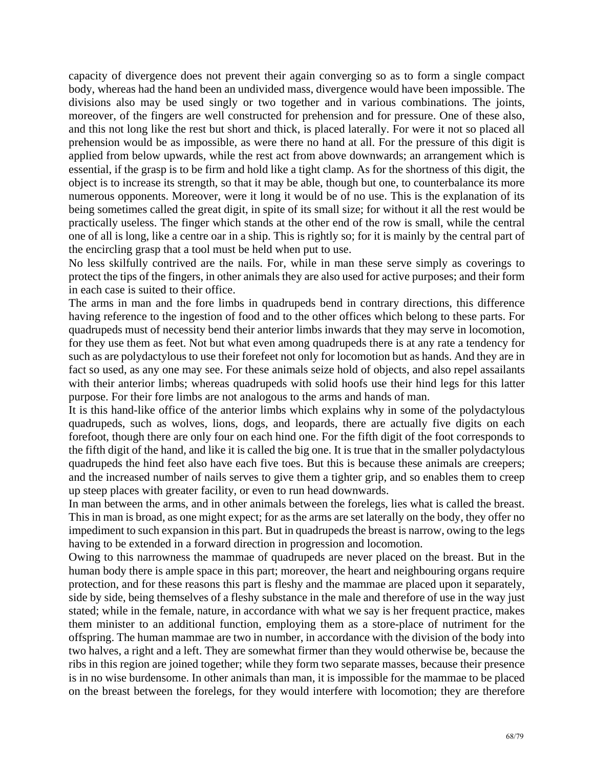capacity of divergence does not prevent their again converging so as to form a single compact body, whereas had the hand been an undivided mass, divergence would have been impossible. The divisions also may be used singly or two together and in various combinations. The joints, moreover, of the fingers are well constructed for prehension and for pressure. One of these also, and this not long like the rest but short and thick, is placed laterally. For were it not so placed all prehension would be as impossible, as were there no hand at all. For the pressure of this digit is applied from below upwards, while the rest act from above downwards; an arrangement which is essential, if the grasp is to be firm and hold like a tight clamp. As for the shortness of this digit, the object is to increase its strength, so that it may be able, though but one, to counterbalance its more numerous opponents. Moreover, were it long it would be of no use. This is the explanation of its being sometimes called the great digit, in spite of its small size; for without it all the rest would be practically useless. The finger which stands at the other end of the row is small, while the central one of all is long, like a centre oar in a ship. This is rightly so; for it is mainly by the central part of the encircling grasp that a tool must be held when put to use.

No less skilfully contrived are the nails. For, while in man these serve simply as coverings to protect the tips of the fingers, in other animals they are also used for active purposes; and their form in each case is suited to their office.

The arms in man and the fore limbs in quadrupeds bend in contrary directions, this difference having reference to the ingestion of food and to the other offices which belong to these parts. For quadrupeds must of necessity bend their anterior limbs inwards that they may serve in locomotion, for they use them as feet. Not but what even among quadrupeds there is at any rate a tendency for such as are polydactylous to use their forefeet not only for locomotion but as hands. And they are in fact so used, as any one may see. For these animals seize hold of objects, and also repel assailants with their anterior limbs; whereas quadrupeds with solid hoofs use their hind legs for this latter purpose. For their fore limbs are not analogous to the arms and hands of man.

forefoot, though there are only four on each hind one. For the fifth digit of the foot corresponds to It is this hand-like office of the anterior limbs which explains why in some of the polydactylous quadrupeds, such as wolves, lions, dogs, and leopards, there are actually five digits on each the fifth digit of the hand, and like it is called the big one. It is true that in the smaller polydactylous quadrupeds the hind feet also have each five toes. But this is because these animals are creepers; and the increased number of nails serves to give them a tighter grip, and so enables them to creep up steep places with greater facility, or even to run head downwards.

In man between the arms, and in other animals between the forelegs, lies what is called the breast. This in man is broad, as one might expect; for as the arms are set laterally on the body, they offer no impediment to such expansion in this part. But in quadrupeds the breast is narrow, owing to the legs having to be extended in a forward direction in progression and locomotion.

stated; while in the female, nature, in accordance with what we say is her frequent practice, makes Owing to this narrowness the mammae of quadrupeds are never placed on the breast. But in the human body there is ample space in this part; moreover, the heart and neighbouring organs require protection, and for these reasons this part is fleshy and the mammae are placed upon it separately, side by side, being themselves of a fleshy substance in the male and therefore of use in the way just them minister to an additional function, employing them as a store-place of nutriment for the offspring. The human mammae are two in number, in accordance with the division of the body into two halves, a right and a left. They are somewhat firmer than they would otherwise be, because the ribs in this region are joined together; while they form two separate masses, because their presence is in no wise burdensome. In other animals than man, it is impossible for the mammae to be placed on the breast between the forelegs, for they would interfere with locomotion; they are therefore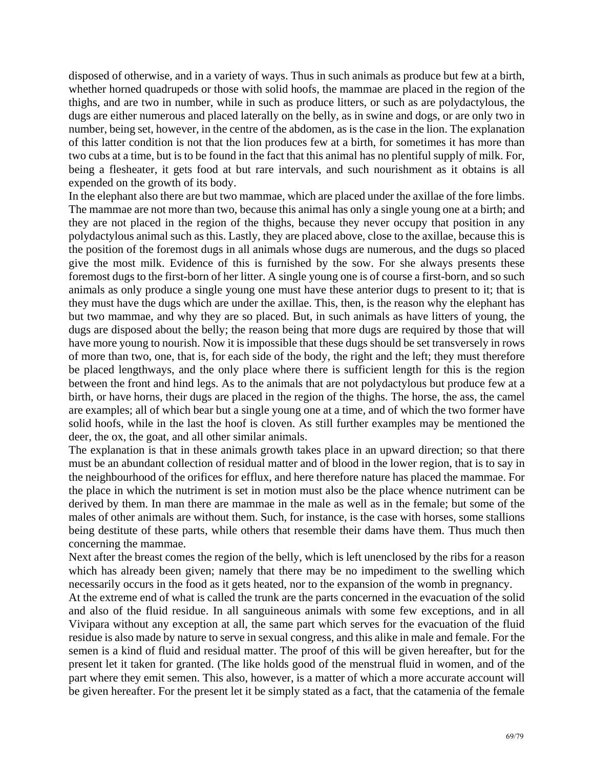disposed of otherwise, and in a variety of ways. Thus in such animals as produce but few at a birth, whether horned quadrupeds or those with solid hoofs, the mammae are placed in the region of the thighs, and are two in number, while in such as produce litters, or such as are polydactylous, the dugs are either numerous and placed laterally on the belly, as in swine and dogs, or are only two in number, being set, however, in the centre of the abdomen, as is the case in the lion. The explanation of this latter condition is not that the lion produces few at a birth, for sometimes it has more than two cubs at a time, but is to be found in the fact that this animal has no plentiful supply of milk. For, being a flesheater, it gets food at but rare intervals, and such nourishment as it obtains is all expended on the growth of its body.

In the elephant also there are but two mammae, which are placed under the axillae of the fore limbs. The mammae are not more than two, because this animal has only a single young one at a birth; and they are not placed in the region of the thighs, because they never occupy that position in any polydactylous animal such as this. Lastly, they are placed above, close to the axillae, because this is the position of the foremost dugs in all animals whose dugs are numerous, and the dugs so placed give the most milk. Evidence of this is furnished by the sow. For she always presents these foremost dugs to the first-born of her litter. A single young one is of course a first-born, and so such animals as only produce a single young one must have these anterior dugs to present to it; that is they must have the dugs which are under the axillae. This, then, is the reason why the elephant has but two mammae, and why they are so placed. But, in such animals as have litters of young, the dugs are disposed about the belly; the reason being that more dugs are required by those that will have more young to nourish. Now it is impossible that these dugs should be set transversely in rows of more than two, one, that is, for each side of the body, the right and the left; they must therefore be placed lengthways, and the only place where there is sufficient length for this is the region between the front and hind legs. As to the animals that are not polydactylous but produce few at a birth, or have horns, their dugs are placed in the region of the thighs. The horse, the ass, the camel are examples; all of which bear but a single young one at a time, and of which the two former have solid hoofs, while in the last the hoof is cloven. As still further examples may be mentioned the deer, the ox, the goat, and all other similar animals.

The explanation is that in these animals growth takes place in an upward direction; so that there must be an abundant collection of residual matter and of blood in the lower region, that is to say in the neighbourhood of the orifices for efflux, and here therefore nature has placed the mammae. For the place in which the nutriment is set in motion must also be the place whence nutriment can be derived by them. In man there are mammae in the male as well as in the female; but some of the males of other animals are without them. Such, for instance, is the case with horses, some stallions being destitute of these parts, while others that resemble their dams have them. Thus much then concerning the mammae.

which has already been given; namely that there may be no impediment to the swelling which Next after the breast comes the region of the belly, which is left unenclosed by the ribs for a reason necessarily occurs in the food as it gets heated, nor to the expansion of the womb in pregnancy.

and also of the fluid residue. In all sanguineous animals with some few exceptions, and in all At the extreme end of what is called the trunk are the parts concerned in the evacuation of the solid Vivipara without any exception at all, the same part which serves for the evacuation of the fluid residue is also made by nature to serve in sexual congress, and this alike in male and female. For the semen is a kind of fluid and residual matter. The proof of this will be given hereafter, but for the present let it taken for granted. (The like holds good of the menstrual fluid in women, and of the part where they emit semen. This also, however, is a matter of which a more accurate account will be given hereafter. For the present let it be simply stated as a fact, that the catamenia of the female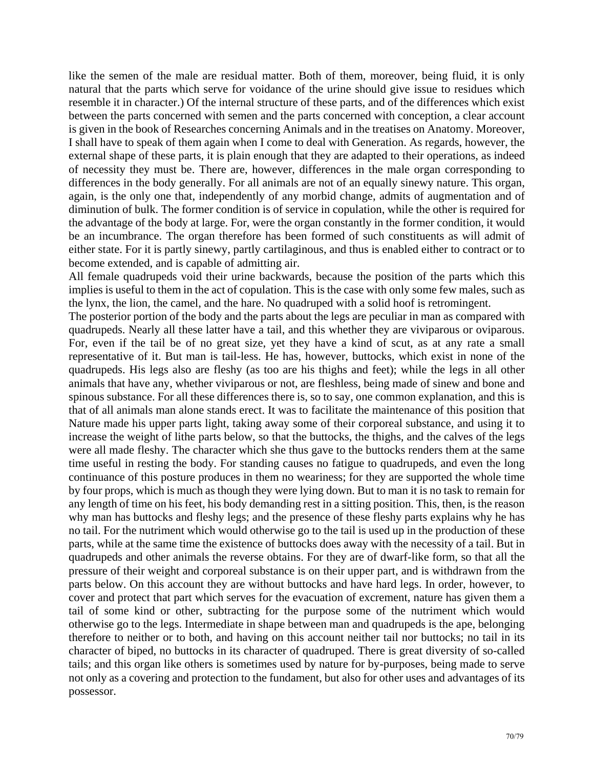like the semen of the male are residual matter. Both of them, moreover, being fluid, it is only natural that the parts which serve for voidance of the urine should give issue to residues which differences in the body generally. For all animals are not of an equally sinewy nature. This organ, be an incumbrance. The organ therefore has been formed of such constituents as will admit of resemble it in character.) Of the internal structure of these parts, and of the differences which exist between the parts concerned with semen and the parts concerned with conception, a clear account is given in the book of Researches concerning Animals and in the treatises on Anatomy. Moreover, I shall have to speak of them again when I come to deal with Generation. As regards, however, the external shape of these parts, it is plain enough that they are adapted to their operations, as indeed of necessity they must be. There are, however, differences in the male organ corresponding to again, is the only one that, independently of any morbid change, admits of augmentation and of diminution of bulk. The former condition is of service in copulation, while the other is required for the advantage of the body at large. For, were the organ constantly in the former condition, it would either state. For it is partly sinewy, partly cartilaginous, and thus is enabled either to contract or to become extended, and is capable of admitting air.

All female quadrupeds void their urine backwards, because the position of the parts which this implies is useful to them in the act of copulation. This is the case with only some few males, such as the lynx, the lion, the camel, and the hare. No quadruped with a solid hoof is retromingent.

why man has buttocks and fleshy legs; and the presence of these fleshy parts explains why he has The posterior portion of the body and the parts about the legs are peculiar in man as compared with quadrupeds. Nearly all these latter have a tail, and this whether they are viviparous or oviparous. For, even if the tail be of no great size, yet they have a kind of scut, as at any rate a small representative of it. But man is tail-less. He has, however, buttocks, which exist in none of the quadrupeds. His legs also are fleshy (as too are his thighs and feet); while the legs in all other animals that have any, whether viviparous or not, are fleshless, being made of sinew and bone and spinous substance. For all these differences there is, so to say, one common explanation, and this is that of all animals man alone stands erect. It was to facilitate the maintenance of this position that Nature made his upper parts light, taking away some of their corporeal substance, and using it to increase the weight of lithe parts below, so that the buttocks, the thighs, and the calves of the legs were all made fleshy. The character which she thus gave to the buttocks renders them at the same time useful in resting the body. For standing causes no fatigue to quadrupeds, and even the long continuance of this posture produces in them no weariness; for they are supported the whole time by four props, which is much as though they were lying down. But to man it is no task to remain for any length of time on his feet, his body demanding rest in a sitting position. This, then, is the reason no tail. For the nutriment which would otherwise go to the tail is used up in the production of these parts, while at the same time the existence of buttocks does away with the necessity of a tail. But in quadrupeds and other animals the reverse obtains. For they are of dwarf-like form, so that all the pressure of their weight and corporeal substance is on their upper part, and is withdrawn from the parts below. On this account they are without buttocks and have hard legs. In order, however, to cover and protect that part which serves for the evacuation of excrement, nature has given them a tail of some kind or other, subtracting for the purpose some of the nutriment which would otherwise go to the legs. Intermediate in shape between man and quadrupeds is the ape, belonging therefore to neither or to both, and having on this account neither tail nor buttocks; no tail in its character of biped, no buttocks in its character of quadruped. There is great diversity of so-called tails; and this organ like others is sometimes used by nature for by-purposes, being made to serve not only as a covering and protection to the fundament, but also for other uses and advantages of its possessor.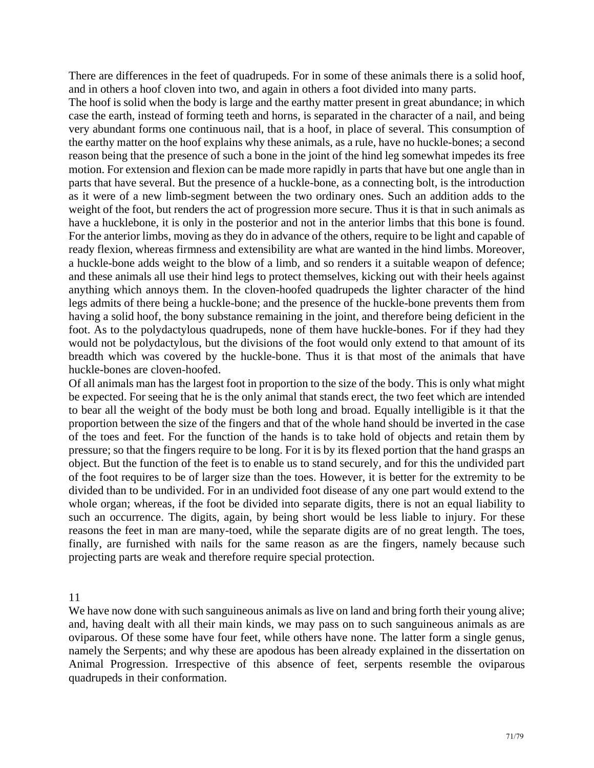There are differences in the feet of quadrupeds. For in some of these animals there is a solid hoof, and in others a hoof cloven into two, and again in others a foot divided into many parts.

The hoof is solid when the body is large and the earthy matter present in great abundance; in which case the earth, instead of forming teeth and horns, is separated in the character of a nail, and being very abundant forms one continuous nail, that is a hoof, in place of several. This consumption of the earthy matter on the hoof explains why these animals, as a rule, have no huckle-bones; a second ready flexion, whereas firmness and extensibility are what are wanted in the hind limbs. Moreover, legs admits of there being a huckle-bone; and the presence of the huckle-bone prevents them from reason being that the presence of such a bone in the joint of the hind leg somewhat impedes its free motion. For extension and flexion can be made more rapidly in parts that have but one angle than in parts that have several. But the presence of a huckle-bone, as a connecting bolt, is the introduction as it were of a new limb-segment between the two ordinary ones. Such an addition adds to the weight of the foot, but renders the act of progression more secure. Thus it is that in such animals as have a hucklebone, it is only in the posterior and not in the anterior limbs that this bone is found. For the anterior limbs, moving as they do in advance of the others, require to be light and capable of a huckle-bone adds weight to the blow of a limb, and so renders it a suitable weapon of defence; and these animals all use their hind legs to protect themselves, kicking out with their heels against anything which annoys them. In the cloven-hoofed quadrupeds the lighter character of the hind having a solid hoof, the bony substance remaining in the joint, and therefore being deficient in the foot. As to the polydactylous quadrupeds, none of them have huckle-bones. For if they had they would not be polydactylous, but the divisions of the foot would only extend to that amount of its breadth which was covered by the huckle-bone. Thus it is that most of the animals that have huckle-bones are cloven-hoofed.

Of all animals man has the largest foot in proportion to the size of the body. This is only what might be expected. For seeing that he is the only animal that stands erect, the two feet which are intended to bear all the weight of the body must be both long and broad. Equally intelligible is it that the proportion between the size of the fingers and that of the whole hand should be inverted in the case of the toes and feet. For the function of the hands is to take hold of objects and retain them by pressure; so that the fingers require to be long. For it is by its flexed portion that the hand grasps an object. But the function of the feet is to enable us to stand securely, and for this the undivided part of the foot requires to be of larger size than the toes. However, it is better for the extremity to be divided than to be undivided. For in an undivided foot disease of any one part would extend to the whole organ; whereas, if the foot be divided into separate digits, there is not an equal liability to such an occurrence. The digits, again, by being short would be less liable to injury. For these reasons the feet in man are many-toed, while the separate digits are of no great length. The toes, finally, are furnished with nails for the same reason as are the fingers, namely because such projecting parts are weak and therefore require special protection.

11

and, having dealt with all their main kinds, we may pass on to such sanguineous animals as are Animal Progression. Irrespective of this absence of feet, serpents resemble the oviparous We have now done with such sanguineous animals as live on land and bring forth their young alive; oviparous. Of these some have four feet, while others have none. The latter form a single genus, namely the Serpents; and why these are apodous has been already explained in the dissertation on quadrupeds in their conformation.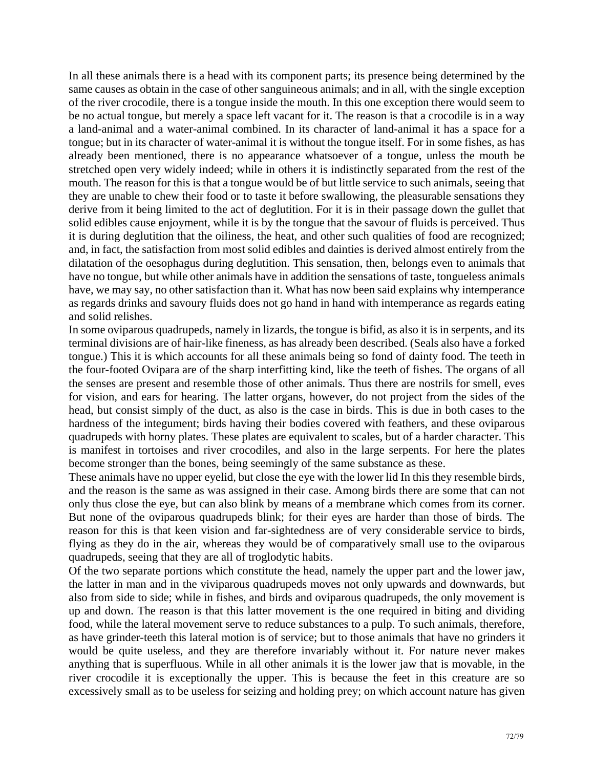In all these animals there is a head with its component parts; its presence being determined by the same causes as obtain in the case of other sanguineous animals; and in all, with the single exception of the river crocodile, there is a tongue inside the mouth. In this one exception there would seem to be no actual tongue, but merely a space left vacant for it. The reason is that a crocodile is in a way a land-animal and a water-animal combined. In its character of land-animal it has a space for a tongue; but in its character of water-animal it is without the tongue itself. For in some fishes, as has already been mentioned, there is no appearance whatsoever of a tongue, unless the mouth be stretched open very widely indeed; while in others it is indistinctly separated from the rest of the mouth. The reason for this is that a tongue would be of but little service to such animals, seeing that they are unable to chew their food or to taste it before swallowing, the pleasurable sensations they derive from it being limited to the act of deglutition. For it is in their passage down the gullet that solid edibles cause enjoyment, while it is by the tongue that the savour of fluids is perceived. Thus it is during deglutition that the oiliness, the heat, and other such qualities of food are recognized; and, in fact, the satisfaction from most solid edibles and dainties is derived almost entirely from the dilatation of the oesophagus during deglutition. This sensation, then, belongs even to animals that have no tongue, but while other animals have in addition the sensations of taste, tongueless animals have, we may say, no other satisfaction than it. What has now been said explains why intemperance as regards drinks and savoury fluids does not go hand in hand with intemperance as regards eating and solid relishes.

In some oviparous quadrupeds, namely in lizards, the tongue is bifid, as also it is in serpents, and its terminal divisions are of hair-like fineness, as has already been described. (Seals also have a forked tongue.) This it is which accounts for all these animals being so fond of dainty food. The teeth in the four-footed Ovipara are of the sharp interfitting kind, like the teeth of fishes. The organs of all the senses are present and resemble those of other animals. Thus there are nostrils for smell, eves for vision, and ears for hearing. The latter organs, however, do not project from the sides of the head, but consist simply of the duct, as also is the case in birds. This is due in both cases to the hardness of the integument; birds having their bodies covered with feathers, and these oviparous is manifest in tortoises and river crocodiles, and also in the large serpents. For here the plates quadrupeds with horny plates. These plates are equivalent to scales, but of a harder character. This become stronger than the bones, being seemingly of the same substance as these.

These animals have no upper eyelid, but close the eye with the lower lid In this they resemble birds, and the reason is the same as was assigned in their case. Among birds there are some that can not only thus close the eye, but can also blink by means of a membrane which comes from its corner. But none of the oviparous quadrupeds blink; for their eyes are harder than those of birds. The reason for this is that keen vision and far-sightedness are of very considerable service to birds, flying as they do in the air, whereas they would be of comparatively small use to the oviparous quadrupeds, seeing that they are all of troglodytic habits.

Of the two separate portions which constitute the head, namely the upper part and the lower jaw, the latter in man and in the viviparous quadrupeds moves not only upwards and downwards, but also from side to side; while in fishes, and birds and oviparous quadrupeds, the only movement is up and down. The reason is that this latter movement is the one required in biting and dividing food, while the lateral movement serve to reduce substances to a pulp. To such animals, therefore, as have grinder-teeth this lateral motion is of service; but to those animals that have no grinders it would be quite useless, and they are therefore invariably without it. For nature never makes anything that is superfluous. While in all other animals it is the lower jaw that is movable, in the river crocodile it is exceptionally the upper. This is because the feet in this creature are so excessively small as to be useless for seizing and holding prey; on which account nature has given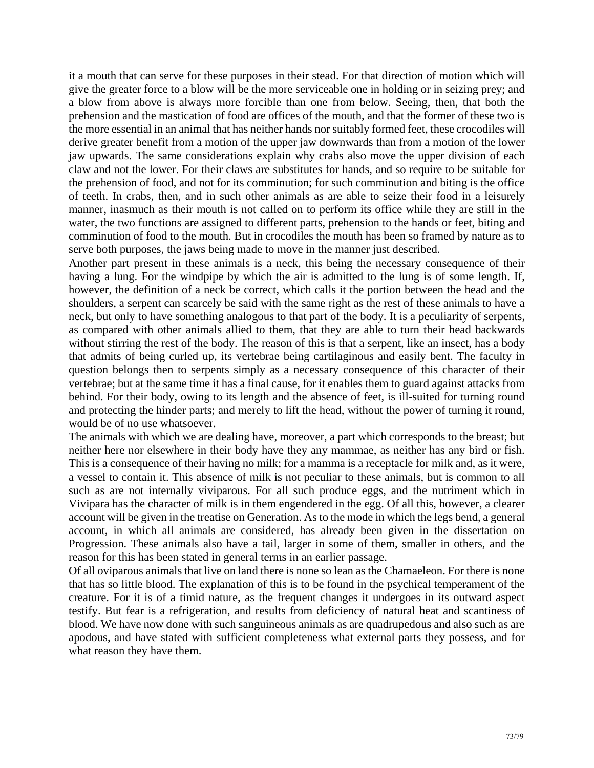it a mouth that can serve for these purposes in their stead. For that direction of motion which will give the greater force to a blow will be the more serviceable one in holding or in seizing prey; and a blow from above is always more forcible than one from below. Seeing, then, that both the prehension and the mastication of food are offices of the mouth, and that the former of these two is the more essential in an animal that has neither hands nor suitably formed feet, these crocodiles will derive greater benefit from a motion of the upper jaw downwards than from a motion of the lower jaw upwards. The same considerations explain why crabs also move the upper division of each claw and not the lower. For their claws are substitutes for hands, and so require to be suitable for the prehension of food, and not for its comminution; for such comminution and biting is the office of teeth. In crabs, then, and in such other animals as are able to seize their food in a leisurely manner, inasmuch as their mouth is not called on to perform its office while they are still in the water, the two functions are assigned to different parts, prehension to the hands or feet, biting and comminution of food to the mouth. But in crocodiles the mouth has been so framed by nature as to serve both purposes, the jaws being made to move in the manner just described.

Another part present in these animals is a neck, this being the necessary consequence of their having a lung. For the windpipe by which the air is admitted to the lung is of some length. If, however, the definition of a neck be correct, which calls it the portion between the head and the shoulders, a serpent can scarcely be said with the same right as the rest of these animals to have a neck, but only to have something analogous to that part of the body. It is a peculiarity of serpents, as compared with other animals allied to them, that they are able to turn their head backwards and protecting the hinder parts; and merely to lift the head, without the power of turning it round, without stirring the rest of the body. The reason of this is that a serpent, like an insect, has a body that admits of being curled up, its vertebrae being cartilaginous and easily bent. The faculty in question belongs then to serpents simply as a necessary consequence of this character of their vertebrae; but at the same time it has a final cause, for it enables them to guard against attacks from behind. For their body, owing to its length and the absence of feet, is ill-suited for turning round would be of no use whatsoever.

The animals with which we are dealing have, moreover, a part which corresponds to the breast; but neither here nor elsewhere in their body have they any mammae, as neither has any bird or fish. This is a consequence of their having no milk; for a mamma is a receptacle for milk and, as it were, a vessel to contain it. This absence of milk is not peculiar to these animals, but is common to all such as are not internally viviparous. For all such produce eggs, and the nutriment which in Vivipara has the character of milk is in them engendered in the egg. Of all this, however, a clearer account will be given in the treatise on Generation. As to the mode in which the legs bend, a general account, in which all animals are considered, has already been given in the dissertation on Progression. These animals also have a tail, larger in some of them, smaller in others, and the reason for this has been stated in general terms in an earlier passage.

Of all oviparous animals that live on land there is none so lean as the Chamaeleon. For there is none that has so little blood. The explanation of this is to be found in the psychical temperament of the creature. For it is of a timid nature, as the frequent changes it undergoes in its outward aspect testify. But fear is a refrigeration, and results from deficiency of natural heat and scantiness of blood. We have now done with such sanguineous animals as are quadrupedous and also such as are apodous, and have stated with sufficient completeness what external parts they possess, and for what reason they have them.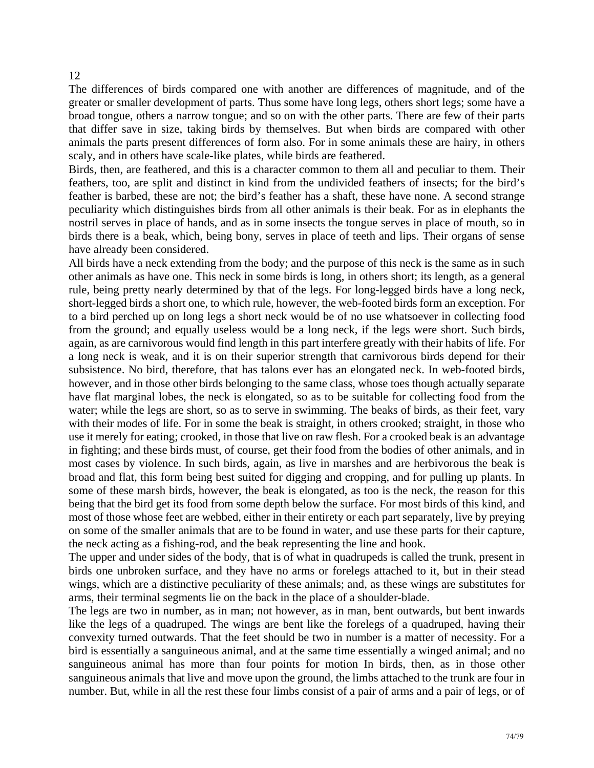## 12

The differences of birds compared one with another are differences of magnitude, and of the greater or smaller development of parts. Thus some have long legs, others short legs; some have a broad tongue, others a narrow tongue; and so on with the other parts. There are few of their parts that differ save in size, taking birds by themselves. But when birds are compared with other animals the parts present differences of form also. For in some animals these are hairy, in others scaly, and in others have scale-like plates, while birds are feathered.

Birds, then, are feathered, and this is a character common to them all and peculiar to them. Their feathers, too, are split and distinct in kind from the undivided feathers of insects; for the bird's feather is barbed, these are not; the bird's feather has a shaft, these have none. A second strange peculiarity which distinguishes birds from all other animals is their beak. For as in elephants the nostril serves in place of hands, and as in some insects the tongue serves in place of mouth, so in birds there is a beak, which, being bony, serves in place of teeth and lips. Their organs of sense have already been considered.

rule, being pretty nearly determined by that of the legs. For long-legged birds have a long neck, All birds have a neck extending from the body; and the purpose of this neck is the same as in such other animals as have one. This neck in some birds is long, in others short; its length, as a general short-legged birds a short one, to which rule, however, the web-footed birds form an exception. For to a bird perched up on long legs a short neck would be of no use whatsoever in collecting food from the ground; and equally useless would be a long neck, if the legs were short. Such birds, again, as are carnivorous would find length in this part interfere greatly with their habits of life. For a long neck is weak, and it is on their superior strength that carnivorous birds depend for their subsistence. No bird, therefore, that has talons ever has an elongated neck. In web-footed birds, however, and in those other birds belonging to the same class, whose toes though actually separate have flat marginal lobes, the neck is elongated, so as to be suitable for collecting food from the water; while the legs are short, so as to serve in swimming. The beaks of birds, as their feet, vary with their modes of life. For in some the beak is straight, in others crooked; straight, in those who use it merely for eating; crooked, in those that live on raw flesh. For a crooked beak is an advantage in fighting; and these birds must, of course, get their food from the bodies of other animals, and in most cases by violence. In such birds, again, as live in marshes and are herbivorous the beak is broad and flat, this form being best suited for digging and cropping, and for pulling up plants. In some of these marsh birds, however, the beak is elongated, as too is the neck, the reason for this being that the bird get its food from some depth below the surface. For most birds of this kind, and most of those whose feet are webbed, either in their entirety or each part separately, live by preying on some of the smaller animals that are to be found in water, and use these parts for their capture, the neck acting as a fishing-rod, and the beak representing the line and hook.

The upper and under sides of the body, that is of what in quadrupeds is called the trunk, present in birds one unbroken surface, and they have no arms or forelegs attached to it, but in their stead wings, which are a distinctive peculiarity of these animals; and, as these wings are substitutes for arms, their terminal segments lie on the back in the place of a shoulder-blade.

like the legs of a quadruped. The wings are bent like the forelegs of a quadruped, having their The legs are two in number, as in man; not however, as in man, bent outwards, but bent inwards convexity turned outwards. That the feet should be two in number is a matter of necessity. For a bird is essentially a sanguineous animal, and at the same time essentially a winged animal; and no sanguineous animal has more than four points for motion In birds, then, as in those other sanguineous animals that live and move upon the ground, the limbs attached to the trunk are four in number. But, while in all the rest these four limbs consist of a pair of arms and a pair of legs, or of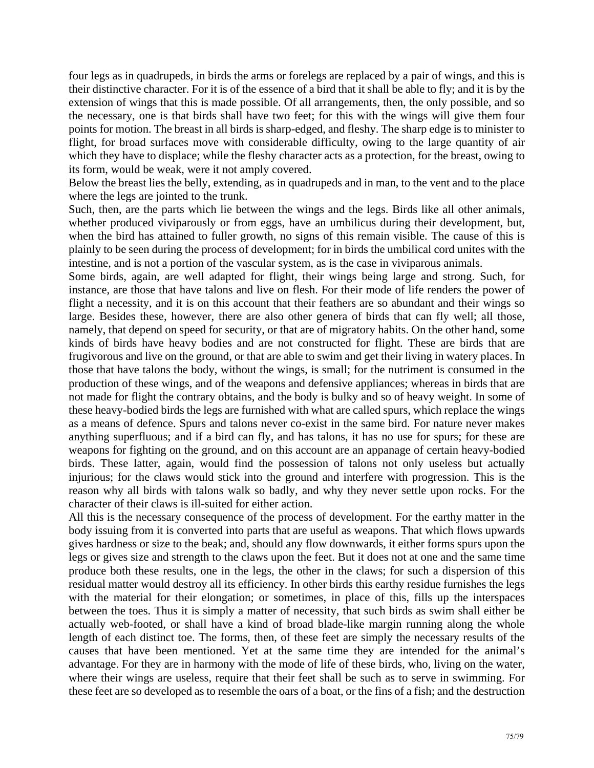four legs as in quadrupeds, in birds the arms or forelegs are replaced by a pair of wings, and this is their distinctive character. For it is of the essence of a bird that it shall be able to fly; and it is by the extension of wings that this is made possible. Of all arrangements, then, the only possible, and so the necessary, one is that birds shall have two feet; for this with the wings will give them four points for motion. The breast in all birds is sharp-edged, and fleshy. The sharp edge is to minister to flight, for broad surfaces move with considerable difficulty, owing to the large quantity of air which they have to displace; while the fleshy character acts as a protection, for the breast, owing to its form, would be weak, were it not amply covered.

Below the breast lies the belly, extending, as in quadrupeds and in man, to the vent and to the place where the legs are jointed to the trunk.

Such, then, are the parts which lie between the wings and the legs. Birds like all other animals, whether produced viviparously or from eggs, have an umbilicus during their development, but, when the bird has attained to fuller growth, no signs of this remain visible. The cause of this is plainly to be seen during the process of development; for in birds the umbilical cord unites with the intestine, and is not a portion of the vascular system, as is the case in viviparous animals.

flight a necessity, and it is on this account that their feathers are so abundant and their wings so not made for flight the contrary obtains, and the body is bulky and so of heavy weight. In some of these heavy-bodied birds the legs are furnished with what are called spurs, which replace the wings as a means of defence. Spurs and talons never co-exist in the same bird. For nature never makes anything superfluous; and if a bird can fly, and has talons, it has no use for spurs; for these are Some birds, again, are well adapted for flight, their wings being large and strong. Such, for instance, are those that have talons and live on flesh. For their mode of life renders the power of large. Besides these, however, there are also other genera of birds that can fly well; all those, namely, that depend on speed for security, or that are of migratory habits. On the other hand, some kinds of birds have heavy bodies and are not constructed for flight. These are birds that are frugivorous and live on the ground, or that are able to swim and get their living in watery places. In those that have talons the body, without the wings, is small; for the nutriment is consumed in the production of these wings, and of the weapons and defensive appliances; whereas in birds that are weapons for fighting on the ground, and on this account are an appanage of certain heavy-bodied birds. These latter, again, would find the possession of talons not only useless but actually injurious; for the claws would stick into the ground and interfere with progression. This is the reason why all birds with talons walk so badly, and why they never settle upon rocks. For the character of their claws is ill-suited for either action.

All this is the necessary consequence of the process of development. For the earthy matter in the between the toes. Thus it is simply a matter of necessity, that such birds as swim shall either be body issuing from it is converted into parts that are useful as weapons. That which flows upwards gives hardness or size to the beak; and, should any flow downwards, it either forms spurs upon the legs or gives size and strength to the claws upon the feet. But it does not at one and the same time produce both these results, one in the legs, the other in the claws; for such a dispersion of this residual matter would destroy all its efficiency. In other birds this earthy residue furnishes the legs with the material for their elongation; or sometimes, in place of this, fills up the interspaces actually web-footed, or shall have a kind of broad blade-like margin running along the whole length of each distinct toe. The forms, then, of these feet are simply the necessary results of the causes that have been mentioned. Yet at the same time they are intended for the animal's advantage. For they are in harmony with the mode of life of these birds, who, living on the water, where their wings are useless, require that their feet shall be such as to serve in swimming. For these feet are so developed as to resemble the oars of a boat, or the fins of a fish; and the destruction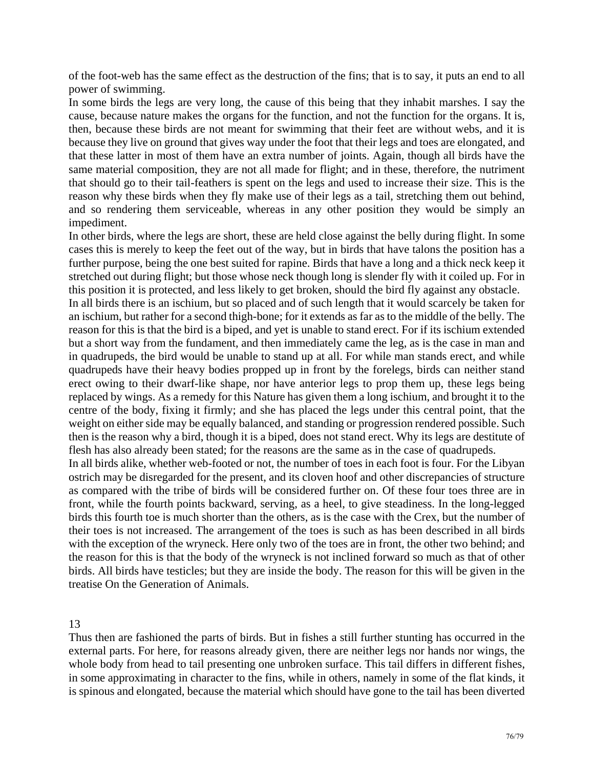of the foot-web has the same effect as the destruction of the fins; that is to say, it puts an end to all power of swimming.

In some birds the legs are very long, the cause of this being that they inhabit marshes. I say the cause, because nature makes the organs for the function, and not the function for the organs. It is, then, because these birds are not meant for swimming that their feet are without webs, and it is because they live on ground that gives way under the foot that their legs and toes are elongated, and that these latter in most of them have an extra number of joints. Again, though all birds have the same material composition, they are not all made for flight; and in these, therefore, the nutriment that should go to their tail-feathers is spent on the legs and used to increase their size. This is the reason why these birds when they fly make use of their legs as a tail, stretching them out behind, and so rendering them serviceable, whereas in any other position they would be simply an impediment.

In other birds, where the legs are short, these are held close against the belly during flight. In some cases this is merely to keep the feet out of the way, but in birds that have talons the position has a further purpose, being the one best suited for rapine. Birds that have a long and a thick neck keep it stretched out during flight; but those whose neck though long is slender fly with it coiled up. For in this position it is protected, and less likely to get broken, should the bird fly against any obstacle.

but a short way from the fundament, and then immediately came the leg, as is the case in man and In all birds there is an ischium, but so placed and of such length that it would scarcely be taken for an ischium, but rather for a second thigh-bone; for it extends as far as to the middle of the belly. The reason for this is that the bird is a biped, and yet is unable to stand erect. For if its ischium extended in quadrupeds, the bird would be unable to stand up at all. For while man stands erect, and while quadrupeds have their heavy bodies propped up in front by the forelegs, birds can neither stand erect owing to their dwarf-like shape, nor have anterior legs to prop them up, these legs being replaced by wings. As a remedy for this Nature has given them a long ischium, and brought it to the centre of the body, fixing it firmly; and she has placed the legs under this central point, that the weight on either side may be equally balanced, and standing or progression rendered possible. Such then is the reason why a bird, though it is a biped, does not stand erect. Why its legs are destitute of flesh has also already been stated; for the reasons are the same as in the case of quadrupeds.

with the exception of the wryneck. Here only two of the toes are in front, the other two behind; and birds. All birds have testicles; but they are inside the body. The reason for this will be given in the In all birds alike, whether web-footed or not, the number of toes in each foot is four. For the Libyan ostrich may be disregarded for the present, and its cloven hoof and other discrepancies of structure as compared with the tribe of birds will be considered further on. Of these four toes three are in front, while the fourth points backward, serving, as a heel, to give steadiness. In the long-legged birds this fourth toe is much shorter than the others, as is the case with the Crex, but the number of their toes is not increased. The arrangement of the toes is such as has been described in all birds the reason for this is that the body of the wryneck is not inclined forward so much as that of other treatise On the Generation of Animals.

13

Thus then are fashioned the parts of birds. But in fishes a still further stunting has occurred in the external parts. For here, for reasons already given, there are neither legs nor hands nor wings, the whole body from head to tail presenting one unbroken surface. This tail differs in different fishes, in some approximating in character to the fins, while in others, namely in some of the flat kinds, it is spinous and elongated, because the material which should have gone to the tail has been diverted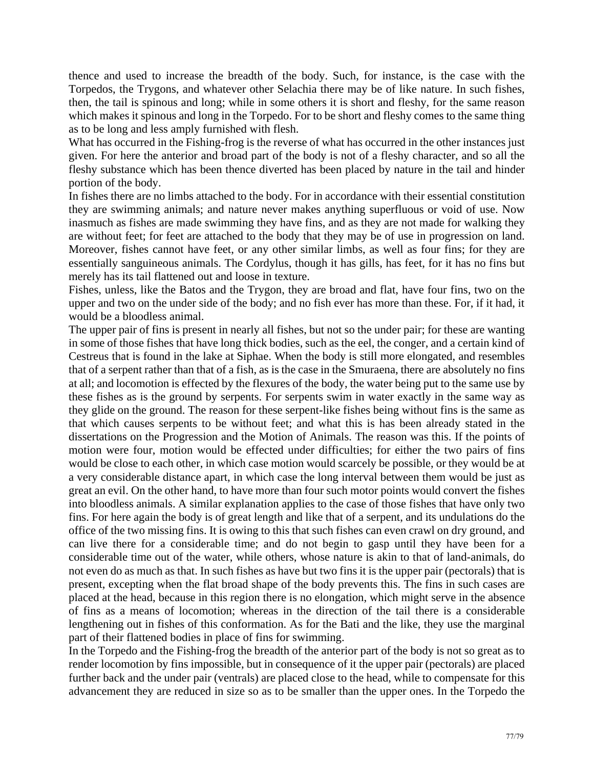thence and used to increase the breadth of the body. Such, for instance, is the case with the Torpedos, the Trygons, and whatever other Selachia there may be of like nature. In such fishes, then, the tail is spinous and long; while in some others it is short and fleshy, for the same reason which makes it spinous and long in the Torpedo. For to be short and fleshy comes to the same thing as to be long and less amply furnished with flesh.

What has occurred in the Fishing-frog is the reverse of what has occurred in the other instances just given. For here the anterior and broad part of the body is not of a fleshy character, and so all the fleshy substance which has been thence diverted has been placed by nature in the tail and hinder portion of the body.

In fishes there are no limbs attached to the body. For in accordance with their essential constitution they are swimming animals; and nature never makes anything superfluous or void of use. Now inasmuch as fishes are made swimming they have fins, and as they are not made for walking they are without feet; for feet are attached to the body that they may be of use in progression on land. Moreover, fishes cannot have feet, or any other similar limbs, as well as four fins; for they are essentially sanguineous animals. The Cordylus, though it has gills, has feet, for it has no fins but merely has its tail flattened out and loose in texture.

Fishes, unless, like the Batos and the Trygon, they are broad and flat, have four fins, two on the upper and two on the under side of the body; and no fish ever has more than these. For, if it had, it would be a bloodless animal.

would be close to each other, in which case motion would scarcely be possible, or they would be at placed at the head, because in this region there is no elongation, which might serve in the absence The upper pair of fins is present in nearly all fishes, but not so the under pair; for these are wanting in some of those fishes that have long thick bodies, such as the eel, the conger, and a certain kind of Cestreus that is found in the lake at Siphae. When the body is still more elongated, and resembles that of a serpent rather than that of a fish, as is the case in the Smuraena, there are absolutely no fins at all; and locomotion is effected by the flexures of the body, the water being put to the same use by these fishes as is the ground by serpents. For serpents swim in water exactly in the same way as they glide on the ground. The reason for these serpent-like fishes being without fins is the same as that which causes serpents to be without feet; and what this is has been already stated in the dissertations on the Progression and the Motion of Animals. The reason was this. If the points of motion were four, motion would be effected under difficulties; for either the two pairs of fins a very considerable distance apart, in which case the long interval between them would be just as great an evil. On the other hand, to have more than four such motor points would convert the fishes into bloodless animals. A similar explanation applies to the case of those fishes that have only two fins. For here again the body is of great length and like that of a serpent, and its undulations do the office of the two missing fins. It is owing to this that such fishes can even crawl on dry ground, and can live there for a considerable time; and do not begin to gasp until they have been for a considerable time out of the water, while others, whose nature is akin to that of land-animals, do not even do as much as that. In such fishes as have but two fins it is the upper pair (pectorals) that is present, excepting when the flat broad shape of the body prevents this. The fins in such cases are of fins as a means of locomotion; whereas in the direction of the tail there is a considerable lengthening out in fishes of this conformation. As for the Bati and the like, they use the marginal part of their flattened bodies in place of fins for swimming.

further back and the under pair (ventrals) are placed close to the head, while to compensate for this advancement they are reduced in size so as to be smaller than the upper ones. In the Torpedo the In the Torpedo and the Fishing-frog the breadth of the anterior part of the body is not so great as to render locomotion by fins impossible, but in consequence of it the upper pair (pectorals) are placed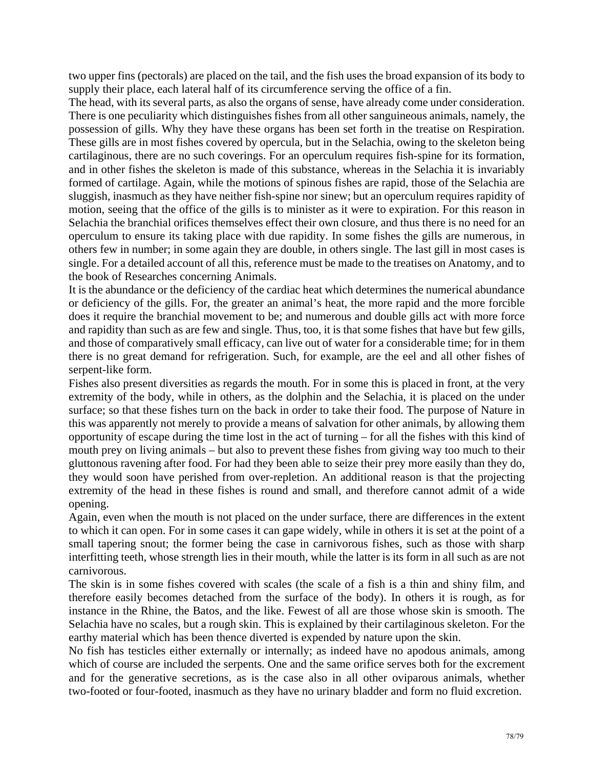two upper fins (pectorals) are placed on the tail, and the fish uses the broad expansion of its body to supply their place, each lateral half of its circumference serving the office of a fin.

The head, with its several parts, as also the organs of sense, have already come under consideration. There is one peculiarity which distinguishes fishes from all other sanguineous animals, namely, the possession of gills. Why they have these organs has been set forth in the treatise on Respiration. These gills are in most fishes covered by opercula, but in the Selachia, owing to the skeleton being cartilaginous, there are no such coverings. For an operculum requires fish-spine for its formation, and in other fishes the skeleton is made of this substance, whereas in the Selachia it is invariably formed of cartilage. Again, while the motions of spinous fishes are rapid, those of the Selachia are sluggish, inasmuch as they have neither fish-spine nor sinew; but an operculum requires rapidity of motion, seeing that the office of the gills is to minister as it were to expiration. For this reason in Selachia the branchial orifices themselves effect their own closure, and thus there is no need for an operculum to ensure its taking place with due rapidity. In some fishes the gills are numerous, in others few in number; in some again they are double, in others single. The last gill in most cases is single. For a detailed account of all this, reference must be made to the treatises on Anatomy, and to the book of Researches concerning Animals.

It is the abundance or the deficiency of the cardiac heat which determines the numerical abundance or deficiency of the gills. For, the greater an animal's heat, the more rapid and the more forcible does it require the branchial movement to be; and numerous and double gills act with more force and rapidity than such as are few and single. Thus, too, it is that some fishes that have but few gills, and those of comparatively small efficacy, can live out of water for a considerable time; for in them there is no great demand for refrigeration. Such, for example, are the eel and all other fishes of serpent-like form.

Fishes also present diversities as regards the mouth. For in some this is placed in front, at the very extremity of the body, while in others, as the dolphin and the Selachia, it is placed on the under surface; so that these fishes turn on the back in order to take their food. The purpose of Nature in this was apparently not merely to provide a means of salvation for other animals, by allowing them opportunity of escape during the time lost in the act of turning – for all the fishes with this kind of mouth prey on living animals – but also to prevent these fishes from giving way too much to their gluttonous ravening after food. For had they been able to seize their prey more easily than they do, they would soon have perished from over-repletion. An additional reason is that the projecting extremity of the head in these fishes is round and small, and therefore cannot admit of a wide opening.

small tapering snout; the former being the case in carnivorous fishes, such as those with sharp Again, even when the mouth is not placed on the under surface, there are differences in the extent to which it can open. For in some cases it can gape widely, while in others it is set at the point of a interfitting teeth, whose strength lies in their mouth, while the latter is its form in all such as are not carnivorous.

therefore easily becomes detached from the surface of the body). In others it is rough, as for The skin is in some fishes covered with scales (the scale of a fish is a thin and shiny film, and instance in the Rhine, the Batos, and the like. Fewest of all are those whose skin is smooth. The Selachia have no scales, but a rough skin. This is explained by their cartilaginous skeleton. For the earthy material which has been thence diverted is expended by nature upon the skin.

two-footed or four-footed, inasmuch as they have no urinary bladder and form no fluid excretion. No fish has testicles either externally or internally; as indeed have no apodous animals, among which of course are included the serpents. One and the same orifice serves both for the excrement and for the generative secretions, as is the case also in all other oviparous animals, whether